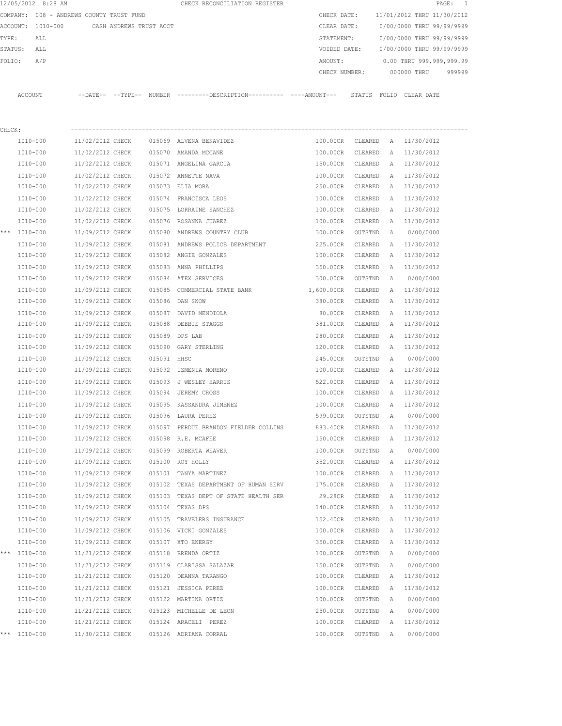| COMPANY: 008 - ANDREWS COUNTY TRUST FUND<br>CHECK DATE:<br>11/01/2012 THRU 11/30/2012<br>ACCOUNT: 1010-000<br>CASH ANDREWS TRUST ACCT<br>0/00/0000 THRU 99/99/9999<br>CLEAR DATE:<br>TYPE:<br>STATEMENT:<br>0/00/0000 THRU 99/99/9999<br>ALL<br>STATUS:<br>0/00/0000 THRU 99/99/9999<br>ALL<br>VOIDED DATE:<br>0.00 THRU 999,999,999.99<br>A/P<br>FOLIO:<br>AMOUNT:<br>000000 THRU<br>CHECK NUMBER:<br>ACCOUNT<br>--DATE-- --TYPE-- NUMBER --------DESCRIPTION---------- ----AMOUNT--- STATUS FOLIO CLEAR-DATE<br>CHECK:<br>1010-000<br>015069 ALVENA BENAVIDEZ<br>100.00CR<br>CLEARED A 11/30/2012<br>11/02/2012 CHECK<br>1010-000<br>11/02/2012 CHECK<br>015070 AMANDA MCCANE<br>100.00CR<br>CLEARED<br>11/30/2012<br>A<br>1010-000<br>11/02/2012 CHECK<br>015071 ANGELINA GARCIA<br>150.00CR<br>11/30/2012<br>CLEARED<br>A<br>1010-000<br>11/02/2012 CHECK<br>015072 ANNETTE NAVA<br>100.00CR<br>11/30/2012<br>CLEARED<br>A<br>1010-000<br>11/02/2012 CHECK<br>A 11/30/2012<br>015073 ELIA MORA<br>250.00CR<br>CLEARED<br>1010-000<br>11/02/2012 CHECK<br>015074 FRANCISCA LEOS<br>11/30/2012<br>100.00CR<br>CLEARED<br>A<br>1010-000<br>11/02/2012 CHECK<br>11/30/2012<br>015075 LORRAINE SANCHEZ<br>100.00CR<br>CLEARED<br>A<br>1010-000<br>11/02/2012 CHECK<br>015076 ROSANNA JUAREZ<br>100.00CR<br>CLEARED<br>11/30/2012<br>$\mathbb{A}$<br>*** 1010-000<br>11/09/2012 CHECK<br>015080 ANDREWS COUNTRY CLUB<br>300.00CR<br>0/00/0000<br>OUTSTND<br>A<br>1010-000<br>11/09/2012 CHECK<br>015081 ANDREWS POLICE DEPARTMENT<br>225.00CR<br>11/30/2012<br>CLEARED<br>A<br>1010-000<br>11/09/2012 CHECK<br>015082 ANGIE GONZALES<br>11/30/2012<br>100.00CR<br>CLEARED<br>$\mathbb{A}$<br>11/09/2012 CHECK<br>015083 ANNA PHILLIPS<br>11/30/2012<br>1010-000<br>350.00CR<br>CLEARED<br>A<br>1010-000<br>11/09/2012 CHECK<br>015084 ATEX SERVICES<br>0/00/0000<br>300.00CR<br>OUTSTND<br>A<br>1010-000<br>11/09/2012 CHECK<br>015085 COMMERCIAL STATE BANK<br>1,600.00CR<br>CLEARED<br>11/30/2012<br>A<br>1010-000<br>11/09/2012 CHECK<br>015086 DAN SNOW<br>380.00CR<br>CLEARED<br>11/30/2012<br>A<br>1010-000<br>11/09/2012 CHECK<br>015087 DAVID MENDIOLA<br>11/30/2012<br>80.00CR<br>CLEARED<br>A<br>1010-000<br>11/30/2012<br>11/09/2012 CHECK<br>015088 DEBBIE STAGGS<br>381.00CR<br>CLEARED<br>A<br>1010-000<br>11/09/2012 CHECK<br>015089 DPS LAB<br>280.00CR<br>11/30/2012<br>CLEARED<br>A<br>1010-000<br>11/09/2012 CHECK<br>015090 GARY STERLING<br>120.00CR<br>CLEARED<br>11/30/2012<br>A |        |
|-------------------------------------------------------------------------------------------------------------------------------------------------------------------------------------------------------------------------------------------------------------------------------------------------------------------------------------------------------------------------------------------------------------------------------------------------------------------------------------------------------------------------------------------------------------------------------------------------------------------------------------------------------------------------------------------------------------------------------------------------------------------------------------------------------------------------------------------------------------------------------------------------------------------------------------------------------------------------------------------------------------------------------------------------------------------------------------------------------------------------------------------------------------------------------------------------------------------------------------------------------------------------------------------------------------------------------------------------------------------------------------------------------------------------------------------------------------------------------------------------------------------------------------------------------------------------------------------------------------------------------------------------------------------------------------------------------------------------------------------------------------------------------------------------------------------------------------------------------------------------------------------------------------------------------------------------------------------------------------------------------------------------------------------------------------------------------------------------------------------------------------------------------------------------------------------------------------------------------------------------------------------------------------------------------------------------------------------------------------------------------------------------------------------------------------------------------------------------------------------------------|--------|
|                                                                                                                                                                                                                                                                                                                                                                                                                                                                                                                                                                                                                                                                                                                                                                                                                                                                                                                                                                                                                                                                                                                                                                                                                                                                                                                                                                                                                                                                                                                                                                                                                                                                                                                                                                                                                                                                                                                                                                                                                                                                                                                                                                                                                                                                                                                                                                                                                                                                                                       |        |
|                                                                                                                                                                                                                                                                                                                                                                                                                                                                                                                                                                                                                                                                                                                                                                                                                                                                                                                                                                                                                                                                                                                                                                                                                                                                                                                                                                                                                                                                                                                                                                                                                                                                                                                                                                                                                                                                                                                                                                                                                                                                                                                                                                                                                                                                                                                                                                                                                                                                                                       |        |
|                                                                                                                                                                                                                                                                                                                                                                                                                                                                                                                                                                                                                                                                                                                                                                                                                                                                                                                                                                                                                                                                                                                                                                                                                                                                                                                                                                                                                                                                                                                                                                                                                                                                                                                                                                                                                                                                                                                                                                                                                                                                                                                                                                                                                                                                                                                                                                                                                                                                                                       |        |
|                                                                                                                                                                                                                                                                                                                                                                                                                                                                                                                                                                                                                                                                                                                                                                                                                                                                                                                                                                                                                                                                                                                                                                                                                                                                                                                                                                                                                                                                                                                                                                                                                                                                                                                                                                                                                                                                                                                                                                                                                                                                                                                                                                                                                                                                                                                                                                                                                                                                                                       |        |
|                                                                                                                                                                                                                                                                                                                                                                                                                                                                                                                                                                                                                                                                                                                                                                                                                                                                                                                                                                                                                                                                                                                                                                                                                                                                                                                                                                                                                                                                                                                                                                                                                                                                                                                                                                                                                                                                                                                                                                                                                                                                                                                                                                                                                                                                                                                                                                                                                                                                                                       |        |
|                                                                                                                                                                                                                                                                                                                                                                                                                                                                                                                                                                                                                                                                                                                                                                                                                                                                                                                                                                                                                                                                                                                                                                                                                                                                                                                                                                                                                                                                                                                                                                                                                                                                                                                                                                                                                                                                                                                                                                                                                                                                                                                                                                                                                                                                                                                                                                                                                                                                                                       | 999999 |
|                                                                                                                                                                                                                                                                                                                                                                                                                                                                                                                                                                                                                                                                                                                                                                                                                                                                                                                                                                                                                                                                                                                                                                                                                                                                                                                                                                                                                                                                                                                                                                                                                                                                                                                                                                                                                                                                                                                                                                                                                                                                                                                                                                                                                                                                                                                                                                                                                                                                                                       |        |
|                                                                                                                                                                                                                                                                                                                                                                                                                                                                                                                                                                                                                                                                                                                                                                                                                                                                                                                                                                                                                                                                                                                                                                                                                                                                                                                                                                                                                                                                                                                                                                                                                                                                                                                                                                                                                                                                                                                                                                                                                                                                                                                                                                                                                                                                                                                                                                                                                                                                                                       |        |
|                                                                                                                                                                                                                                                                                                                                                                                                                                                                                                                                                                                                                                                                                                                                                                                                                                                                                                                                                                                                                                                                                                                                                                                                                                                                                                                                                                                                                                                                                                                                                                                                                                                                                                                                                                                                                                                                                                                                                                                                                                                                                                                                                                                                                                                                                                                                                                                                                                                                                                       |        |
|                                                                                                                                                                                                                                                                                                                                                                                                                                                                                                                                                                                                                                                                                                                                                                                                                                                                                                                                                                                                                                                                                                                                                                                                                                                                                                                                                                                                                                                                                                                                                                                                                                                                                                                                                                                                                                                                                                                                                                                                                                                                                                                                                                                                                                                                                                                                                                                                                                                                                                       |        |
|                                                                                                                                                                                                                                                                                                                                                                                                                                                                                                                                                                                                                                                                                                                                                                                                                                                                                                                                                                                                                                                                                                                                                                                                                                                                                                                                                                                                                                                                                                                                                                                                                                                                                                                                                                                                                                                                                                                                                                                                                                                                                                                                                                                                                                                                                                                                                                                                                                                                                                       |        |
|                                                                                                                                                                                                                                                                                                                                                                                                                                                                                                                                                                                                                                                                                                                                                                                                                                                                                                                                                                                                                                                                                                                                                                                                                                                                                                                                                                                                                                                                                                                                                                                                                                                                                                                                                                                                                                                                                                                                                                                                                                                                                                                                                                                                                                                                                                                                                                                                                                                                                                       |        |
|                                                                                                                                                                                                                                                                                                                                                                                                                                                                                                                                                                                                                                                                                                                                                                                                                                                                                                                                                                                                                                                                                                                                                                                                                                                                                                                                                                                                                                                                                                                                                                                                                                                                                                                                                                                                                                                                                                                                                                                                                                                                                                                                                                                                                                                                                                                                                                                                                                                                                                       |        |
|                                                                                                                                                                                                                                                                                                                                                                                                                                                                                                                                                                                                                                                                                                                                                                                                                                                                                                                                                                                                                                                                                                                                                                                                                                                                                                                                                                                                                                                                                                                                                                                                                                                                                                                                                                                                                                                                                                                                                                                                                                                                                                                                                                                                                                                                                                                                                                                                                                                                                                       |        |
|                                                                                                                                                                                                                                                                                                                                                                                                                                                                                                                                                                                                                                                                                                                                                                                                                                                                                                                                                                                                                                                                                                                                                                                                                                                                                                                                                                                                                                                                                                                                                                                                                                                                                                                                                                                                                                                                                                                                                                                                                                                                                                                                                                                                                                                                                                                                                                                                                                                                                                       |        |
|                                                                                                                                                                                                                                                                                                                                                                                                                                                                                                                                                                                                                                                                                                                                                                                                                                                                                                                                                                                                                                                                                                                                                                                                                                                                                                                                                                                                                                                                                                                                                                                                                                                                                                                                                                                                                                                                                                                                                                                                                                                                                                                                                                                                                                                                                                                                                                                                                                                                                                       |        |
|                                                                                                                                                                                                                                                                                                                                                                                                                                                                                                                                                                                                                                                                                                                                                                                                                                                                                                                                                                                                                                                                                                                                                                                                                                                                                                                                                                                                                                                                                                                                                                                                                                                                                                                                                                                                                                                                                                                                                                                                                                                                                                                                                                                                                                                                                                                                                                                                                                                                                                       |        |
|                                                                                                                                                                                                                                                                                                                                                                                                                                                                                                                                                                                                                                                                                                                                                                                                                                                                                                                                                                                                                                                                                                                                                                                                                                                                                                                                                                                                                                                                                                                                                                                                                                                                                                                                                                                                                                                                                                                                                                                                                                                                                                                                                                                                                                                                                                                                                                                                                                                                                                       |        |
|                                                                                                                                                                                                                                                                                                                                                                                                                                                                                                                                                                                                                                                                                                                                                                                                                                                                                                                                                                                                                                                                                                                                                                                                                                                                                                                                                                                                                                                                                                                                                                                                                                                                                                                                                                                                                                                                                                                                                                                                                                                                                                                                                                                                                                                                                                                                                                                                                                                                                                       |        |
|                                                                                                                                                                                                                                                                                                                                                                                                                                                                                                                                                                                                                                                                                                                                                                                                                                                                                                                                                                                                                                                                                                                                                                                                                                                                                                                                                                                                                                                                                                                                                                                                                                                                                                                                                                                                                                                                                                                                                                                                                                                                                                                                                                                                                                                                                                                                                                                                                                                                                                       |        |
|                                                                                                                                                                                                                                                                                                                                                                                                                                                                                                                                                                                                                                                                                                                                                                                                                                                                                                                                                                                                                                                                                                                                                                                                                                                                                                                                                                                                                                                                                                                                                                                                                                                                                                                                                                                                                                                                                                                                                                                                                                                                                                                                                                                                                                                                                                                                                                                                                                                                                                       |        |
|                                                                                                                                                                                                                                                                                                                                                                                                                                                                                                                                                                                                                                                                                                                                                                                                                                                                                                                                                                                                                                                                                                                                                                                                                                                                                                                                                                                                                                                                                                                                                                                                                                                                                                                                                                                                                                                                                                                                                                                                                                                                                                                                                                                                                                                                                                                                                                                                                                                                                                       |        |
|                                                                                                                                                                                                                                                                                                                                                                                                                                                                                                                                                                                                                                                                                                                                                                                                                                                                                                                                                                                                                                                                                                                                                                                                                                                                                                                                                                                                                                                                                                                                                                                                                                                                                                                                                                                                                                                                                                                                                                                                                                                                                                                                                                                                                                                                                                                                                                                                                                                                                                       |        |
|                                                                                                                                                                                                                                                                                                                                                                                                                                                                                                                                                                                                                                                                                                                                                                                                                                                                                                                                                                                                                                                                                                                                                                                                                                                                                                                                                                                                                                                                                                                                                                                                                                                                                                                                                                                                                                                                                                                                                                                                                                                                                                                                                                                                                                                                                                                                                                                                                                                                                                       |        |
|                                                                                                                                                                                                                                                                                                                                                                                                                                                                                                                                                                                                                                                                                                                                                                                                                                                                                                                                                                                                                                                                                                                                                                                                                                                                                                                                                                                                                                                                                                                                                                                                                                                                                                                                                                                                                                                                                                                                                                                                                                                                                                                                                                                                                                                                                                                                                                                                                                                                                                       |        |
|                                                                                                                                                                                                                                                                                                                                                                                                                                                                                                                                                                                                                                                                                                                                                                                                                                                                                                                                                                                                                                                                                                                                                                                                                                                                                                                                                                                                                                                                                                                                                                                                                                                                                                                                                                                                                                                                                                                                                                                                                                                                                                                                                                                                                                                                                                                                                                                                                                                                                                       |        |
|                                                                                                                                                                                                                                                                                                                                                                                                                                                                                                                                                                                                                                                                                                                                                                                                                                                                                                                                                                                                                                                                                                                                                                                                                                                                                                                                                                                                                                                                                                                                                                                                                                                                                                                                                                                                                                                                                                                                                                                                                                                                                                                                                                                                                                                                                                                                                                                                                                                                                                       |        |
| 1010-000<br>11/09/2012 CHECK<br>015091 HHSC<br>245.00CR<br>OUTSTND<br>0/00/0000<br>$\mathbb{A}$                                                                                                                                                                                                                                                                                                                                                                                                                                                                                                                                                                                                                                                                                                                                                                                                                                                                                                                                                                                                                                                                                                                                                                                                                                                                                                                                                                                                                                                                                                                                                                                                                                                                                                                                                                                                                                                                                                                                                                                                                                                                                                                                                                                                                                                                                                                                                                                                       |        |
| 1010-000<br>11/09/2012 CHECK<br>015092 IZMENIA MORENO<br>100.00CR<br>A 11/30/2012<br>CLEARED                                                                                                                                                                                                                                                                                                                                                                                                                                                                                                                                                                                                                                                                                                                                                                                                                                                                                                                                                                                                                                                                                                                                                                                                                                                                                                                                                                                                                                                                                                                                                                                                                                                                                                                                                                                                                                                                                                                                                                                                                                                                                                                                                                                                                                                                                                                                                                                                          |        |
| 1010-000<br>11/09/2012 CHECK<br>015093 J WESLEY HARRIS<br>522.00CR<br>11/30/2012<br>CLEARED<br>A                                                                                                                                                                                                                                                                                                                                                                                                                                                                                                                                                                                                                                                                                                                                                                                                                                                                                                                                                                                                                                                                                                                                                                                                                                                                                                                                                                                                                                                                                                                                                                                                                                                                                                                                                                                                                                                                                                                                                                                                                                                                                                                                                                                                                                                                                                                                                                                                      |        |
| 1010-000<br>11/09/2012 CHECK<br>015094 JEREMY CROSS<br>11/30/2012<br>100.00CR<br>CLEARED<br>A                                                                                                                                                                                                                                                                                                                                                                                                                                                                                                                                                                                                                                                                                                                                                                                                                                                                                                                                                                                                                                                                                                                                                                                                                                                                                                                                                                                                                                                                                                                                                                                                                                                                                                                                                                                                                                                                                                                                                                                                                                                                                                                                                                                                                                                                                                                                                                                                         |        |
| 11/30/2012<br>1010-000<br>11/09/2012 CHECK<br>015095 KASSANDRA JIMENEZ<br>100.00CR<br>CLEARED<br>A                                                                                                                                                                                                                                                                                                                                                                                                                                                                                                                                                                                                                                                                                                                                                                                                                                                                                                                                                                                                                                                                                                                                                                                                                                                                                                                                                                                                                                                                                                                                                                                                                                                                                                                                                                                                                                                                                                                                                                                                                                                                                                                                                                                                                                                                                                                                                                                                    |        |
| 1010-000<br>11/09/2012 CHECK<br>015096 LAURA PEREZ<br>599.00CR<br>0/00/0000<br>OUTSTND<br>A                                                                                                                                                                                                                                                                                                                                                                                                                                                                                                                                                                                                                                                                                                                                                                                                                                                                                                                                                                                                                                                                                                                                                                                                                                                                                                                                                                                                                                                                                                                                                                                                                                                                                                                                                                                                                                                                                                                                                                                                                                                                                                                                                                                                                                                                                                                                                                                                           |        |
| 1010-000<br>11/09/2012 CHECK<br>015097 PERDUE BRANDON FIELDER COLLINS<br>883.40CR<br>11/30/2012<br>CLEARED<br>А                                                                                                                                                                                                                                                                                                                                                                                                                                                                                                                                                                                                                                                                                                                                                                                                                                                                                                                                                                                                                                                                                                                                                                                                                                                                                                                                                                                                                                                                                                                                                                                                                                                                                                                                                                                                                                                                                                                                                                                                                                                                                                                                                                                                                                                                                                                                                                                       |        |
| 1010-000<br>11/09/2012 CHECK<br>015098 R.E. MCAFEE<br>150.00CR<br>CLEARED<br>$\mathbb{A}$<br>11/30/2012                                                                                                                                                                                                                                                                                                                                                                                                                                                                                                                                                                                                                                                                                                                                                                                                                                                                                                                                                                                                                                                                                                                                                                                                                                                                                                                                                                                                                                                                                                                                                                                                                                                                                                                                                                                                                                                                                                                                                                                                                                                                                                                                                                                                                                                                                                                                                                                               |        |
| 1010-000<br>11/09/2012 CHECK<br>015099 ROBERTA WEAVER<br>100.00CR<br>OUTSTND<br>0/00/0000<br>A                                                                                                                                                                                                                                                                                                                                                                                                                                                                                                                                                                                                                                                                                                                                                                                                                                                                                                                                                                                                                                                                                                                                                                                                                                                                                                                                                                                                                                                                                                                                                                                                                                                                                                                                                                                                                                                                                                                                                                                                                                                                                                                                                                                                                                                                                                                                                                                                        |        |
| 11/30/2012<br>1010-000<br>11/09/2012 CHECK<br>015100 ROY HOLLY<br>352.00CR<br>CLEARED<br>A                                                                                                                                                                                                                                                                                                                                                                                                                                                                                                                                                                                                                                                                                                                                                                                                                                                                                                                                                                                                                                                                                                                                                                                                                                                                                                                                                                                                                                                                                                                                                                                                                                                                                                                                                                                                                                                                                                                                                                                                                                                                                                                                                                                                                                                                                                                                                                                                            |        |
| 1010-000<br>11/09/2012 CHECK<br>015101 TANYA MARTINEZ<br>100.00CR<br>CLEARED<br>11/30/2012<br>A                                                                                                                                                                                                                                                                                                                                                                                                                                                                                                                                                                                                                                                                                                                                                                                                                                                                                                                                                                                                                                                                                                                                                                                                                                                                                                                                                                                                                                                                                                                                                                                                                                                                                                                                                                                                                                                                                                                                                                                                                                                                                                                                                                                                                                                                                                                                                                                                       |        |
| 1010-000<br>11/09/2012 CHECK<br>015102 TEXAS DEPARTMENT OF HUMAN SERV<br>CLEARED<br>11/30/2012<br>175.00CR<br>Α                                                                                                                                                                                                                                                                                                                                                                                                                                                                                                                                                                                                                                                                                                                                                                                                                                                                                                                                                                                                                                                                                                                                                                                                                                                                                                                                                                                                                                                                                                                                                                                                                                                                                                                                                                                                                                                                                                                                                                                                                                                                                                                                                                                                                                                                                                                                                                                       |        |
| 1010-000<br>11/09/2012 CHECK<br>015103 TEXAS DEPT OF STATE HEALTH SER<br>11/30/2012<br>29.28CR<br>CLEARED<br>A                                                                                                                                                                                                                                                                                                                                                                                                                                                                                                                                                                                                                                                                                                                                                                                                                                                                                                                                                                                                                                                                                                                                                                                                                                                                                                                                                                                                                                                                                                                                                                                                                                                                                                                                                                                                                                                                                                                                                                                                                                                                                                                                                                                                                                                                                                                                                                                        |        |
| 015104 TEXAS DPS<br>1010-000<br>11/09/2012 CHECK<br>140.00CR<br>CLEARED<br>11/30/2012<br>A                                                                                                                                                                                                                                                                                                                                                                                                                                                                                                                                                                                                                                                                                                                                                                                                                                                                                                                                                                                                                                                                                                                                                                                                                                                                                                                                                                                                                                                                                                                                                                                                                                                                                                                                                                                                                                                                                                                                                                                                                                                                                                                                                                                                                                                                                                                                                                                                            |        |
| 11/09/2012 CHECK<br>1010-000<br>015105 TRAVELERS INSURANCE<br>CLEARED<br>11/30/2012<br>152.40CR<br>Α                                                                                                                                                                                                                                                                                                                                                                                                                                                                                                                                                                                                                                                                                                                                                                                                                                                                                                                                                                                                                                                                                                                                                                                                                                                                                                                                                                                                                                                                                                                                                                                                                                                                                                                                                                                                                                                                                                                                                                                                                                                                                                                                                                                                                                                                                                                                                                                                  |        |
| 1010-000<br>11/09/2012 CHECK<br>015106 VICKI GONZALES<br>CLEARED<br>100.00CR<br>11/30/2012<br>Α                                                                                                                                                                                                                                                                                                                                                                                                                                                                                                                                                                                                                                                                                                                                                                                                                                                                                                                                                                                                                                                                                                                                                                                                                                                                                                                                                                                                                                                                                                                                                                                                                                                                                                                                                                                                                                                                                                                                                                                                                                                                                                                                                                                                                                                                                                                                                                                                       |        |
| 1010-000<br>11/09/2012 CHECK<br>015107 XTO ENERGY<br>350.00CR<br>CLEARED<br>11/30/2012<br>Α                                                                                                                                                                                                                                                                                                                                                                                                                                                                                                                                                                                                                                                                                                                                                                                                                                                                                                                                                                                                                                                                                                                                                                                                                                                                                                                                                                                                                                                                                                                                                                                                                                                                                                                                                                                                                                                                                                                                                                                                                                                                                                                                                                                                                                                                                                                                                                                                           |        |
| ***<br>1010-000<br>11/21/2012 CHECK<br>015118 BRENDA ORTIZ<br>100.00CR<br>OUTSTND<br>0/00/0000<br>А                                                                                                                                                                                                                                                                                                                                                                                                                                                                                                                                                                                                                                                                                                                                                                                                                                                                                                                                                                                                                                                                                                                                                                                                                                                                                                                                                                                                                                                                                                                                                                                                                                                                                                                                                                                                                                                                                                                                                                                                                                                                                                                                                                                                                                                                                                                                                                                                   |        |
| 11/21/2012 CHECK<br>1010-000<br>015119 CLARISSA SALAZAR<br>150.00CR<br>OUTSTND<br>A<br>0/00/0000                                                                                                                                                                                                                                                                                                                                                                                                                                                                                                                                                                                                                                                                                                                                                                                                                                                                                                                                                                                                                                                                                                                                                                                                                                                                                                                                                                                                                                                                                                                                                                                                                                                                                                                                                                                                                                                                                                                                                                                                                                                                                                                                                                                                                                                                                                                                                                                                      |        |
| 1010-000<br>11/21/2012 CHECK<br>015120 DEANNA TARANGO<br>100.00CR<br>CLEARED<br>11/30/2012<br>$\mathbb{A}$                                                                                                                                                                                                                                                                                                                                                                                                                                                                                                                                                                                                                                                                                                                                                                                                                                                                                                                                                                                                                                                                                                                                                                                                                                                                                                                                                                                                                                                                                                                                                                                                                                                                                                                                                                                                                                                                                                                                                                                                                                                                                                                                                                                                                                                                                                                                                                                            |        |
| 11/21/2012 CHECK<br>015121 JESSICA PEREZ<br>11/30/2012<br>1010-000<br>100.00CR<br>CLEARED<br>A                                                                                                                                                                                                                                                                                                                                                                                                                                                                                                                                                                                                                                                                                                                                                                                                                                                                                                                                                                                                                                                                                                                                                                                                                                                                                                                                                                                                                                                                                                                                                                                                                                                                                                                                                                                                                                                                                                                                                                                                                                                                                                                                                                                                                                                                                                                                                                                                        |        |
| 1010-000<br>11/21/2012 CHECK<br>015122 MARTINA ORTIZ<br>100.00CR<br>OUTSTND<br>0/00/0000<br>A                                                                                                                                                                                                                                                                                                                                                                                                                                                                                                                                                                                                                                                                                                                                                                                                                                                                                                                                                                                                                                                                                                                                                                                                                                                                                                                                                                                                                                                                                                                                                                                                                                                                                                                                                                                                                                                                                                                                                                                                                                                                                                                                                                                                                                                                                                                                                                                                         |        |
| 1010-000<br>11/21/2012 CHECK<br>015123 MICHELLE DE LEON<br>250.00CR<br>0/00/0000<br>OUTSTND<br>A                                                                                                                                                                                                                                                                                                                                                                                                                                                                                                                                                                                                                                                                                                                                                                                                                                                                                                                                                                                                                                                                                                                                                                                                                                                                                                                                                                                                                                                                                                                                                                                                                                                                                                                                                                                                                                                                                                                                                                                                                                                                                                                                                                                                                                                                                                                                                                                                      |        |
| 100.00CR<br>11/30/2012<br>1010-000<br>11/21/2012 CHECK<br>015124 ARACELI PEREZ<br>CLEARED<br>A                                                                                                                                                                                                                                                                                                                                                                                                                                                                                                                                                                                                                                                                                                                                                                                                                                                                                                                                                                                                                                                                                                                                                                                                                                                                                                                                                                                                                                                                                                                                                                                                                                                                                                                                                                                                                                                                                                                                                                                                                                                                                                                                                                                                                                                                                                                                                                                                        |        |
| 100.00CR<br>*** 1010-000<br>11/30/2012 CHECK<br>015126 ADRIANA CORRAL<br>OUTSTND A<br>0/00/0000                                                                                                                                                                                                                                                                                                                                                                                                                                                                                                                                                                                                                                                                                                                                                                                                                                                                                                                                                                                                                                                                                                                                                                                                                                                                                                                                                                                                                                                                                                                                                                                                                                                                                                                                                                                                                                                                                                                                                                                                                                                                                                                                                                                                                                                                                                                                                                                                       |        |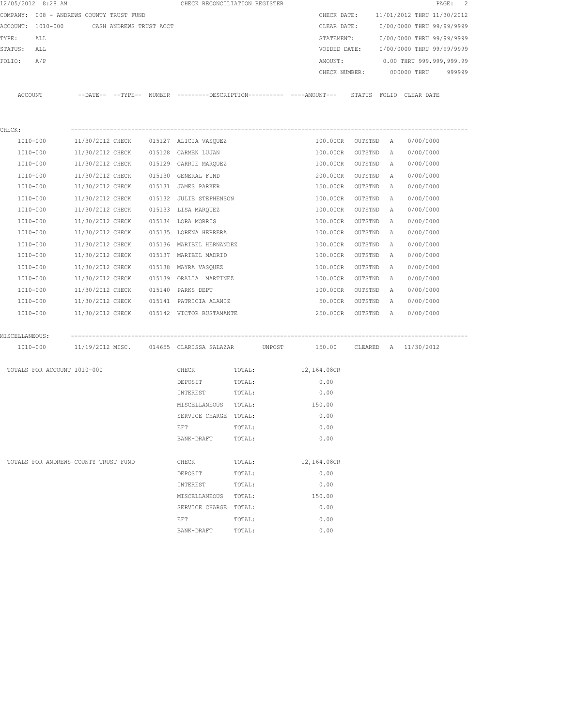| 12/05/2012 8:28 AM                        |                  |  | CHECK RECONCILIATION REGISTER             |        |                                                                                                           |         |              |                                        | PAGE: 2 |
|-------------------------------------------|------------------|--|-------------------------------------------|--------|-----------------------------------------------------------------------------------------------------------|---------|--------------|----------------------------------------|---------|
| COMPANY: 008 - ANDREWS COUNTY TRUST FUND  |                  |  |                                           |        | CHECK DATE:                                                                                               |         |              | 11/01/2012 THRU 11/30/2012             |         |
| ACCOUNT: 1010-000 CASH ANDREWS TRUST ACCT |                  |  |                                           |        | CLEAR DATE:                                                                                               |         |              | 0/00/0000 THRU 99/99/9999              |         |
| TYPE:<br>ALL                              |                  |  |                                           |        | STATEMENT:                                                                                                |         |              | 0/00/0000 THRU 99/99/9999              |         |
| STATUS: ALL                               |                  |  |                                           |        |                                                                                                           |         |              | VOIDED DATE: 0/00/0000 THRU 99/99/9999 |         |
| FOLIO:<br>A/P                             |                  |  |                                           |        | AMOUNT:                                                                                                   |         |              | 0.00 THRU 999,999,999.99               |         |
|                                           |                  |  |                                           |        | CHECK NUMBER:                                                                                             |         |              | 000000 THRU                            | 999999  |
|                                           |                  |  |                                           |        |                                                                                                           |         |              |                                        |         |
| ACCOUNT                                   |                  |  |                                           |        | --DATE-- --TYPE-- NUMBER --------DESCRIPTION---------- ----AMOUNT--- STATUS FOLIO CLEAR DATE              |         |              |                                        |         |
|                                           |                  |  |                                           |        |                                                                                                           |         |              |                                        |         |
|                                           |                  |  |                                           |        |                                                                                                           |         |              |                                        |         |
| CHECK:                                    |                  |  |                                           |        |                                                                                                           |         |              |                                        |         |
| 1010-000                                  |                  |  | 11/30/2012 CHECK 015127 ALICIA VASQUEZ    |        | 100.00CR OUTSTND A                                                                                        |         |              | 0/00/0000                              |         |
| 1010-000                                  |                  |  | 11/30/2012 CHECK 015128 CARMEN LUJAN      |        | 100.00CR                                                                                                  | OUTSTND | A            | 0/00/0000                              |         |
| 1010-000                                  |                  |  | 11/30/2012 CHECK 015129 CARRIE MARQUEZ    |        | 100.00CR                                                                                                  | OUTSTND | Α            | 0/00/0000                              |         |
| 1010-000                                  | 11/30/2012 CHECK |  | 015130 GENERAL FUND                       |        | 200.00CR                                                                                                  | OUTSTND | $\mathbb{A}$ | 0/00/0000                              |         |
| 1010-000                                  | 11/30/2012 CHECK |  | 015131 JAMES PARKER                       |        | 150.00CR                                                                                                  | OUTSTND | $\mathbb{A}$ | 0/00/0000                              |         |
| 1010-000                                  | 11/30/2012 CHECK |  | 015132 JULIE STEPHENSON                   |        | 100.00CR                                                                                                  | OUTSTND | $\mathbb{A}$ | 0/00/0000                              |         |
| 1010-000                                  | 11/30/2012 CHECK |  | 015133 LISA MARQUEZ                       |        | 100.00CR                                                                                                  | OUTSTND | A            | 0/00/0000                              |         |
| 1010-000                                  | 11/30/2012 CHECK |  | 015134 LORA MORRIS                        |        | 100.00CR                                                                                                  | OUTSTND | A            | 0/00/0000                              |         |
| 1010-000                                  | 11/30/2012 CHECK |  | 015135 LORENA HERRERA                     |        | 100.00CR                                                                                                  | OUTSTND | A            | 0/00/0000                              |         |
| 1010-000                                  | 11/30/2012 CHECK |  | 015136 MARIBEL HERNANDEZ                  |        | 100.00CR                                                                                                  | OUTSTND | Α            | 0/00/0000                              |         |
| 1010-000                                  | 11/30/2012 CHECK |  | 015137 MARIBEL MADRID                     |        | 100.00CR                                                                                                  | OUTSTND | $\mathbb{A}$ | 0/00/0000                              |         |
| 1010-000                                  | 11/30/2012 CHECK |  | 015138  MAYRA VASQUEZ                     |        | 100.00CR                                                                                                  | OUTSTND | Α            | 0/00/0000                              |         |
| 1010-000                                  | 11/30/2012 CHECK |  | 015139 ORALIA MARTINEZ                    |        | 100.00CR                                                                                                  | OUTSTND | A            | 0/00/0000                              |         |
| 1010-000                                  | 11/30/2012 CHECK |  | 015140 PARKS DEPT                         |        | 100.00CR                                                                                                  | OUTSTND | A            | 0/00/0000                              |         |
| 1010-000                                  |                  |  | 11/30/2012 CHECK 015141 PATRICIA ALANIZ   |        | 50.00CR                                                                                                   | OUTSTND | A            | 0/00/0000                              |         |
| 1010-000                                  |                  |  | 11/30/2012 CHECK 015142 VICTOR BUSTAMANTE |        | 250.00CR OUTSTND A                                                                                        |         |              | 0/00/0000                              |         |
|                                           |                  |  |                                           |        |                                                                                                           |         |              |                                        |         |
| MISCELLANEOUS:                            |                  |  |                                           |        |                                                                                                           |         |              |                                        |         |
| 1010-000                                  |                  |  |                                           |        | 11/19/2012 MISC. 014655 CLARISSA SALAZAR         UNPOST           150.00       CLEARED   A     11/30/2012 |         |              |                                        |         |
|                                           |                  |  |                                           |        |                                                                                                           |         |              |                                        |         |
| TOTALS FOR ACCOUNT 1010-000               |                  |  | CHECK                                     | TOTAL: | 12,164.08CR                                                                                               |         |              |                                        |         |
|                                           |                  |  | DEPOSIT                                   | TOTAL: | 0.00                                                                                                      |         |              |                                        |         |
|                                           |                  |  | INTEREST                                  | TOTAL: | 0.00                                                                                                      |         |              |                                        |         |
|                                           |                  |  | MISCELLANEOUS TOTAL:                      |        | 150.00                                                                                                    |         |              |                                        |         |
|                                           |                  |  | SERVICE CHARGE                            | TOTAL: | 0.00                                                                                                      |         |              |                                        |         |
|                                           |                  |  | EFT                                       | TOTAL: | 0.00                                                                                                      |         |              |                                        |         |
|                                           |                  |  | BANK-DRAFT                                | TOTAL: | 0.00                                                                                                      |         |              |                                        |         |
|                                           |                  |  |                                           |        |                                                                                                           |         |              |                                        |         |
| TOTALS FOR ANDREWS COUNTY TRUST FUND      |                  |  | CHECK                                     | TOTAL: | 12,164.08CR                                                                                               |         |              |                                        |         |
|                                           |                  |  | DEPOSIT                                   | TOTAL: | 0.00                                                                                                      |         |              |                                        |         |
|                                           |                  |  | INTEREST                                  | TOTAL: | 0.00                                                                                                      |         |              |                                        |         |
|                                           |                  |  | MISCELLANEOUS                             | TOTAL: | 150.00                                                                                                    |         |              |                                        |         |
|                                           |                  |  | SERVICE CHARGE TOTAL:                     |        | 0.00                                                                                                      |         |              |                                        |         |
|                                           |                  |  | EFT                                       | TOTAL: | 0.00                                                                                                      |         |              |                                        |         |
|                                           |                  |  | BANK-DRAFT                                | TOTAL: | 0.00                                                                                                      |         |              |                                        |         |
|                                           |                  |  |                                           |        |                                                                                                           |         |              |                                        |         |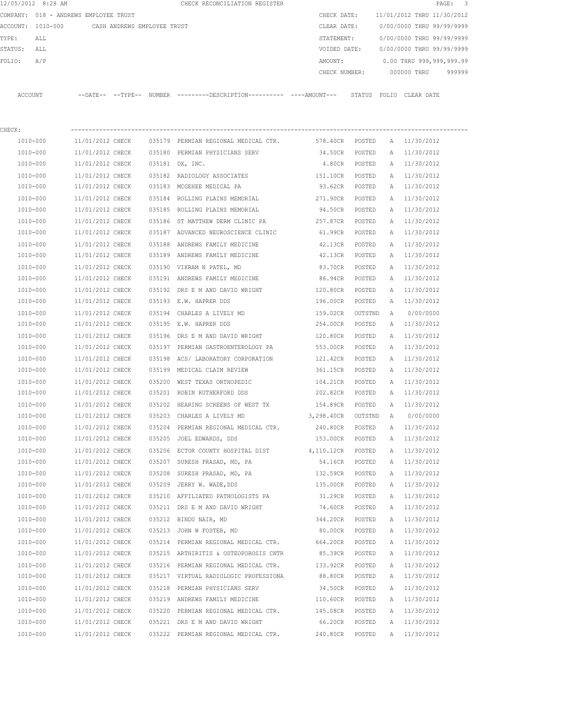|         | 12/05/2012 8:28 AM                    |                  |                             |        | CHECK RECONCILIATION REGISTER                                                                |                   |         |   |                            | 3<br>$\mathtt{PAGE}$ : |
|---------|---------------------------------------|------------------|-----------------------------|--------|----------------------------------------------------------------------------------------------|-------------------|---------|---|----------------------------|------------------------|
|         | COMPANY: 018 - ANDREWS EMPLOYEE TRUST |                  |                             |        |                                                                                              | CHECK DATE:       |         |   | 11/01/2012 THRU 11/30/2012 |                        |
|         | ACCOUNT: 1010-000                     |                  | CASH ANDREWS EMPLOYEE TRUST |        |                                                                                              | CLEAR DATE:       |         |   | 0/00/0000 THRU 99/99/9999  |                        |
| TYPE:   | ALL                                   |                  |                             |        |                                                                                              | STATEMENT:        |         |   | 0/00/0000 THRU 99/99/9999  |                        |
| STATUS: | ALL                                   |                  |                             |        |                                                                                              | VOIDED DATE:      |         |   | 0/00/0000 THRU 99/99/9999  |                        |
| FOLIO:  | A/P                                   |                  |                             |        |                                                                                              | AMOUNT:           |         |   | 0.00 THRU 999,999,999.99   |                        |
|         |                                       |                  |                             |        |                                                                                              | CHECK NUMBER:     |         |   | 000000 THRU                | 999999                 |
|         | ACCOUNT                               |                  |                             |        | --DATE-- --TYPE-- NUMBER ---------DESCRIPTION---------- ----AMOUNT--- STATUS FOLIO CLEARDATE |                   |         |   |                            |                        |
| CHECK:  |                                       |                  |                             |        |                                                                                              |                   |         |   |                            |                        |
|         | 1010-000                              | 11/01/2012 CHECK |                             |        | 035179 PERMIAN REGIONAL MEDICAL CTR. 578.40CR POSTED                                         |                   |         |   | A 11/30/2012               |                        |
|         | 1010-000                              | 11/01/2012 CHECK |                             |        | 035180 PERMIAN PHYSICIANS SERV                                                               | 34.50CR           | POSTED  |   | A 11/30/2012               |                        |
|         | 1010-000                              | 11/01/2012 CHECK |                             |        | 035181 DX, INC.                                                                              | 4.80CR POSTED     |         |   | A 11/30/2012               |                        |
|         | 1010-000                              | 11/01/2012 CHECK |                             |        | 035182 RADIOLOGY ASSOCIATES                                                                  | 151.10CR POSTED   |         |   | A 11/30/2012               |                        |
|         | 1010-000                              | 11/01/2012 CHECK |                             |        | 035183 MCGEHEE MEDICAL PA                                                                    | 93.62CR POSTED    |         |   | A 11/30/2012               |                        |
|         | 1010-000                              | 11/01/2012 CHECK |                             |        | 035184 ROLLING PLAINS MEMORIAL                                                               | 271.90CR POSTED   |         |   | A 11/30/2012               |                        |
|         | 1010-000                              | 11/01/2012 CHECK |                             |        | 035185 ROLLING PLAINS MEMORIAL                                                               | 94.50CR POSTED    |         |   | A 11/30/2012               |                        |
|         | 1010-000                              | 11/01/2012 CHECK |                             |        | 035186 ST MATTHEW DERM CLINIC PA                                                             | 257.87CR          | POSTED  |   | A 11/30/2012               |                        |
|         | 1010-000                              | 11/01/2012 CHECK |                             |        | 035187 ADVANCED NEUROSCIENCE CLINIC                                                          | 61.99CR           | POSTED  |   | A 11/30/2012               |                        |
|         | 1010-000                              | 11/01/2012 CHECK |                             |        | 035188 ANDREWS FAMILY MEDICINE                                                               | 42.13CR           | POSTED  |   | A 11/30/2012               |                        |
|         | 1010-000                              | 11/01/2012 CHECK |                             |        | 035189 ANDREWS FAMILY MEDICINE                                                               | 42.13CR           | POSTED  |   | A 11/30/2012               |                        |
|         | 1010-000                              | 11/01/2012 CHECK |                             |        | 035190 VIKRAM N PATEL, MD                                                                    | 83.70CR           | POSTED  |   | A 11/30/2012               |                        |
|         | 1010-000                              | 11/01/2012 CHECK |                             |        | 035191 ANDREWS FAMILY MEDICINE                                                               | 86.94CR           | POSTED  |   | A 11/30/2012               |                        |
|         | 1010-000                              | 11/01/2012 CHECK |                             |        | 035192 DRS E M AND DAVID WRIGHT                                                              | 120.80CR          | POSTED  | A | 11/30/2012                 |                        |
|         | 1010-000                              | 11/01/2012 CHECK |                             |        | 035193 E.W. HAPRER DDS                                                                       | 196.00CR          | POSTED  |   | A 11/30/2012               |                        |
|         | 1010-000                              | 11/01/2012 CHECK |                             |        | 035194 CHARLES A LIVELY MD                                                                   | 159.02CR OUTSTND  |         | Α | 0/00/0000                  |                        |
|         | 1010-000                              | 11/01/2012 CHECK |                             |        | 035195 E.W. HAPRER DDS                                                                       | 254.00CR          | POSTED  |   | A 11/30/2012               |                        |
|         | 1010-000                              | 11/01/2012 CHECK |                             |        | 035196 DRS E M AND DAVID WRIGHT                                                              | 120.80CR          | POSTED  | A | 11/30/2012                 |                        |
|         | 1010-000                              | 11/01/2012 CHECK |                             |        | 035197 PERMIAN GASTROENTEROLOGY PA                                                           | 553.00CR          | POSTED  | A | 11/30/2012                 |                        |
|         | 1010-000                              | 11/01/2012 CHECK |                             | 035198 | ACS/ LABORATORY CORPORATION                                                                  | 121.42CR          | POSTED  | Α | 11/30/2012                 |                        |
|         | 1010-000                              | 11/01/2012 CHECK |                             |        | 035199 MEDICAL CLAIM REVIEW                                                                  | 361.15CR          | POSTED  |   | A 11/30/2012               |                        |
|         | 1010-000                              | 11/01/2012 CHECK |                             |        | 035200 WEST TEXAS ORTHOPEDIC                                                                 | 104.21CR          | POSTED  |   | A 11/30/2012               |                        |
|         | 1010-000                              | 11/01/2012 CHECK |                             |        | 035201 ROBIN RUTHERFORD DDS                                                                  | 202.82CR          | POSTED  |   | A 11/30/2012               |                        |
|         | 1010-000                              | 11/01/2012 CHECK |                             |        | 035202 HEARING SCREENS OF WEST TX                                                            | 154.89CR          | POSTED  |   | A 11/30/2012               |                        |
|         | 1010-000                              | 11/01/2012 CHECK |                             |        | 035203 CHARLES A LIVELY MD                                                                   | 3,298.40CR        | OUTSTND | A | 0/00/0000                  |                        |
|         | 1010-000                              | 11/01/2012 CHECK |                             |        | 035204 PERMIAN REGIONAL MEDICAL CTR.                                                         | 240.80CR          | POSTED  | Α | 11/30/2012                 |                        |
|         | 1010-000                              | 11/01/2012 CHECK |                             |        | 035205 JOEL EDWARDS, DDS                                                                     | 153.00CR          | POSTED  | Α | 11/30/2012                 |                        |
|         | $1010 - 000$                          | 11/01/2012 CHECK |                             |        | 035206 ECTOR COUNTY HOSPITAL DIST                                                            | 4,110.12CR POSTED |         | Α | 11/30/2012                 |                        |
|         | 1010-000                              | 11/01/2012 CHECK |                             |        | 035207 SURESH PRASAD, MD, PA                                                                 | 54.16CR           | POSTED  | Α | 11/30/2012                 |                        |
|         | 1010-000                              | 11/01/2012 CHECK |                             |        | 035208 SURESH PRASAD, MD, PA                                                                 | 132.59CR POSTED   |         | Α | 11/30/2012                 |                        |
|         | 1010-000                              | 11/01/2012 CHECK |                             |        | 035209 JERRY W. WADE, DDS                                                                    | 135.00CR POSTED   |         | Α | 11/30/2012                 |                        |
|         | 1010-000                              | 11/01/2012 CHECK |                             |        | 035210 AFFILIATED PATHOLOGISTS PA                                                            | 31.29CR           | POSTED  | Α | 11/30/2012                 |                        |
|         | 1010-000                              | 11/01/2012 CHECK |                             |        | 035211 DRS E M AND DAVID WRIGHT                                                              | 74.60CR           | POSTED  | Α | 11/30/2012                 |                        |
|         | 1010-000                              | 11/01/2012 CHECK |                             |        | 035212 BINDU NAIR, MD                                                                        | 344.20CR          | POSTED  | Α | 11/30/2012                 |                        |
|         | 1010-000                              | 11/01/2012 CHECK |                             |        | 035213 JOHN W FOSTER, MD                                                                     | 80.00CR           | POSTED  | Α | 11/30/2012                 |                        |
|         | 1010-000                              | 11/01/2012 CHECK |                             |        | 035214 PERMIAN REGIONAL MEDICAL CTR. 664.20CR                                                |                   | POSTED  | Α | 11/30/2012                 |                        |
|         | 1010-000                              | 11/01/2012 CHECK |                             |        | 035215 ARTHIRITIS & OSTEOPOROSIS CNTR                                                        | 85.39CR           | POSTED  | Α | 11/30/2012                 |                        |
|         | 1010-000                              | 11/01/2012 CHECK |                             |        | 035216 PERMIAN REGIONAL MEDICAL CTR.                                                         | 133.92CR          | POSTED  | Α | 11/30/2012                 |                        |
|         | 1010-000                              | 11/01/2012 CHECK |                             |        | 035217 VIRTUAL RADIOLOGIC PROFESSIONA                                                        | 88.80CR           | POSTED  | Α | 11/30/2012                 |                        |
|         | 1010-000                              | 11/01/2012 CHECK |                             |        | 035218 PERMIAN PHYSICIANS SERV                                                               | 34.50CR           | POSTED  |   | A 11/30/2012               |                        |
|         | 1010-000                              | 11/01/2012 CHECK |                             |        | 035219 ANDREWS FAMILY MEDICINE                                                               | 110.60CR POSTED   |         |   | A 11/30/2012               |                        |
|         | 1010-000                              | 11/01/2012 CHECK |                             |        | 035220 PERMIAN REGIONAL MEDICAL CTR.                                                         | 145.08CR POSTED   |         |   | A 11/30/2012               |                        |
|         | 1010-000                              | 11/01/2012 CHECK |                             |        | 035221 DRS E M AND DAVID WRIGHT                                                              | 66.20CR POSTED    |         | A | 11/30/2012                 |                        |
|         | 1010-000                              | 11/01/2012 CHECK |                             |        | 035222 PERMIAN REGIONAL MEDICAL CTR.                                                         | 240.80CR          | POSTED  |   | A 11/30/2012               |                        |
|         |                                       |                  |                             |        |                                                                                              |                   |         |   |                            |                        |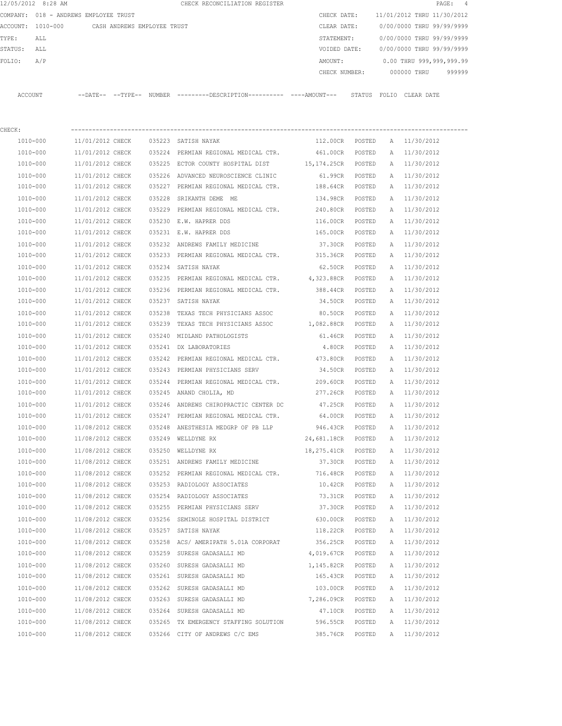|         | 12/05/2012 8:28 AM |                                       |        | CHECK RECONCILIATION REGISTER                 |  |               |        |                            |             | PAGE: 4                  |  |
|---------|--------------------|---------------------------------------|--------|-----------------------------------------------|--|---------------|--------|----------------------------|-------------|--------------------------|--|
|         |                    | COMPANY: 018 - ANDREWS EMPLOYEE TRUST |        |                                               |  | CHECK DATE:   |        | 11/01/2012 THRU 11/30/2012 |             |                          |  |
|         | ACCOUNT: 1010-000  | CASH ANDREWS EMPLOYEE TRUST           |        |                                               |  | CLEAR DATE:   |        | 0/00/0000 THRU 99/99/9999  |             |                          |  |
| TYPE:   | ALL                |                                       |        |                                               |  | STATEMENT:    |        | 0/00/0000 THRU 99/99/9999  |             |                          |  |
| STATUS: | ALL                |                                       |        |                                               |  | VOIDED DATE:  |        | 0/00/0000 THRU 99/99/9999  |             |                          |  |
| FOLTO:  | A/P                |                                       |        |                                               |  | AMOUNT:       |        |                            |             | 0.00 THRU 999,999,999.99 |  |
|         |                    |                                       |        |                                               |  | CHECK NUMBER: |        |                            | 000000 THRU | 999999                   |  |
|         |                    |                                       |        |                                               |  |               |        |                            |             |                          |  |
| ACCOUNT |                    | $--$ DATE $- --$ TYPE $--$            | NUMBER | ---------DESCRIPTION----------- ----AMOUNT--- |  |               | STATUS | FOLTO                      | CLEAR DATE  |                          |  |

| CHECK:   |                  |        |                                                 |                |        |   |            |
|----------|------------------|--------|-------------------------------------------------|----------------|--------|---|------------|
| 1010-000 | 11/01/2012 CHECK |        | 035223 SATISH NAYAK                             | 112.00CR       | POSTED | A | 11/30/2012 |
| 1010-000 | 11/01/2012 CHECK |        | 035224 PERMIAN REGIONAL MEDICAL CTR. 461.00CR   |                | POSTED | Α | 11/30/2012 |
| 1010-000 | 11/01/2012 CHECK |        | 035225 ECTOR COUNTY HOSPITAL DIST 15,174.25CR   |                | POSTED | Α | 11/30/2012 |
| 1010-000 | 11/01/2012 CHECK |        | 035226 ADVANCED NEUROSCIENCE CLINIC             | 61.99CR        | POSTED | Α | 11/30/2012 |
| 1010-000 | 11/01/2012 CHECK | 035227 | PERMIAN REGIONAL MEDICAL CTR.                   | 188.64CR       | POSTED | Α | 11/30/2012 |
| 1010-000 | 11/01/2012 CHECK |        | 035228 SRIKANTH DEME ME                         | 134.98CR       | POSTED | Α | 11/30/2012 |
| 1010-000 | 11/01/2012 CHECK |        | 035229 PERMIAN REGIONAL MEDICAL CTR.            | 240.80CR       | POSTED | Α | 11/30/2012 |
| 1010-000 | 11/01/2012 CHECK |        | 035230 E.W. HAPRER DDS                          | 116.00CR       | POSTED | Α | 11/30/2012 |
| 1010-000 | 11/01/2012 CHECK |        | 035231 E.W. HAPRER DDS                          | 165.00CR       | POSTED | Α | 11/30/2012 |
| 1010-000 | 11/01/2012 CHECK |        | 035232 ANDREWS FAMILY MEDICINE                  | 37.30CR        | POSTED | Α | 11/30/2012 |
| 1010-000 | 11/01/2012 CHECK |        | 035233 PERMIAN REGIONAL MEDICAL CTR. 315.36CR   |                | POSTED | Α | 11/30/2012 |
| 1010-000 | 11/01/2012 CHECK |        | 035234 SATISH NAYAK                             | 62.50CR        | POSTED | Α | 11/30/2012 |
| 1010-000 | 11/01/2012 CHECK |        | 035235 PERMIAN REGIONAL MEDICAL CTR. 4,323.88CR |                | POSTED | Α | 11/30/2012 |
| 1010-000 | 11/01/2012 CHECK |        | 035236 PERMIAN REGIONAL MEDICAL CTR.            | 388.44CR       | POSTED | Α | 11/30/2012 |
| 1010-000 | 11/01/2012 CHECK |        | 035237 SATISH NAYAK                             | 34.50CR        | POSTED | Α | 11/30/2012 |
| 1010-000 | 11/01/2012 CHECK |        | 035238 TEXAS TECH PHYSICIANS ASSOC              | 80.50CR        | POSTED | Α | 11/30/2012 |
| 1010-000 | 11/01/2012 CHECK |        | 035239 TEXAS TECH PHYSICIANS ASSOC              | 1,082.88CR     | POSTED | Α | 11/30/2012 |
| 1010-000 | 11/01/2012 CHECK |        | 035240 MIDLAND PATHOLOGISTS                     | 61.46CR        | POSTED | Α | 11/30/2012 |
| 1010-000 | 11/01/2012 CHECK |        | 035241 DX LABORATORIES                          | 4.80CR         | POSTED | Α | 11/30/2012 |
| 1010-000 | 11/01/2012 CHECK |        | 035242 PERMIAN REGIONAL MEDICAL CTR.            | 473.80CR       | POSTED | Α | 11/30/2012 |
| 1010-000 | 11/01/2012 CHECK |        | 035243 PERMIAN PHYSICIANS SERV                  | 34.50CR        | POSTED | Α | 11/30/2012 |
| 1010-000 | 11/01/2012 CHECK |        | 035244 PERMIAN REGIONAL MEDICAL CTR.            | 209.60CR       | POSTED | Α | 11/30/2012 |
| 1010-000 | 11/01/2012 CHECK |        | 035245 ANAND CHOLIA, MD                         | 277.26CR       | POSTED | Α | 11/30/2012 |
| 1010-000 | 11/01/2012 CHECK |        | 035246 ANDREWS CHIROPRACTIC CENTER DC           | 47.25CR        | POSTED | Α | 11/30/2012 |
| 1010-000 | 11/01/2012 CHECK |        | 035247 PERMIAN REGIONAL MEDICAL CTR.            | 64.00CR        | POSTED | Α | 11/30/2012 |
| 1010-000 | 11/08/2012 CHECK |        | 035248 ANESTHESIA MEDGRP OF PB LLP              | 946.43CR       | POSTED | Α | 11/30/2012 |
| 1010-000 | 11/08/2012 CHECK |        | 035249 WELLDYNE RX                              | 24,681.18CR    | POSTED | Α | 11/30/2012 |
| 1010-000 | 11/08/2012 CHECK | 035250 | WELLDYNE RX                                     | 18,275.41CR    | POSTED | Α | 11/30/2012 |
| 1010-000 | 11/08/2012 CHECK |        | 035251 ANDREWS FAMILY MEDICINE                  | 37.30CR        | POSTED | Α | 11/30/2012 |
| 1010-000 | 11/08/2012 CHECK |        | 035252 PERMIAN REGIONAL MEDICAL CTR.            | 716.48CR       | POSTED | Α | 11/30/2012 |
| 1010-000 | 11/08/2012 CHECK |        | 035253 RADIOLOGY ASSOCIATES                     | 10.42CR        | POSTED | Α | 11/30/2012 |
| 1010-000 | 11/08/2012 CHECK |        | 035254 RADIOLOGY ASSOCIATES                     | 73.31CR        | POSTED | A | 11/30/2012 |
| 1010-000 | 11/08/2012 CHECK |        | 035255 PERMIAN PHYSICIANS SERV                  | 37.30CR POSTED |        | A | 11/30/2012 |
| 1010-000 | 11/08/2012 CHECK |        | 035256 SEMINOLE HOSPITAL DISTRICT               | 630.00CR       | POSTED | Α | 11/30/2012 |
| 1010-000 | 11/08/2012 CHECK |        | 035257 SATISH NAYAK                             | 118.22CR       | POSTED | Α | 11/30/2012 |
| 1010-000 | 11/08/2012 CHECK |        | 035258 ACS/ AMERIPATH 5.01A CORPORAT            | 356.25CR       | POSTED | А | 11/30/2012 |
| 1010-000 | 11/08/2012 CHECK | 035259 | SURESH GADASALLI MD                             | 4,019.67CR     | POSTED | Α | 11/30/2012 |
| 1010-000 | 11/08/2012 CHECK | 035260 | SURESH GADASALLI MD                             | 1,145.82CR     | POSTED | Α | 11/30/2012 |
| 1010-000 | 11/08/2012 CHECK | 035261 | SURESH GADASALLI MD                             | 165.43CR       | POSTED | Α | 11/30/2012 |
| 1010-000 | 11/08/2012 CHECK | 035262 | SURESH GADASALLI MD                             | 103.00CR       | POSTED | Α | 11/30/2012 |
| 1010-000 | 11/08/2012 CHECK | 035263 | SURESH GADASALLI MD                             | 7,286.09CR     | POSTED | Α | 11/30/2012 |
| 1010-000 | 11/08/2012 CHECK | 035264 | SURESH GADASALLI MD                             | 47.10CR        | POSTED | Α | 11/30/2012 |
| 1010-000 | 11/08/2012 CHECK | 035265 | TX EMERGENCY STAFFING SOLUTION                  | 596.55CR       | POSTED | А | 11/30/2012 |
| 1010-000 | 11/08/2012 CHECK |        | 035266 CITY OF ANDREWS C/C EMS                  | 385.76CR       | POSTED | Α | 11/30/2012 |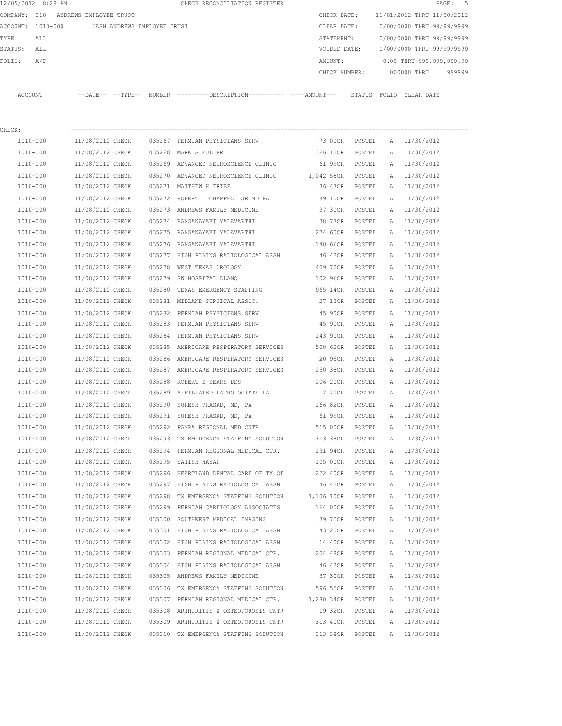|                   | 12/05/2012 8:28 AM |                                       |               | CHECK RECONCILIATION REGISTER |               |                            |            | PAGE: 5                  |  |
|-------------------|--------------------|---------------------------------------|---------------|-------------------------------|---------------|----------------------------|------------|--------------------------|--|
|                   |                    | COMPANY: 018 - ANDREWS EMPLOYEE TRUST |               |                               | CHECK DATE:   | 11/01/2012 THRU 11/30/2012 |            |                          |  |
| ACCOUNT: 1010-000 |                    | CASH ANDREWS EMPLOYEE TRUST           |               |                               | CLEAR DATE:   | 0/00/0000 THRU 99/99/9999  |            |                          |  |
| TYPE:             | ALL                |                                       |               |                               | STATEMENT:    | 0/00/0000 THRU 99/99/9999  |            |                          |  |
| STATUS:           | ALL                |                                       |               |                               | VOIDED DATE:  | 0/00/0000 THRU 99/99/9999  |            |                          |  |
| FOLIO:            | A/P                |                                       |               |                               | AMOUNT:       |                            |            | 0.00 THRU 999,999,999.99 |  |
|                   |                    |                                       |               |                               | CHECK NUMBER: | 000000 THRU                |            | 999999                   |  |
|                   |                    |                                       |               |                               |               |                            |            |                          |  |
| ACCOUNT           |                    | $--$ DATE $- --$ TYPE $--$            | <b>NUMBER</b> |                               |               | STATUS<br>FOLTO            | CLEAR DATE |                          |  |

| CHECK:   |                                      |                                                         |                   |        |   |              |
|----------|--------------------------------------|---------------------------------------------------------|-------------------|--------|---|--------------|
| 1010-000 | 11/08/2012 CHECK                     | 035267 PERMIAN PHYSICIANS SERV                          | 73.00CR POSTED    |        |   | A 11/30/2012 |
| 1010-000 | 11/08/2012 CHECK                     | 035268 MARK S MULLER                                    | 366.12CR POSTED   |        |   | A 11/30/2012 |
| 1010-000 | 11/08/2012 CHECK                     | 035269 ADVANCED NEUROSCIENCE CLINIC                     | 61.99CR POSTED    |        |   | A 11/30/2012 |
| 1010-000 | 11/08/2012 CHECK                     | 035270 ADVANCED NEUROSCIENCE CLINIC                     | 1,042.58CR POSTED |        |   | A 11/30/2012 |
| 1010-000 | 11/08/2012 CHECK                     | 035271 MATTHEW H FRIEZ                                  | 36.47CR POSTED    |        |   | A 11/30/2012 |
| 1010-000 | 11/08/2012 CHECK                     | 035272 ROBERT L CHAPPELL JR MD PA                       | 89.10CR POSTED    |        |   | A 11/30/2012 |
| 1010-000 | 11/08/2012 CHECK                     | 035273 ANDREWS FAMILY MEDICINE                          | 37.30CR POSTED    |        |   | A 11/30/2012 |
| 1010-000 | 11/08/2012 CHECK                     | 035274 RANGANAYAKI YALAVARTHI                           | 38.77CR POSTED    |        |   | A 11/30/2012 |
| 1010-000 | 11/08/2012 CHECK                     | 035275 RANGANAYAKI YALAVARTHI                           | 274.60CR POSTED   |        |   | A 11/30/2012 |
| 1010-000 | 11/08/2012 CHECK                     | 035276 RANGANAYAKI YALAVARTHI                           | 140.66CR POSTED   |        |   | A 11/30/2012 |
| 1010-000 | 11/08/2012 CHECK                     | 035277 HIGH PLAINS RADIOLOGICAL ASSN                    | 46.43CR POSTED    |        |   | A 11/30/2012 |
| 1010-000 | 11/08/2012 CHECK                     | 035278 WEST TEXAS UROLOGY                               | 409.72CR POSTED   |        |   | A 11/30/2012 |
| 1010-000 | 11/08/2012 CHECK                     | 035279 SW HOSPITAL LLANO                                | 102.96CR POSTED   |        |   | A 11/30/2012 |
| 1010-000 | 11/08/2012 CHECK                     | 035280 TEXAS EMERGENCY STAFFING                         | 965.14CR POSTED   |        |   | A 11/30/2012 |
| 1010-000 | 11/08/2012 CHECK                     | 035281 MIDLAND SURGICAL ASSOC.                          | 27.13CR POSTED    |        |   | A 11/30/2012 |
| 1010-000 | 11/08/2012 CHECK                     | 035282 PERMIAN PHYSICIANS SERV                          | 45.90CR POSTED    |        |   | A 11/30/2012 |
| 1010-000 | 11/08/2012 CHECK                     | 035283 PERMIAN PHYSICIANS SERV                          | 45.90CR POSTED    |        |   | A 11/30/2012 |
| 1010-000 | 11/08/2012 CHECK                     | 035284 PERMIAN PHYSICIANS SERV                          | 143.90CR POSTED   |        |   | A 11/30/2012 |
| 1010-000 | 11/08/2012 CHECK                     | 035285 AMERICARE RESPIRATORY SERVICES                   | 508.62CR POSTED   |        |   | A 11/30/2012 |
| 1010-000 | 11/08/2012 CHECK                     | 035286 AMERICARE RESPIRATORY SERVICES                   | 20.95CR POSTED    |        |   | A 11/30/2012 |
| 1010-000 | 11/08/2012 CHECK                     | 035287 AMERICARE RESPIRATORY SERVICES                   | 250.38CR POSTED   |        |   | A 11/30/2012 |
| 1010-000 | 11/08/2012 CHECK                     | 035288 ROBERT E SEARS DDS                               | 206.20CR POSTED   |        |   | A 11/30/2012 |
| 1010-000 | 11/08/2012 CHECK                     | 035289 AFFILIATED PATHOLOGISTS PA                       | 7.70CR POSTED     |        |   | A 11/30/2012 |
| 1010-000 | 11/08/2012 CHECK                     | 035290 SURESH PRASAD, MD, PA                            | 166.82CR POSTED   |        |   | A 11/30/2012 |
| 1010-000 | 11/08/2012 CHECK                     | 035291 SURESH PRASAD, MD, PA                            | 61.99CR POSTED    |        |   | A 11/30/2012 |
| 1010-000 | 11/08/2012 CHECK                     | 035292 PAMPA REGIONAL MED CNTR                          | 515.00CR          | POSTED |   | A 11/30/2012 |
| 1010-000 | 11/08/2012 CHECK                     | 035293 TX EMERGENCY STAFFING SOLUTION                   | 313.38CR POSTED   |        |   | A 11/30/2012 |
| 1010-000 | 11/08/2012 CHECK                     | 035294 PERMIAN REGIONAL MEDICAL CTR.                    | 131.94CR POSTED   |        |   | A 11/30/2012 |
| 1010-000 | 11/08/2012 CHECK 035295 SATISH NAYAK |                                                         | 105.00CR POSTED   |        |   | A 11/30/2012 |
| 1010-000 | 11/08/2012 CHECK                     | 035296 HEARTLAND DENTAL CARE OF TX OT                   | 222.40CR POSTED   |        |   | A 11/30/2012 |
| 1010-000 |                                      | 11/08/2012 CHECK 035297 HIGH PLAINS RADIOLOGICAL ASSN   | 46.43CR POSTED    |        |   | A 11/30/2012 |
| 1010-000 | 11/08/2012 CHECK                     | 035298 TX EMERGENCY STAFFING SOLUTION 1,106.10CR POSTED |                   |        |   | A 11/30/2012 |
| 1010-000 | 11/08/2012 CHECK                     | 035299 PERMIAN CARDIOLOGY ASSOCIATES                    | 164.00CR POSTED   |        |   | A 11/30/2012 |
| 1010-000 | 11/08/2012 CHECK                     | 035300 SOUTHWEST MEDICAL IMAGING                        | 39.75CR POSTED    |        |   | A 11/30/2012 |
| 1010-000 | 11/08/2012 CHECK                     | 035301 HIGH PLAINS RADIOLOGICAL ASSN                    | 43.20CR           | POSTED |   | A 11/30/2012 |
| 1010-000 | 11/08/2012 CHECK                     | 035302 HIGH PLAINS RADIOLOGICAL ASSN                    | 14.40CR           | POSTED | Α | 11/30/2012   |
| 1010-000 | 11/08/2012 CHECK                     | 035303 PERMIAN REGIONAL MEDICAL CTR.                    | 204.48CR          | POSTED | Α | 11/30/2012   |
| 1010-000 | 11/08/2012 CHECK                     | 035304 HIGH PLAINS RADIOLOGICAL ASSN                    | 46.43CR           | POSTED | Α | 11/30/2012   |
| 1010-000 | 11/08/2012 CHECK                     | 035305 ANDREWS FAMILY MEDICINE                          | 37.30CR           | POSTED | Α | 11/30/2012   |
| 1010-000 | 11/08/2012 CHECK                     | 035306 TX EMERGENCY STAFFING SOLUTION                   | 596.55CR          | POSTED | Α | 11/30/2012   |
| 1010-000 | 11/08/2012 CHECK                     | 035307 PERMIAN REGIONAL MEDICAL CTR.                    | 1,280.34CR        | POSTED | A | 11/30/2012   |
| 1010-000 | 11/08/2012 CHECK                     | 035308 ARTHIRITIS & OSTEOPOROSIS CNTR                   | 19.32CR           | POSTED | A | 11/30/2012   |
| 1010-000 | 11/08/2012 CHECK                     | 035309 ARTHIRITIS & OSTEOPOROSIS CNTR                   | 313.40CR          | POSTED | Α | 11/30/2012   |
| 1010-000 | 11/08/2012 CHECK                     | 035310 TX EMERGENCY STAFFING SOLUTION                   | 313.38CR          | POSTED | Α | 11/30/2012   |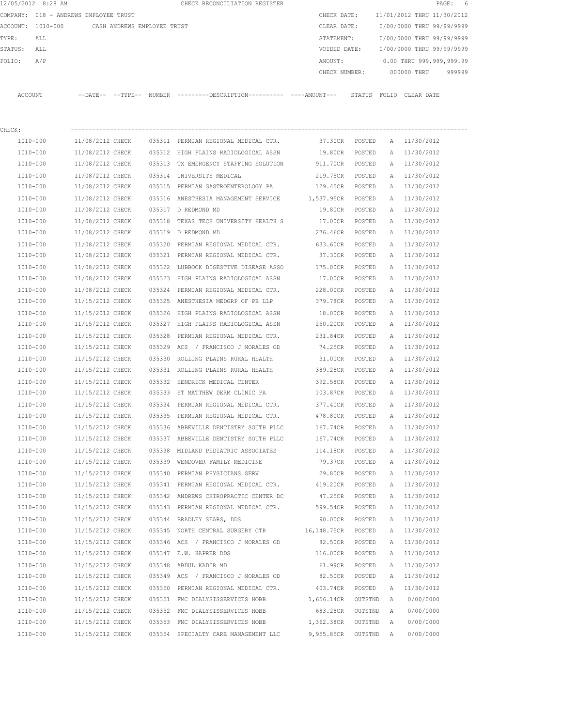|         | 12/05/2012 8:28 AM                    |                                      |                             |                  | CHECK RECONCILIATION REGISTER                                                               |                                    |                  |        |                              | PAGE:<br>-6 |
|---------|---------------------------------------|--------------------------------------|-----------------------------|------------------|---------------------------------------------------------------------------------------------|------------------------------------|------------------|--------|------------------------------|-------------|
|         | COMPANY: 018 - ANDREWS EMPLOYEE TRUST |                                      |                             |                  |                                                                                             | CHECK DATE:                        |                  |        | 11/01/2012 THRU 11/30/2012   |             |
|         | ACCOUNT: 1010-000                     |                                      | CASH ANDREWS EMPLOYEE TRUST |                  |                                                                                             | CLEAR DATE:                        |                  |        | 0/00/0000 THRU 99/99/9999    |             |
| TYPE:   | ALL                                   |                                      |                             |                  |                                                                                             | STATEMENT:                         |                  |        | 0/00/0000 THRU 99/99/9999    |             |
| STATUS: | ALL                                   |                                      |                             |                  |                                                                                             | VOIDED DATE:                       |                  |        | 0/00/0000 THRU 99/99/9999    |             |
| FOLIO:  | A/P                                   |                                      |                             |                  |                                                                                             | AMOUNT:                            |                  |        | 0.00 THRU 999,999,999.99     |             |
|         |                                       |                                      |                             |                  |                                                                                             | CHECK NUMBER:                      |                  |        | 000000 THRU                  | 999999      |
|         | ACCOUNT                               |                                      |                             |                  | --DATE-- --TYPE-- NUMBER ---------DESCRIPTION--------- ----AMOUNT--- STATUS FOLIO CLEARDATE |                                    |                  |        |                              |             |
|         |                                       |                                      |                             |                  |                                                                                             |                                    |                  |        |                              |             |
| CHECK:  |                                       |                                      |                             |                  |                                                                                             |                                    |                  |        |                              |             |
|         | 1010-000                              | 11/08/2012 CHECK                     |                             |                  | 035311 PERMIAN REGIONAL MEDICAL CTR.                                                        | 37.30CR POSTED                     |                  |        | A 11/30/2012                 |             |
|         | 1010-000<br>1010-000                  | 11/08/2012 CHECK                     |                             |                  | 035312 HIGH PLAINS RADIOLOGICAL ASSN                                                        | 19.80CR                            | POSTED           |        | A 11/30/2012                 |             |
|         |                                       | 11/08/2012 CHECK                     |                             |                  | 035313 TX EMERGENCY STAFFING SOLUTION                                                       | 911.70CR POSTED                    |                  |        | A 11/30/2012                 |             |
|         | 1010-000                              | 11/08/2012 CHECK<br>11/08/2012 CHECK |                             |                  | 035314 UNIVERSITY MEDICAL                                                                   | 219.75CR POSTED<br>129.45CR POSTED |                  |        | A 11/30/2012                 |             |
|         | 1010-000                              |                                      |                             |                  | 035315 PERMIAN GASTROENTEROLOGY PA                                                          |                                    |                  |        | A 11/30/2012                 |             |
|         | 1010-000                              | 11/08/2012 CHECK<br>11/08/2012 CHECK |                             |                  | 035316 ANESTHESIA MANAGEMENT SERVICE 1,537.95CR POSTED                                      | 19.80CR                            |                  | Α      | 11/30/2012<br>A 11/30/2012   |             |
|         | 1010-000                              |                                      |                             |                  | 035317 D REDMOND MD                                                                         |                                    | POSTED           |        |                              |             |
|         | 1010-000<br>1010-000                  | 11/08/2012 CHECK<br>11/08/2012 CHECK |                             | 035318           | TEXAS TECH UNIVERSITY HEALTH S<br>035319 D REDMOND MD                                       | 17.00CR<br>276.46CR                | POSTED<br>POSTED |        | A 11/30/2012<br>A 11/30/2012 |             |
|         |                                       |                                      |                             |                  |                                                                                             |                                    |                  |        |                              |             |
|         | 1010-000<br>1010-000                  | 11/08/2012 CHECK<br>11/08/2012 CHECK |                             |                  | 035320 PERMIAN REGIONAL MEDICAL CTR. 633.60CR<br>035321 PERMIAN REGIONAL MEDICAL CTR.       | 37.30CR                            | POSTED<br>POSTED | A      | 11/30/2012<br>A 11/30/2012   |             |
|         |                                       |                                      |                             |                  |                                                                                             |                                    |                  |        |                              |             |
|         | 1010-000<br>1010-000                  | 11/08/2012 CHECK<br>11/08/2012 CHECK |                             |                  | 035322 LUBBOCK DIGESTIVE DISEASE ASSO<br>035323 HIGH PLAINS RADIOLOGICAL ASSN               | 175.00CR<br>17.00CR                | POSTED<br>POSTED | A<br>A | 11/30/2012<br>11/30/2012     |             |
|         | 1010-000                              | 11/08/2012 CHECK                     |                             |                  | 035324 PERMIAN REGIONAL MEDICAL CTR.                                                        | 228.00CR                           | POSTED           | A      | 11/30/2012                   |             |
|         | 1010-000                              | 11/15/2012 CHECK                     |                             |                  | 035325 ANESTHESIA MEDGRP OF PB LLP                                                          | 379.78CR                           | POSTED           | A      | 11/30/2012                   |             |
|         | 1010-000                              | 11/15/2012 CHECK                     |                             |                  | 035326 HIGH PLAINS RADIOLOGICAL ASSN                                                        | 18.00CR                            |                  |        | A 11/30/2012                 |             |
|         | 1010-000                              | 11/15/2012 CHECK                     |                             |                  | 035327 HIGH PLAINS RADIOLOGICAL ASSN                                                        | 250.20CR                           | POSTED<br>POSTED | A      | 11/30/2012                   |             |
|         |                                       |                                      |                             |                  |                                                                                             |                                    |                  |        |                              |             |
|         | 1010-000<br>1010-000                  | 11/15/2012 CHECK<br>11/15/2012 CHECK |                             | 035328<br>035329 | PERMIAN REGIONAL MEDICAL CTR.<br>ACS / FRANCISCO J MORALES OD                               | 231.84CR<br>74.25CR                | POSTED<br>POSTED | A<br>A | 11/30/2012<br>11/30/2012     |             |
|         | 1010-000                              | 11/15/2012 CHECK                     |                             | 035330           | ROLLING PLAINS RURAL HEALTH                                                                 | 31.00CR                            | POSTED           |        | A 11/30/2012                 |             |
|         | 1010-000                              | 11/15/2012 CHECK                     |                             |                  | 035331 ROLLING PLAINS RURAL HEALTH                                                          | 389.28CR                           | POSTED           |        | A 11/30/2012                 |             |
|         | 1010-000                              | 11/15/2012 CHECK                     |                             |                  | 035332 HENDRICK MEDICAL CENTER                                                              | 392.58CR                           | POSTED           | A      | 11/30/2012                   |             |
|         | 1010-000                              | 11/15/2012 CHECK                     |                             |                  | 035333 ST MATTHEW DERM CLINIC PA                                                            | 103.87CR                           | POSTED           | A      | 11/30/2012                   |             |
|         | 1010-000                              | 11/15/2012 CHECK                     |                             |                  | 035334 PERMIAN REGIONAL MEDICAL CTR.                                                        | 377.40CR                           | POSTED           | A      | 11/30/2012                   |             |
|         | 1010-000                              | 11/15/2012 CHECK                     |                             |                  | 035335 PERMIAN REGIONAL MEDICAL CTR.                                                        | 478.80CR                           | POSTED           | А      | 11/30/2012                   |             |
|         | $1010 - 000$                          | 11/15/2012 CHECK                     |                             |                  | 035336 ABBEVILLE DENTISTRY SOUTH PLLC                                                       | 167.74CR                           | POSTED           | Α      | 11/30/2012                   |             |
|         | 1010-000                              | 11/15/2012 CHECK                     |                             |                  | 035337 ABBEVILLE DENTISTRY SOUTH PLLC                                                       | 167.74CR                           | POSTED           | Α      | 11/30/2012                   |             |
|         | 1010-000                              | 11/15/2012 CHECK                     |                             |                  | 035338 MIDLAND PEDIATRIC ASSOCIATES                                                         | 114.18CR                           | POSTED           | Α      | 11/30/2012                   |             |
|         | 1010-000                              | 11/15/2012 CHECK                     |                             |                  | 035339 WENDOVER FAMILY MEDICINE                                                             | 79.37CR                            | POSTED           | Α      | 11/30/2012                   |             |
|         | 1010-000                              | 11/15/2012 CHECK                     |                             | 035340           | PERMIAN PHYSICIANS SERV                                                                     | 29.80CR                            | POSTED           | Α      | 11/30/2012                   |             |
|         | $1010 - 000$                          | 11/15/2012 CHECK                     |                             |                  | 035341 PERMIAN REGIONAL MEDICAL CTR.                                                        | 419.20CR                           | POSTED           | Α      | 11/30/2012                   |             |
|         | 1010-000                              | 11/15/2012 CHECK                     |                             |                  | 035342 ANDREWS CHIROPRACTIC CENTER DC                                                       | 47.25CR                            | POSTED           | Α      | 11/30/2012                   |             |
|         | 1010-000                              | 11/15/2012 CHECK                     |                             |                  | 035343 PERMIAN REGIONAL MEDICAL CTR.                                                        | 599.54CR                           | POSTED           | Α      | 11/30/2012                   |             |
|         | $1010 - 000$                          | 11/15/2012 CHECK                     |                             |                  | 035344 BRADLEY SEARS, DDS                                                                   | 90.00CR                            | POSTED           | Α      | 11/30/2012                   |             |
|         | 1010-000                              | 11/15/2012 CHECK                     |                             |                  | 035345 NORTH CENTRAL SURGERY CTR                                                            | 16,148.75CR                        | POSTED           | Α      | 11/30/2012                   |             |
|         | 1010-000                              | 11/15/2012 CHECK                     |                             |                  | 035346 ACS / FRANCISCO J MORALES OD                                                         | 82.50CR                            | POSTED           | Α      | 11/30/2012                   |             |
|         | 1010-000                              | 11/15/2012 CHECK                     |                             |                  | 035347 E.W. HAPRER DDS                                                                      | 116.00CR                           | POSTED           | Α      | 11/30/2012                   |             |
|         | 1010-000                              | 11/15/2012 CHECK                     |                             |                  | 035348 ABDUL KADIR MD                                                                       | 61.99CR                            | POSTED           | Α      | 11/30/2012                   |             |
|         | 1010-000                              | 11/15/2012 CHECK                     |                             |                  | 035349 ACS / FRANCISCO J MORALES OD                                                         | 82.50CR                            | POSTED           | Α      | 11/30/2012                   |             |
|         | 1010-000                              | 11/15/2012 CHECK                     |                             |                  | 035350 PERMIAN REGIONAL MEDICAL CTR.                                                        | 403.74CR                           | POSTED           | Α      | 11/30/2012                   |             |
|         | 1010-000                              | 11/15/2012 CHECK                     |                             |                  | 035351 FMC DIALYSISSERVICES HOBB                                                            | 1,656.14CR                         | OUTSTND          | Α      | 0/00/0000                    |             |
|         | 1010-000                              | 11/15/2012 CHECK                     |                             |                  | 035352 FMC DIALYSISSERVICES HOBB                                                            | 683.28CR                           | OUTSTND          | Α      | 0/00/0000                    |             |
|         | 1010-000                              | 11/15/2012 CHECK                     |                             |                  | 035353 FMC DIALYSISSERVICES HOBB                                                            | 1,362.38CR                         | OUTSTND          | Α      | 0/00/0000                    |             |
|         | 1010-000                              | 11/15/2012 CHECK                     |                             |                  | 035354 SPECIALTY CARE MANAGEMENT LLC                                                        | 9,955.85CR                         | OUTSTND          | Α      | 0/00/0000                    |             |
|         |                                       |                                      |                             |                  |                                                                                             |                                    |                  |        |                              |             |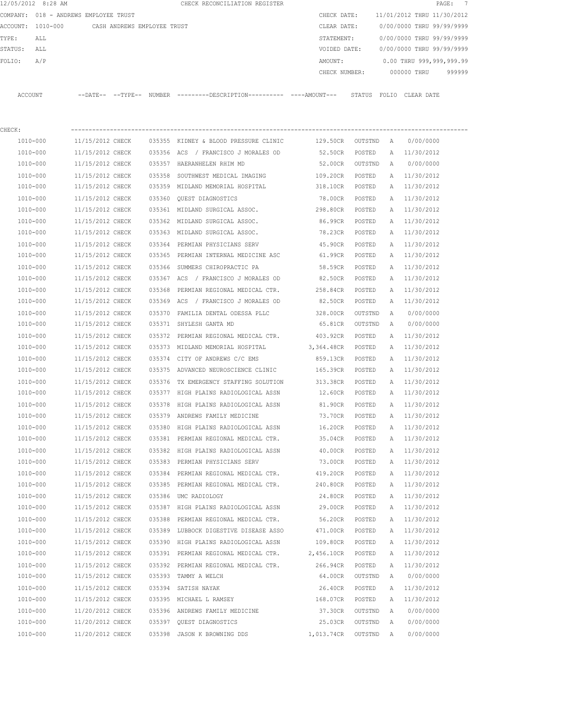|         | 12/05/2012 8:28 AM                    |                                      |                             |        | CHECK RECONCILIATION REGISTER                                                                 |                      |                  |              |                            | $\overline{7}$<br>$\texttt{PAGE}$ : |
|---------|---------------------------------------|--------------------------------------|-----------------------------|--------|-----------------------------------------------------------------------------------------------|----------------------|------------------|--------------|----------------------------|-------------------------------------|
|         | COMPANY: 018 - ANDREWS EMPLOYEE TRUST |                                      |                             |        |                                                                                               | CHECK DATE:          |                  |              | 11/01/2012 THRU 11/30/2012 |                                     |
|         | ACCOUNT: 1010-000                     |                                      | CASH ANDREWS EMPLOYEE TRUST |        |                                                                                               | CLEAR DATE:          |                  |              | 0/00/0000 THRU 99/99/9999  |                                     |
| TYPE:   | ALL                                   |                                      |                             |        |                                                                                               | STATEMENT:           |                  |              | 0/00/0000 THRU 99/99/9999  |                                     |
| STATUS: | ALL                                   |                                      |                             |        |                                                                                               | VOIDED DATE:         |                  |              | 0/00/0000 THRU 99/99/9999  |                                     |
| FOLIO:  | A/P                                   |                                      |                             |        |                                                                                               | AMOUNT:              |                  |              | 0.00 THRU 999,999,999.99   |                                     |
|         |                                       |                                      |                             |        |                                                                                               | CHECK NUMBER:        |                  |              | 000000 THRU                | 999999                              |
|         | ACCOUNT                               |                                      |                             |        | --DATE-- --TYPE-- NUMBER ---------DESCRIPTION---------- ----AMOUNT--- STATUS FOLIO CLEAR DATE |                      |                  |              |                            |                                     |
| CHECK:  |                                       |                                      |                             |        |                                                                                               |                      |                  |              |                            |                                     |
|         | 1010-000                              | 11/15/2012 CHECK                     |                             |        | 035355 KIDNEY & BLOOD PRESSURE CLINIC                                                         | 129.50CR OUTSTND     |                  | A            | 0/00/0000                  |                                     |
|         | 1010-000                              | 11/15/2012 CHECK                     |                             |        | 035356 ACS / FRANCISCO J MORALES OD                                                           | 52.50CR              | POSTED           |              | A 11/30/2012               |                                     |
|         | 1010-000                              | 11/15/2012 CHECK                     |                             |        | 035357 HAERANHELEN RHIM MD                                                                    | 52.00CR              | OUTSTND          | A            | 0/00/0000                  |                                     |
|         | 1010-000                              | 11/15/2012 CHECK                     |                             | 035358 | SOUTHWEST MEDICAL IMAGING                                                                     | 109.20CR             | POSTED           |              | A 11/30/2012               |                                     |
|         | 1010-000                              | 11/15/2012 CHECK                     |                             |        | 035359 MIDLAND MEMORIAL HOSPITAL                                                              | 318.10CR             | POSTED           | A            | 11/30/2012                 |                                     |
|         | 1010-000                              | 11/15/2012 CHECK                     |                             | 035360 | OUEST DIAGNOSTICS                                                                             | 78.00CR              | POSTED           | A            | 11/30/2012                 |                                     |
|         | 1010-000                              | 11/15/2012 CHECK                     |                             |        | 035361 MIDLAND SURGICAL ASSOC.                                                                | 298.80CR             | POSTED           | A            | 11/30/2012                 |                                     |
|         | 1010-000                              | 11/15/2012 CHECK                     |                             |        | 035362 MIDLAND SURGICAL ASSOC.                                                                | 86.99CR              | POSTED           |              | A 11/30/2012               |                                     |
|         | 1010-000                              | 11/15/2012 CHECK                     |                             |        | 035363 MIDLAND SURGICAL ASSOC.                                                                | 78.23CR              | POSTED           | A            | 11/30/2012                 |                                     |
|         | 1010-000                              | 11/15/2012 CHECK                     |                             | 035364 | PERMIAN PHYSICIANS SERV                                                                       | 45.90CR              | POSTED           | A            | 11/30/2012                 |                                     |
|         | 1010-000                              | 11/15/2012 CHECK                     |                             |        | 035365 PERMIAN INTERNAL MEDICINE ASC                                                          | 61.99CR              | POSTED           | A            | 11/30/2012                 |                                     |
|         | 1010-000                              | 11/15/2012 CHECK                     |                             |        | 035366 SUMMERS CHIROPRACTIC PA                                                                | 58.59CR              | POSTED           | Α            | 11/30/2012                 |                                     |
|         | 1010-000                              | 11/15/2012 CHECK                     |                             |        | 035367 ACS / FRANCISCO J MORALES OD                                                           | 82.50CR              | POSTED           | Α            | 11/30/2012                 |                                     |
|         | 1010-000                              | 11/15/2012 CHECK                     |                             | 035368 | PERMIAN REGIONAL MEDICAL CTR.                                                                 | 258.84CR             | POSTED           | Α            | 11/30/2012                 |                                     |
|         | 1010-000                              | 11/15/2012 CHECK                     |                             |        | 035369 ACS / FRANCISCO J MORALES OD                                                           | 82.50CR              | POSTED           | A            | 11/30/2012                 |                                     |
|         | 1010-000                              | 11/15/2012 CHECK                     |                             | 035370 | FAMILIA DENTAL ODESSA PLLC                                                                    | 328.00CR             | OUTSTND          | A            | 0/00/0000                  |                                     |
|         | 1010-000                              | 11/15/2012 CHECK                     |                             | 035371 | SHYLESH GANTA MD                                                                              | 65.81CR              | OUTSTND          | A            | 0/00/0000                  |                                     |
|         | 1010-000                              | 11/15/2012 CHECK                     |                             | 035372 | PERMIAN REGIONAL MEDICAL CTR.                                                                 | 403.92CR             | POSTED           | A            | 11/30/2012                 |                                     |
|         | 1010-000                              | 11/15/2012 CHECK                     |                             |        | 035373 MIDLAND MEMORIAL HOSPITAL                                                              | 3,364.48CR           | POSTED           | A            | 11/30/2012                 |                                     |
|         | 1010-000                              | 11/15/2012 CHECK                     |                             |        | 035374 CITY OF ANDREWS C/C EMS                                                                | 859.13CR             | POSTED           | A            | 11/30/2012                 |                                     |
|         | 1010-000                              | 11/15/2012 CHECK                     |                             |        | 035375 ADVANCED NEUROSCIENCE CLINIC                                                           | 165.39CR             | POSTED           | A            | 11/30/2012                 |                                     |
|         | 1010-000                              | 11/15/2012 CHECK                     |                             |        | 035376 TX EMERGENCY STAFFING SOLUTION                                                         | 313.38CR             | POSTED           | A            | 11/30/2012                 |                                     |
|         | 1010-000                              | 11/15/2012 CHECK                     |                             |        | 035377 HIGH PLAINS RADIOLOGICAL ASSN                                                          | 12.60CR              | POSTED           | A            | 11/30/2012                 |                                     |
|         | 1010-000                              | 11/15/2012 CHECK                     |                             |        | 035378 HIGH PLAINS RADIOLOGICAL ASSN                                                          | 81.90CR              | POSTED           | $\mathbb{A}$ | 11/30/2012                 |                                     |
|         | 1010-000                              | 11/15/2012 CHECK                     |                             |        | 035379 ANDREWS FAMILY MEDICINE                                                                | 73.70CR              | POSTED           | Α            | 11/30/2012                 |                                     |
|         | 1010-000                              | 11/15/2012 CHECK                     |                             |        | 035380 HIGH PLAINS RADIOLOGICAL ASSN                                                          | 16.20CR              |                  |              | 11/30/2012                 |                                     |
|         | 1010-000                              | 11/15/2012 CHECK                     |                             |        | 035381 PERMIAN REGIONAL MEDICAL CTR.                                                          | 35.04CR              | POSTED<br>POSTED | Α<br>Α       | 11/30/2012                 |                                     |
|         | 1010-000                              | 11/15/2012 CHECK                     |                             |        | 035382 HIGH PLAINS RADIOLOGICAL ASSN                                                          | 40.00CR              | POSTED           | Α            | 11/30/2012                 |                                     |
|         | 1010-000                              | 11/15/2012 CHECK                     |                             |        | 035383 PERMIAN PHYSICIANS SERV                                                                | 73.00CR              | POSTED           | Α            | 11/30/2012                 |                                     |
|         | $1010 - 000$                          |                                      |                             |        |                                                                                               |                      |                  |              |                            |                                     |
|         | 1010-000                              | 11/15/2012 CHECK<br>11/15/2012 CHECK |                             |        | 035384 PERMIAN REGIONAL MEDICAL CTR.<br>035385 PERMIAN REGIONAL MEDICAL CTR.                  | 419.20CR<br>240.80CR | POSTED<br>POSTED | Α<br>Α       | 11/30/2012                 |                                     |
|         | 1010-000                              | 11/15/2012 CHECK                     |                             |        | 035386 UMC RADIOLOGY                                                                          | 24.80CR              |                  |              | 11/30/2012<br>11/30/2012   |                                     |
|         | 1010-000                              | 11/15/2012 CHECK                     |                             |        | 035387 HIGH PLAINS RADIOLOGICAL ASSN                                                          | 29.00CR              | POSTED<br>POSTED | Α<br>Α       | 11/30/2012                 |                                     |
|         |                                       | 11/15/2012 CHECK                     |                             |        |                                                                                               |                      |                  |              |                            |                                     |
|         | 1010-000<br>1010-000                  | 11/15/2012 CHECK                     |                             |        | 035388 PERMIAN REGIONAL MEDICAL CTR.<br>035389 LUBBOCK DIGESTIVE DISEASE ASSO                 | 56.20CR<br>471.00CR  | POSTED<br>POSTED | Α<br>Α       | 11/30/2012<br>11/30/2012   |                                     |
|         |                                       |                                      |                             |        |                                                                                               |                      |                  |              |                            |                                     |
|         | 1010-000                              | 11/15/2012 CHECK                     |                             |        | 035390 HIGH PLAINS RADIOLOGICAL ASSN                                                          | 109.80CR             | POSTED           | Α            | 11/30/2012                 |                                     |
|         | 1010-000                              | 11/15/2012 CHECK                     |                             |        | 035391 PERMIAN REGIONAL MEDICAL CTR.                                                          | 2,456.10CR           | POSTED           | Α            | 11/30/2012                 |                                     |
|         | 1010-000                              | 11/15/2012 CHECK                     |                             |        | 035392 PERMIAN REGIONAL MEDICAL CTR.                                                          | 266.94CR             | POSTED           | Α            | 11/30/2012                 |                                     |
|         | 1010-000                              | 11/15/2012 CHECK                     |                             |        | 035393 TAMMY A WELCH                                                                          | 64.00CR              | OUTSTND          | Α            | 0/00/0000                  |                                     |
|         | 1010-000                              | 11/15/2012 CHECK                     |                             |        | 035394 SATISH NAYAK                                                                           | 26.40CR              | POSTED           | Α            | 11/30/2012                 |                                     |
|         | 1010-000                              | 11/15/2012 CHECK                     |                             |        | 035395 MICHAEL L RAMSEY                                                                       | 168.07CR             | POSTED           | Α            | 11/30/2012                 |                                     |
|         | 1010-000                              | 11/20/2012 CHECK                     |                             |        | 035396 ANDREWS FAMILY MEDICINE                                                                | 37.30CR              | OUTSTND          | Α            | 0/00/0000                  |                                     |
|         | 1010-000                              | 11/20/2012 CHECK                     |                             |        | 035397 QUEST DIAGNOSTICS                                                                      | 25.03CR              | OUTSTND          | Α            | 0/00/0000                  |                                     |
|         | 1010-000                              | 11/20/2012 CHECK                     |                             |        | 035398 JASON K BROWNING DDS                                                                   | 1,013.74CR           | OUTSTND          | Α            | 0/00/0000                  |                                     |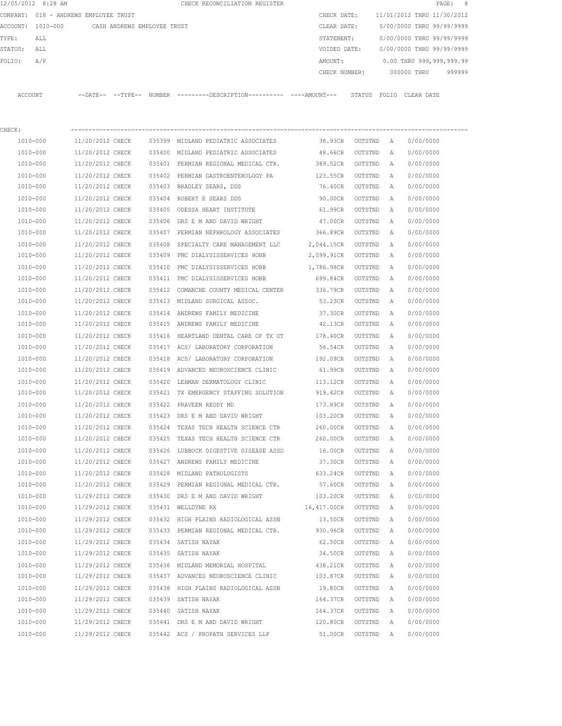|         | 12/05/2012 8:28 AM                    |                  |                             |        | CHECK RECONCILIATION REGISTER                                                              |               |         |   |                            | PAGE:<br>- 8 |
|---------|---------------------------------------|------------------|-----------------------------|--------|--------------------------------------------------------------------------------------------|---------------|---------|---|----------------------------|--------------|
|         | COMPANY: 018 - ANDREWS EMPLOYEE TRUST |                  |                             |        |                                                                                            | CHECK DATE:   |         |   | 11/01/2012 THRU 11/30/2012 |              |
|         | ACCOUNT: 1010-000                     |                  | CASH ANDREWS EMPLOYEE TRUST |        |                                                                                            | CLEAR DATE:   |         |   | 0/00/0000 THRU 99/99/9999  |              |
| TYPE:   | ALL                                   |                  |                             |        |                                                                                            | STATEMENT:    |         |   | 0/00/0000 THRU 99/99/9999  |              |
| STATUS: | ALL                                   |                  |                             |        |                                                                                            | VOIDED DATE:  |         |   | 0/00/0000 THRU 99/99/9999  |              |
| FOLIO:  | A/P                                   |                  |                             |        |                                                                                            | AMOUNT:       |         |   | 0.00 THRU 999,999,999.99   |              |
|         |                                       |                  |                             |        |                                                                                            | CHECK NUMBER: |         |   | 000000 THRU                | 999999       |
|         | ACCOUNT                               |                  |                             |        | --DATE-- --TYPE-- NUMBER --------DESCRIPTION--------- ---AMOUNT--- STATUS FOLIO CLEAR DATE |               |         |   |                            |              |
| CHECK:  |                                       |                  |                             |        |                                                                                            |               |         |   |                            |              |
|         | 1010-000                              | 11/20/2012 CHECK |                             |        | 035399 MIDLAND PEDIATRIC ASSOCIATES                                                        | 38.93CR       | OUTSTND | A | 0/00/0000                  |              |
|         | 1010-000                              | 11/20/2012 CHECK |                             |        | 035400 MIDLAND PEDIATRIC ASSOCIATES                                                        | 48.66CR       | OUTSTND | A | 0/00/0000                  |              |
|         | 1010-000                              | 11/20/2012 CHECK |                             |        | 035401 PERMIAN REGIONAL MEDICAL CTR.                                                       | 389.52CR      | OUTSTND | A | 0/00/0000                  |              |
|         | 1010-000                              | 11/20/2012 CHECK |                             |        | 035402 PERMIAN GASTROENTEROLOGY PA                                                         | 123.55CR      | OUTSTND | Α | 0/00/0000                  |              |
|         | 1010-000                              | 11/20/2012 CHECK |                             |        | 035403 BRADLEY SEARS, DDS                                                                  | 76.40CR       | OUTSTND | Α | 0/00/0000                  |              |
|         | 1010-000                              | 11/20/2012 CHECK |                             | 035404 | ROBERT E SEARS DDS                                                                         | 90.00CR       | OUTSTND | Α | 0/00/0000                  |              |
|         | 1010-000                              | 11/20/2012 CHECK |                             |        | 035405 ODESSA HEART INSTITUTE                                                              | 61.99CR       | OUTSTND | Α | 0/00/0000                  |              |
|         | 1010-000                              | 11/20/2012 CHECK |                             | 035406 | DRS E M AND DAVID WRIGHT                                                                   | 47.00CR       | OUTSTND | Α | 0/00/0000                  |              |
|         | 1010-000                              | 11/20/2012 CHECK |                             |        | 035407 PERMIAN NEPHROLOGY ASSOCIATES                                                       | 366.89CR      | OUTSTND | Α | 0/00/0000                  |              |
|         | 1010-000                              | 11/20/2012 CHECK |                             | 035408 | SPECIALTY CARE MANAGEMENT LLC                                                              | 2,044.15CR    | OUTSTND | A | 0/00/0000                  |              |
|         | 1010-000                              | 11/20/2012 CHECK |                             |        | 035409 FMC DIALYSISSERVICES HOBB                                                           | 2,099.91CR    | OUTSTND | Α | 0/00/0000                  |              |
|         | 1010-000                              | 11/20/2012 CHECK |                             | 035410 | FMC DIALYSISSERVICES HOBB                                                                  | 1,786.98CR    | OUTSTND | Α | 0/00/0000                  |              |
|         | 1010-000                              | 11/20/2012 CHECK |                             | 035411 | FMC DIALYSISSERVICES HOBB                                                                  | 699.84CR      | OUTSTND | Α | 0/00/0000                  |              |
|         | 1010-000                              | 11/20/2012 CHECK |                             | 035412 | COMANCHE COUNTY MEDICAL CENTER                                                             | 336.79CR      | OUTSTND | Α | 0/00/0000                  |              |
|         | 1010-000                              | 11/20/2012 CHECK |                             |        | 035413 MIDLAND SURGICAL ASSOC.                                                             | 53.23CR       | OUTSTND | Α | 0/00/0000                  |              |
|         | 1010-000                              | 11/20/2012 CHECK |                             | 035414 | ANDREWS FAMILY MEDICINE                                                                    | 37.30CR       | OUTSTND | Α | 0/00/0000                  |              |
|         | 1010-000                              | 11/20/2012 CHECK |                             |        | 035415 ANDREWS FAMILY MEDICINE                                                             | 42.13CR       | OUTSTND | Α | 0/00/0000                  |              |
|         | 1010-000                              | 11/20/2012 CHECK |                             | 035416 | HEARTLAND DENTAL CARE OF TX OT                                                             | 178.40CR      | OUTSTND | Α | 0/00/0000                  |              |
|         | 1010-000                              | 11/20/2012 CHECK |                             | 035417 | ACS/ LABORATORY CORPORATION                                                                | 56.54CR       | OUTSTND | Α | 0/00/0000                  |              |
|         | 1010-000                              | 11/20/2012 CHECK |                             | 035418 | ACS/ LABORATORY CORPORATION                                                                | 192.09CR      | OUTSTND | Α | 0/00/0000                  |              |
|         | 1010-000                              | 11/20/2012 CHECK |                             | 035419 | ADVANCED NEUROSCIENCE CLINIC                                                               | 61.99CR       | OUTSTND | Α | 0/00/0000                  |              |
|         | 1010-000                              | 11/20/2012 CHECK |                             |        | 035420 LEHMAN DERMATOLOGY CLINIC                                                           | 113.12CR      | OUTSTND | Α | 0/00/0000                  |              |
|         | 1010-000                              | 11/20/2012 CHECK |                             |        | 035421 TX EMERGENCY STAFFING SOLUTION                                                      | 919.42CR      | OUTSTND | Α | 0/00/0000                  |              |
|         | 1010-000                              | 11/20/2012 CHECK |                             |        | 035422 PRAVEEN REDDY MD                                                                    | 173.89CR      | OUTSTND | Α | 0/00/0000                  |              |
|         | 1010-000                              | 11/20/2012 CHECK |                             |        | 035423 DRS E M AND DAVID WRIGHT                                                            | 103.20CR      | OUTSTND | Α | 0/00/0000                  |              |
|         | 1010-000                              | 11/20/2012 CHECK |                             |        | 035424 TEXAS TECH HEALTH SCIENCE CTR                                                       | 260.00CR      | OUTSTND | A | 0/00/0000                  |              |
|         | 1010-000                              | 11/20/2012 CHECK |                             |        | 035425 TEXAS TECH HEALTH SCIENCE CTR                                                       | 260.00CR      | OUTSTND | Α | 0/00/0000                  |              |
|         | 1010-000                              | 11/20/2012 CHECK |                             |        | 035426 LUBBOCK DIGESTIVE DISEASE ASSO                                                      | 16.00CR       | OUTSTND | Α | 0/00/0000                  |              |
|         | 1010-000                              | 11/20/2012 CHECK |                             |        | 035427 ANDREWS FAMILY MEDICINE                                                             | 37.30CR       | OUTSTND | Α | 0/00/0000                  |              |
|         | $1010 - 000$                          | 11/20/2012 CHECK |                             |        | 035428 MIDLAND PATHOLOGISTS                                                                | 633.24CR      | OUTSTND | Α | 0/00/0000                  |              |
|         | 1010-000                              | 11/20/2012 CHECK |                             |        | 035429 PERMIAN REGIONAL MEDICAL CTR.                                                       | 57.60CR       | OUTSTND | Α | 0/00/0000                  |              |
|         | 1010-000                              | 11/29/2012 CHECK |                             |        | 035430 DRS E M AND DAVID WRIGHT                                                            | 103.20CR      | OUTSTND | Α | 0/00/0000                  |              |
|         | 1010-000                              | 11/29/2012 CHECK |                             |        | 035431 WELLDYNE RX                                                                         | 16,417.00CR   | OUTSTND | Α | 0/00/0000                  |              |
|         | $1010 - 000$                          | 11/29/2012 CHECK |                             |        | 035432 HIGH PLAINS RADIOLOGICAL ASSN                                                       | 13.50CR       | OUTSTND | Α | 0/00/0000                  |              |
|         | 1010-000                              | 11/29/2012 CHECK |                             |        | 035433 PERMIAN REGIONAL MEDICAL CTR.                                                       | 930.96CR      | OUTSTND | Α | 0/00/0000                  |              |
|         | 1010-000                              | 11/29/2012 CHECK |                             |        | 035434 SATISH NAYAK                                                                        | 62.50CR       | OUTSTND | Α | 0/00/0000                  |              |
|         | 1010-000                              | 11/29/2012 CHECK |                             |        | 035435 SATISH NAYAK                                                                        | 34.50CR       | OUTSTND | Α | 0/00/0000                  |              |
|         | 1010-000                              | 11/29/2012 CHECK |                             |        | 035436 MIDLAND MEMORIAL HOSPITAL                                                           | 438.21CR      | OUTSTND | Α | 0/00/0000                  |              |
|         | 1010-000                              | 11/29/2012 CHECK |                             |        | 035437 ADVANCED NEUROSCIENCE CLINIC                                                        | 103.87CR      | OUTSTND | Α | 0/00/0000                  |              |
|         | 1010-000                              | 11/29/2012 CHECK |                             |        | 035438 HIGH PLAINS RADIOLOGICAL ASSN                                                       | 19.80CR       | OUTSTND | Α | 0/00/0000                  |              |
|         | 1010-000                              | 11/29/2012 CHECK |                             |        | 035439 SATISH NAYAK                                                                        | 164.37CR      | OUTSTND | Α | 0/00/0000                  |              |
|         | 1010-000                              | 11/29/2012 CHECK |                             | 035440 | SATISH NAYAK                                                                               | 164.37CR      | OUTSTND | Α | 0/00/0000                  |              |
|         | 1010-000                              | 11/29/2012 CHECK |                             |        | 035441 DRS E M AND DAVID WRIGHT                                                            | 120.80CR      | OUTSTND | Α | 0/00/0000                  |              |
|         | 1010-000                              | 11/29/2012 CHECK |                             |        | 035442 ACS / PROPATH SERVICES LLP                                                          | 51.00CR       | OUTSTND | Α | 0/00/0000                  |              |
|         |                                       |                  |                             |        |                                                                                            |               |         |   |                            |              |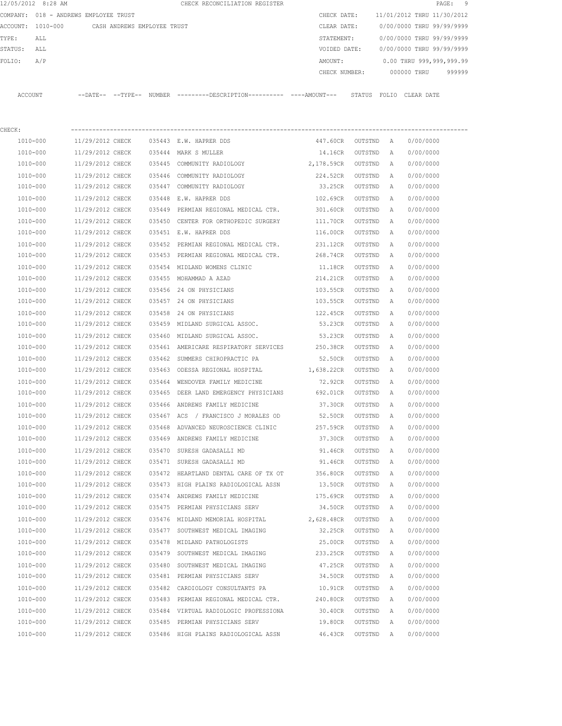|         | 12/05/2012 8:28 AM                    |                  |                             |        | CHECK RECONCILIATION REGISTER                                                                 |               |           |   |                            | 9<br>PAGE: |
|---------|---------------------------------------|------------------|-----------------------------|--------|-----------------------------------------------------------------------------------------------|---------------|-----------|---|----------------------------|------------|
|         | COMPANY: 018 - ANDREWS EMPLOYEE TRUST |                  |                             |        |                                                                                               | CHECK DATE:   |           |   | 11/01/2012 THRU 11/30/2012 |            |
|         | ACCOUNT: 1010-000                     |                  | CASH ANDREWS EMPLOYEE TRUST |        |                                                                                               | CLEAR DATE:   |           |   | 0/00/0000 THRU 99/99/9999  |            |
| TYPE:   | ALL                                   |                  |                             |        |                                                                                               | STATEMENT:    |           |   | 0/00/0000 THRU 99/99/9999  |            |
| STATUS: | ALL                                   |                  |                             |        |                                                                                               | VOIDED DATE:  |           |   | 0/00/0000 THRU 99/99/9999  |            |
| FOLIO:  | A/P                                   |                  |                             |        |                                                                                               | AMOUNT:       |           |   | 0.00 THRU 999,999,999.99   |            |
|         |                                       |                  |                             |        |                                                                                               | CHECK NUMBER: |           |   | 000000 THRU                | 999999     |
|         | ACCOUNT                               |                  |                             |        | --DATE-- --TYPE-- NUMBER ---------DESCRIPTION---------- ----AMOUNT--- STATUS FOLIO CLEAR DATE |               |           |   |                            |            |
| CHECK:  |                                       |                  |                             |        |                                                                                               |               |           |   |                            |            |
|         | 1010-000                              | 11/29/2012 CHECK |                             |        | 035443 E.W. HAPRER DDS                                                                        | 447.60CR      | OUTSTND A |   | 0/00/0000                  |            |
|         | 1010-000                              | 11/29/2012 CHECK |                             |        | 035444 MARK S MULLER                                                                          | 14.16CR       | OUTSTND   | A | 0/00/0000                  |            |
|         | 1010-000                              | 11/29/2012 CHECK |                             |        | 035445 COMMUNITY RADIOLOGY                                                                    | 2,178.59CR    | OUTSTND   | A | 0/00/0000                  |            |
|         | 1010-000                              | 11/29/2012 CHECK |                             |        | 035446 COMMUNITY RADIOLOGY                                                                    | 224.52CR      | OUTSTND   | Α | 0/00/0000                  |            |
|         | 1010-000                              | 11/29/2012 CHECK |                             |        | 035447 COMMUNITY RADIOLOGY                                                                    | 33.25CR       | OUTSTND   | Α | 0/00/0000                  |            |
|         | 1010-000                              | 11/29/2012 CHECK |                             |        | 035448 E.W. HAPRER DDS                                                                        | 102.69CR      | OUTSTND   | A | 0/00/0000                  |            |
|         | 1010-000                              | 11/29/2012 CHECK |                             |        | 035449 PERMIAN REGIONAL MEDICAL CTR.                                                          | 301.60CR      | OUTSTND   | Α | 0/00/0000                  |            |
|         | 1010-000                              | 11/29/2012 CHECK |                             |        | 035450 CENTER FOR ORTHOPEDIC SURGERY                                                          | 111.70CR      | OUTSTND   | A | 0/00/0000                  |            |
|         | 1010-000                              | 11/29/2012 CHECK |                             |        | 035451 E.W. HAPRER DDS                                                                        | 116.00CR      | OUTSTND   | A | 0/00/0000                  |            |
|         | 1010-000                              | 11/29/2012 CHECK |                             | 035452 | PERMIAN REGIONAL MEDICAL CTR.                                                                 | 231.12CR      | OUTSTND   | Α | 0/00/0000                  |            |
|         | 1010-000                              | 11/29/2012 CHECK |                             |        | 035453 PERMIAN REGIONAL MEDICAL CTR.                                                          | 268.74CR      | OUTSTND   | A | 0/00/0000                  |            |
|         | 1010-000                              | 11/29/2012 CHECK |                             |        | 035454 MIDLAND WOMENS CLINIC                                                                  | 11.18CR       | OUTSTND   | Α | 0/00/0000                  |            |
|         | 1010-000                              | 11/29/2012 CHECK |                             |        | 035455 MOHAMMAD A AZAD                                                                        | 214.21CR      | OUTSTND   | Α | 0/00/0000                  |            |
|         | 1010-000                              | 11/29/2012 CHECK |                             |        | 035456 24 ON PHYSICIANS                                                                       | 103.55CR      | OUTSTND   | Α | 0/00/0000                  |            |
|         | 1010-000                              | 11/29/2012 CHECK |                             |        | 035457 24 ON PHYSICIANS                                                                       | 103.55CR      | OUTSTND   | Α | 0/00/0000                  |            |
|         | 1010-000                              | 11/29/2012 CHECK |                             |        | 035458 24 ON PHYSICIANS                                                                       | 122.45CR      | OUTSTND   | Α | 0/00/0000                  |            |
|         | 1010-000                              | 11/29/2012 CHECK |                             |        | 035459 MIDLAND SURGICAL ASSOC.                                                                | 53.23CR       | OUTSTND   | Α | 0/00/0000                  |            |
|         | 1010-000                              | 11/29/2012 CHECK |                             |        | 035460 MIDLAND SURGICAL ASSOC.                                                                | 53.23CR       | OUTSTND   | Α | 0/00/0000                  |            |
|         | 1010-000                              | 11/29/2012 CHECK |                             |        | 035461 AMERICARE RESPIRATORY SERVICES                                                         | 250.38CR      | OUTSTND   | A | 0/00/0000                  |            |
|         | 1010-000                              | 11/29/2012 CHECK |                             |        | 035462 SUMMERS CHIROPRACTIC PA                                                                | 52.50CR       | OUTSTND   | A | 0/00/0000                  |            |
|         | 1010-000                              | 11/29/2012 CHECK |                             |        | 035463 ODESSA REGIONAL HOSPITAL                                                               | 1,638.22CR    | OUTSTND   | A | 0/00/0000                  |            |
|         | 1010-000                              | 11/29/2012 CHECK |                             |        | 035464 WENDOVER FAMILY MEDICINE                                                               | 72.92CR       | OUTSTND   | Α | 0/00/0000                  |            |
|         | 1010-000                              | 11/29/2012 CHECK |                             |        | 035465 DEER LAND EMERGENCY PHYSICIANS 692.01CR                                                |               | OUTSTND   | Α | 0/00/0000                  |            |
|         | 1010-000                              | 11/29/2012 CHECK |                             |        | 035466 ANDREWS FAMILY MEDICINE                                                                | 37.30CR       | OUTSTND   | A | 0/00/0000                  |            |
|         | 1010-000                              | 11/29/2012 CHECK |                             |        | 035467 ACS / FRANCISCO J MORALES OD                                                           | 52.50CR       | OUTSTND   | A | 0/00/0000                  |            |
|         | 1010-000                              | 11/29/2012 CHECK |                             |        | 035468 ADVANCED NEUROSCIENCE CLINIC                                                           | 257.59CR      | OUTSTND   | Α | 0/00/0000                  |            |
|         | 1010-000                              | 11/29/2012 CHECK |                             |        | 035469 ANDREWS FAMILY MEDICINE                                                                | 37.30CR       | OUTSTND   | Α | 0/00/0000                  |            |
|         | 1010-000                              | 11/29/2012 CHECK |                             |        | 035470 SURESH GADASALLI MD                                                                    | 91.46CR       | OUTSTND   | Α | 0/00/0000                  |            |
|         | 1010-000                              | 11/29/2012 CHECK |                             |        | 035471 SURESH GADASALLI MD                                                                    | 91.46CR       | OUTSTND   | Α | 0/00/0000                  |            |
|         | 1010-000                              | 11/29/2012 CHECK |                             |        | 035472 HEARTLAND DENTAL CARE OF TX OT                                                         | 356.80CR      | OUTSTND   | Α | 0/00/0000                  |            |
|         | 1010-000                              | 11/29/2012 CHECK |                             |        | 035473 HIGH PLAINS RADIOLOGICAL ASSN                                                          | 13.50CR       | OUTSTND   | Α | 0/00/0000                  |            |
|         | 1010-000                              | 11/29/2012 CHECK |                             |        | 035474 ANDREWS FAMILY MEDICINE                                                                | 175.69CR      | OUTSTND   | Α | 0/00/0000                  |            |
|         | 1010-000                              | 11/29/2012 CHECK |                             |        | 035475 PERMIAN PHYSICIANS SERV                                                                | 34.50CR       | OUTSTND   | Α | 0/00/0000                  |            |
|         | 1010-000                              | 11/29/2012 CHECK |                             |        | 035476 MIDLAND MEMORIAL HOSPITAL                                                              | 2,628.48CR    | OUTSTND   | Α | 0/00/0000                  |            |
|         | 1010-000                              | 11/29/2012 CHECK |                             |        | 035477 SOUTHWEST MEDICAL IMAGING                                                              | 32.25CR       | OUTSTND   | Α | 0/00/0000                  |            |
|         | 1010-000                              | 11/29/2012 CHECK |                             |        | 035478 MIDLAND PATHOLOGISTS                                                                   | 25.00CR       | OUTSTND   | Α | 0/00/0000                  |            |
|         | 1010-000                              | 11/29/2012 CHECK |                             |        | 035479 SOUTHWEST MEDICAL IMAGING                                                              | 233.25CR      | OUTSTND   | Α | 0/00/0000                  |            |
|         | 1010-000                              | 11/29/2012 CHECK |                             |        | 035480 SOUTHWEST MEDICAL IMAGING                                                              | 47.25CR       | OUTSTND   | Α | 0/00/0000                  |            |
|         | 1010-000                              | 11/29/2012 CHECK |                             |        | 035481 PERMIAN PHYSICIANS SERV                                                                | 34.50CR       | OUTSTND   | Α | 0/00/0000                  |            |
|         | 1010-000                              | 11/29/2012 CHECK |                             |        | 035482 CARDIOLOGY CONSULTANTS PA                                                              | 10.91CR       | OUTSTND   | A | 0/00/0000                  |            |
|         | 1010-000                              | 11/29/2012 CHECK |                             |        | 035483 PERMIAN REGIONAL MEDICAL CTR.                                                          | 240.80CR      | OUTSTND   | Α | 0/00/0000                  |            |
|         | 1010-000                              | 11/29/2012 CHECK |                             |        | 035484 VIRTUAL RADIOLOGIC PROFESSIONA                                                         | 30.40CR       | OUTSTND   | Α | 0/00/0000                  |            |
|         | 1010-000                              | 11/29/2012 CHECK |                             |        | 035485 PERMIAN PHYSICIANS SERV                                                                | 19.80CR       | OUTSTND   | Α | 0/00/0000                  |            |
|         | 1010-000                              | 11/29/2012 CHECK |                             |        | 035486 HIGH PLAINS RADIOLOGICAL ASSN                                                          | 46.43CR       | OUTSTND   | A | 0/00/0000                  |            |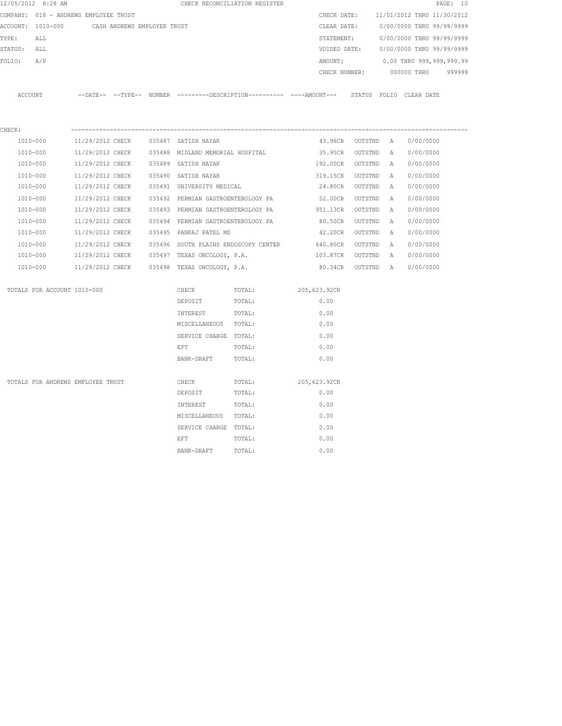| 12/05/2012 8:28 AM                            |                  |  |  |                                                   | CHECK RECONCILIATION REGISTER        |                                                                                               |                   |          |                                        | PAGE: 10 |
|-----------------------------------------------|------------------|--|--|---------------------------------------------------|--------------------------------------|-----------------------------------------------------------------------------------------------|-------------------|----------|----------------------------------------|----------|
| COMPANY: 018 - ANDREWS EMPLOYEE TRUST         |                  |  |  |                                                   |                                      |                                                                                               |                   |          | CHECK DATE: 11/01/2012 THRU 11/30/2012 |          |
| ACCOUNT: 1010-000 CASH ANDREWS EMPLOYEE TRUST |                  |  |  |                                                   |                                      | CLEAR DATE:                                                                                   |                   |          | 0/00/0000 THRU 99/99/9999              |          |
| TYPE:<br>ALL                                  |                  |  |  |                                                   |                                      | STATEMENT:                                                                                    |                   |          | 0/00/0000 THRU 99/99/9999              |          |
| STATUS: ALL                                   |                  |  |  |                                                   |                                      |                                                                                               |                   |          | VOIDED DATE: 0/00/0000 THRU 99/99/9999 |          |
| FOLIO: A/P                                    |                  |  |  |                                                   |                                      | AMOUNT:                                                                                       |                   |          | 0.00 THRU 999,999,999.99               |          |
|                                               |                  |  |  |                                                   |                                      | CHECK NUMBER:                                                                                 |                   |          | 000000 THRU                            | 999999   |
| ACCOUNT                                       |                  |  |  |                                                   |                                      | --DATE-- --TYPE-- NUMBER ---------DESCRIPTION---------- ----AMOUNT--- STATUS FOLIO CLEAR DATE |                   |          |                                        |          |
| CHECK:                                        |                  |  |  |                                                   |                                      |                                                                                               |                   |          |                                        |          |
| 1010-000                                      |                  |  |  | 11/29/2012 CHECK 035487 SATISH NAYAK              |                                      |                                                                                               | 43.96CR OUTSTND A |          | 0/00/0000                              |          |
| 1010-000                                      |                  |  |  | 11/29/2012 CHECK 035488 MIDLAND MEMORIAL HOSPITAL |                                      | 35.95CR OUTSTND A                                                                             |                   |          | 0/00/0000                              |          |
| 1010-000                                      | 11/29/2012 CHECK |  |  | 035489 SATISH NAYAK                               |                                      | 192.00CR OUTSTND                                                                              |                   | A        | 0/00/0000                              |          |
| 1010-000                                      | 11/29/2012 CHECK |  |  | 035490 SATISH NAYAK                               |                                      | 319.15CR OUTSTND                                                                              |                   | A        | 0/00/0000                              |          |
| 1010-000                                      | 11/29/2012 CHECK |  |  | 035491 UNIVERSITY MEDICAL                         |                                      | 24.80CR OUTSTND                                                                               |                   | A        | 0/00/0000                              |          |
| 1010-000                                      | 11/29/2012 CHECK |  |  | 035492 PERMIAN GASTROENTEROLOGY PA                |                                      | 52.00CR OUTSTND                                                                               |                   | <b>A</b> | 0/00/0000                              |          |
| 1010-000                                      |                  |  |  |                                                   |                                      | 11/29/2012 CHECK 035493 PERMIAN GASTROENTEROLOGY PA 951.13CR                                  | OUTSTND           | <b>A</b> | 0/00/0000                              |          |
| 1010-000                                      | 11/29/2012 CHECK |  |  |                                                   | 035494 PERMIAN GASTROENTEROLOGY PA   | 80.50CR                                                                                       | OUTSTND           | A        | 0/00/0000                              |          |
| 1010-000                                      |                  |  |  | 11/29/2012 CHECK 035495 PANKAJ PATEL MD           |                                      | 42.20CR OUTSTND                                                                               |                   | <b>A</b> | 0/00/0000                              |          |
| 1010-000                                      | 11/29/2012 CHECK |  |  |                                                   | 035496 SOUTH PLAINS ENDOSCOPY CENTER | 640.80CR OUTSTND                                                                              |                   | A        | 0/00/0000                              |          |
| 1010-000                                      |                  |  |  | 11/29/2012 CHECK 035497 TEXAS ONCOLOGY, P.A.      |                                      | 103.87CR OUTSTND A                                                                            |                   |          | 0/00/0000                              |          |
| 1010-000                                      |                  |  |  | 11/29/2012 CHECK 035498 TEXAS ONCOLOGY, P.A.      |                                      | 80.34CR OUTSTND A                                                                             |                   |          | 0/00/0000                              |          |
| TOTALS FOR ACCOUNT 1010-000                   |                  |  |  | CHECK                                             | TOTAL:                               | 205,623.92CR                                                                                  |                   |          |                                        |          |
|                                               |                  |  |  | DEPOSIT                                           | TOTAL:                               | 0.00                                                                                          |                   |          |                                        |          |
|                                               |                  |  |  | INTEREST                                          | TOTAL:                               | 0.00                                                                                          |                   |          |                                        |          |
|                                               |                  |  |  | MISCELLANEOUS TOTAL:                              |                                      | 0.00                                                                                          |                   |          |                                        |          |
|                                               |                  |  |  | SERVICE CHARGE TOTAL:                             |                                      | 0.00                                                                                          |                   |          |                                        |          |
|                                               |                  |  |  | EFT                                               | TOTAL:                               | 0.00                                                                                          |                   |          |                                        |          |
|                                               |                  |  |  | BANK-DRAFT                                        | TOTAL:                               | 0.00                                                                                          |                   |          |                                        |          |
| TOTALS FOR ANDREWS EMPLOYEE TRUST             |                  |  |  | CHECK                                             | TOTAL:                               | 205,623.92CR                                                                                  |                   |          |                                        |          |
|                                               |                  |  |  | DEPOSIT                                           | TOTAL:                               | 0.00                                                                                          |                   |          |                                        |          |
|                                               |                  |  |  | INTEREST                                          | TOTAL:                               | 0.00                                                                                          |                   |          |                                        |          |
|                                               |                  |  |  | MISCELLANEOUS TOTAL:                              |                                      | 0.00                                                                                          |                   |          |                                        |          |
|                                               |                  |  |  | SERVICE CHARGE TOTAL:                             |                                      | 0.00                                                                                          |                   |          |                                        |          |
|                                               |                  |  |  | EFT                                               | TOTAL:                               | 0.00                                                                                          |                   |          |                                        |          |
|                                               |                  |  |  | BANK-DRAFT                                        | TOTAL:                               | 0.00                                                                                          |                   |          |                                        |          |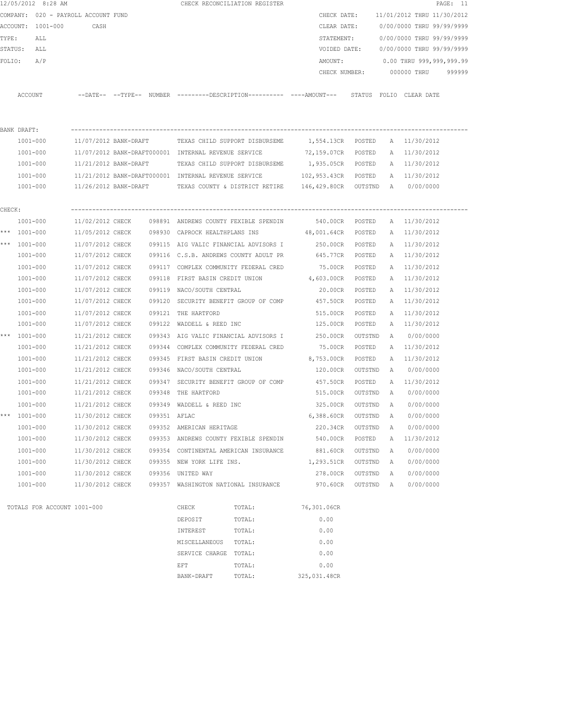|        | 12/05/2012 8:28 AM                  |                                      |              | CHECK RECONCILIATION REGISTER                        |        |                                                                                              |                    |        |                                        | PAGE: 11 |
|--------|-------------------------------------|--------------------------------------|--------------|------------------------------------------------------|--------|----------------------------------------------------------------------------------------------|--------------------|--------|----------------------------------------|----------|
|        | COMPANY: 020 - PAYROLL ACCOUNT FUND |                                      |              |                                                      |        | CHECK DATE:                                                                                  |                    |        | 11/01/2012 THRU 11/30/2012             |          |
|        | ACCOUNT: 1001-000                   | CASH                                 |              |                                                      |        | CLEAR DATE:                                                                                  |                    |        | 0/00/0000 THRU 99/99/9999              |          |
| TYPE:  | ALL                                 |                                      |              |                                                      |        | STATEMENT:                                                                                   |                    |        | 0/00/0000 THRU 99/99/9999              |          |
|        | STATUS: ALL                         |                                      |              |                                                      |        |                                                                                              |                    |        | VOIDED DATE: 0/00/0000 THRU 99/99/9999 |          |
|        | FOLIO:<br>A/P                       |                                      |              |                                                      |        | AMOUNT:                                                                                      |                    |        | 0.00 THRU 999,999,999.99               |          |
|        |                                     |                                      |              |                                                      |        |                                                                                              |                    |        | CHECK NUMBER: 000000 THRU 999999       |          |
|        | ACCOUNT                             |                                      |              |                                                      |        | --DATE-- --TYPE-- NUMBER --------DESCRIPTION---------- ----AMOUNT--- STATUS FOLIO CLEAR-DATE |                    |        |                                        |          |
|        |                                     |                                      |              |                                                      |        |                                                                                              |                    |        |                                        |          |
|        | BANK DRAFT:                         |                                      |              |                                                      |        |                                                                                              |                    |        |                                        |          |
|        | 1001-000                            |                                      |              | 11/07/2012 BANK-DRAFT TEXAS CHILD SUPPORT DISBURSEME |        | 1,554.13CR POSTED A 11/30/2012                                                               |                    |        |                                        |          |
|        | 1001-000                            |                                      |              | 11/07/2012 BANK-DRAFT000001 INTERNAL REVENUE SERVICE |        | 72,159.07CR POSTED                                                                           |                    |        | A 11/30/2012                           |          |
|        | 1001-000                            |                                      |              | 11/21/2012 BANK-DRAFT TEXAS CHILD SUPPORT DISBURSEME |        | 1,935.05CR POSTED A 11/30/2012                                                               |                    |        |                                        |          |
|        | 1001-000                            |                                      |              |                                                      |        | 11/21/2012 BANK-DRAFT000001 INTERNAL REVENUE SERVICE 6 102,953.43CR POSTED A 11/30/2012      |                    |        |                                        |          |
|        | 1001-000                            |                                      |              |                                                      |        | $11/26/2012$ BANK-DRAFT TEXAS COUNTY & DISTRICT RETIRE $146,429.80$ CR OUTSTND A $0/00/0000$ |                    |        |                                        |          |
| CHECK: |                                     |                                      |              |                                                      |        |                                                                                              |                    |        |                                        |          |
|        | 1001-000                            | 11/02/2012 CHECK                     |              |                                                      |        | 098891 ANDREWS COUNTY FEXIBLE SPENDIN 540.00CR POSTED                                        |                    |        | A 11/30/2012                           |          |
|        | *** 1001-000                        |                                      |              |                                                      |        | 11/05/2012 CHECK 098930 CAPROCK HEALTHPLANS INS 48,001.64CR POSTED                           |                    |        | A 11/30/2012                           |          |
|        | *** $1001 - 000$                    | 11/07/2012 CHECK                     |              | 099115 AIG VALIC FINANCIAL ADVISORS I                |        | 250.00CR POSTED                                                                              |                    |        | A 11/30/2012                           |          |
|        | 1001-000                            | 11/07/2012 CHECK                     |              | 099116 C.S.B. ANDREWS COUNTY ADULT PR                |        | 645.77CR POSTED                                                                              |                    |        | A 11/30/2012                           |          |
|        | 1001-000                            | 11/07/2012 CHECK                     |              | 099117 COMPLEX COMMUNITY FEDERAL CRED                |        | 75.00CR POSTED                                                                               |                    |        | A 11/30/2012                           |          |
|        | 1001-000                            | 11/07/2012 CHECK                     |              | 099118 FIRST BASIN CREDIT UNION                      |        | 4,603.00CR POSTED                                                                            |                    |        | A 11/30/2012                           |          |
|        | 1001-000                            | 11/07/2012 CHECK                     |              | 099119 NACO/SOUTH CENTRAL                            |        | 20.00CR                                                                                      | POSTED             |        | A 11/30/2012                           |          |
|        | 1001-000                            | 11/07/2012 CHECK                     |              | 099120 SECURITY BENEFIT GROUP OF COMP                |        | 457.50CR                                                                                     | POSTED             |        | A 11/30/2012                           |          |
|        | 1001-000                            | 11/07/2012 CHECK                     |              | 099121 THE HARTFORD                                  |        | 515.00CR                                                                                     | POSTED             |        | A 11/30/2012                           |          |
|        | 1001-000                            | 11/07/2012 CHECK                     |              | 099122 WADDELL & REED INC                            |        | 125.00CR                                                                                     | POSTED             |        | A 11/30/2012                           |          |
|        | *** 1001-000                        | 11/21/2012 CHECK                     |              |                                                      |        | 099343 AIG VALIC FINANCIAL ADVISORS I 250.00CR                                               | OUTSTND            |        | A 0/00/0000                            |          |
|        | 1001-000                            | 11/21/2012 CHECK                     |              | 099344 COMPLEX COMMUNITY FEDERAL CRED                |        | 75.00CR                                                                                      | POSTED             |        | A 11/30/2012                           |          |
|        | 1001-000                            | 11/21/2012 CHECK                     |              | 099345 FIRST BASIN CREDIT UNION                      |        | 8,753.00CR                                                                                   | POSTED             |        | A 11/30/2012                           |          |
|        | 1001-000                            | 11/21/2012 CHECK                     |              | 099346 NACO/SOUTH CENTRAL                            |        | 120.00CR                                                                                     | OUTSTND            | A      | 0/00/0000                              |          |
|        | $1001 - 000$                        | 11/21/2012 CHECK                     |              | 099347 SECURITY BENEFIT GROUP OF COMP                |        | 457.50CR POSTED                                                                              |                    |        | A 11/30/2012                           |          |
|        | 1001-000                            |                                      |              | 11/21/2012 CHECK 099348 THE HARTFORD                 |        |                                                                                              |                    |        | 515.00CR OUTSTND A 0/00/0000           |          |
|        | 1001-000                            | 11/21/2012 CHECK                     |              | 099349 WADDELL & REED INC                            |        | 325.00CR                                                                                     | OUTSTND A          |        | 0/00/0000                              |          |
| ***    | $1001 - 000$                        | 11/30/2012 CHECK                     | 099351 AFLAC |                                                      |        | 6,388.60CR                                                                                   | OUTSTND            | A      | 0/00/0000                              |          |
|        | $1001 - 000$                        | 11/30/2012 CHECK                     |              | 099352 AMERICAN HERITAGE                             |        | 220.34CR                                                                                     | OUTSTND            | А      | 0/00/0000                              |          |
|        | 1001-000                            | 11/30/2012 CHECK                     |              | 099353 ANDREWS COUNTY FEXIBLE SPENDIN                |        | 540.00CR                                                                                     | POSTED             | Α      | 11/30/2012                             |          |
|        | $1001 - 000$                        | 11/30/2012 CHECK                     |              | 099354 CONTINENTAL AMERICAN INSURANCE                |        | 881.60CR                                                                                     | OUTSTND            | Α      | 0/00/0000                              |          |
|        | 1001-000                            | 11/30/2012 CHECK                     |              | 099355 NEW YORK LIFE INS.                            |        | 1,293.51CR                                                                                   | OUTSTND            | Α      | 0/00/0000                              |          |
|        |                                     |                                      |              | 099356 UNITED WAY                                    |        |                                                                                              |                    |        |                                        |          |
|        | 1001-000<br>1001-000                | 11/30/2012 CHECK<br>11/30/2012 CHECK |              | 099357 WASHINGTON NATIONAL INSURANCE                 |        | 278.00CR<br>970.60CR                                                                         | OUTSTND<br>OUTSTND | Α<br>A | 0/00/0000<br>0/00/0000                 |          |
|        | TOTALS FOR ACCOUNT 1001-000         |                                      |              | CHECK                                                | TOTAL: | 76,301.06CR                                                                                  |                    |        |                                        |          |
|        |                                     |                                      |              | DEPOSIT                                              | TOTAL: | 0.00                                                                                         |                    |        |                                        |          |
|        |                                     |                                      |              | INTEREST                                             | TOTAL: | 0.00                                                                                         |                    |        |                                        |          |
|        |                                     |                                      |              |                                                      |        |                                                                                              |                    |        |                                        |          |
|        |                                     |                                      |              | MISCELLANEOUS<br>SERVICE CHARGE TOTAL:               | TOTAL: | 0.00<br>0.00                                                                                 |                    |        |                                        |          |
|        |                                     |                                      |              |                                                      |        |                                                                                              |                    |        |                                        |          |

extermination of the extent of the extent of  $\Gamma$  to  $\Gamma$  of  $\Gamma$  . One of  $\Gamma$  or  $\Gamma$  or  $\Gamma$  or  $\Gamma$  or  $\Gamma$  or  $\Gamma$  or  $\Gamma$  or  $\Gamma$  or  $\Gamma$  or  $\Gamma$  or  $\Gamma$  or  $\Gamma$  or  $\Gamma$  or  $\Gamma$  or  $\Gamma$  or  $\Gamma$  or  $\Gamma$  or  $\Gamma$  or  $\Gamma$ BANK-DRAFT TOTAL: 325,031.48CR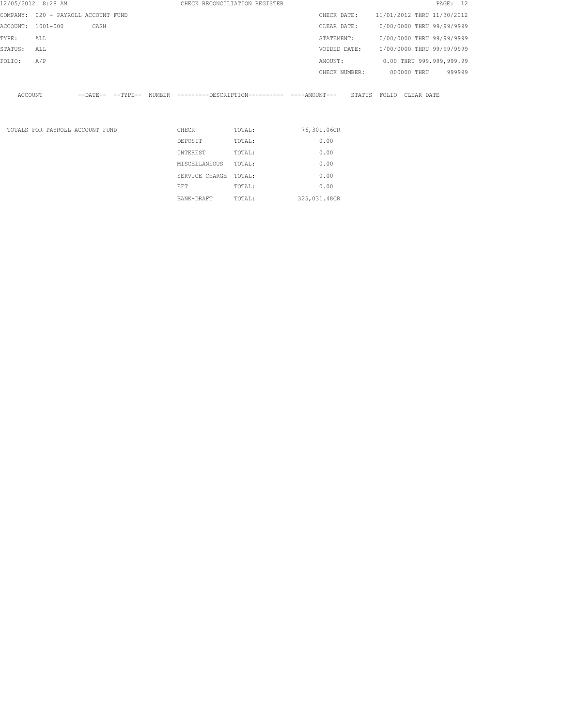| 12/05/2012 8:28 AM                  |     |                                 |  |                | CHECK RECONCILIATION REGISTER                                                                |              |                                        |                           |             | PAGE: 12 |  |
|-------------------------------------|-----|---------------------------------|--|----------------|----------------------------------------------------------------------------------------------|--------------|----------------------------------------|---------------------------|-------------|----------|--|
| COMPANY: 020 - PAYROLL ACCOUNT FUND |     |                                 |  |                |                                                                                              |              | CHECK DATE: 11/01/2012 THRU 11/30/2012 |                           |             |          |  |
| ACCOUNT: 1001-000                   |     | CASH                            |  |                |                                                                                              | CLEAR DATE:  |                                        | 0/00/0000 THRU 99/99/9999 |             |          |  |
| TYPE:                               | ALL |                                 |  |                |                                                                                              | STATEMENT:   |                                        | 0/00/0000 THRU 99/99/9999 |             |          |  |
| STATUS:                             | ALL |                                 |  |                |                                                                                              | VOIDED DATE: |                                        | 0/00/0000 THRU 99/99/9999 |             |          |  |
| FOLIO:                              | A/P |                                 |  |                |                                                                                              | AMOUNT:      |                                        | 0.00 THRU 999,999,999.99  |             |          |  |
|                                     |     |                                 |  |                |                                                                                              |              | CHECK NUMBER:                          |                           | 000000 THRU | 999999   |  |
| ACCOUNT                             |     |                                 |  |                | --DATE-- --TYPE-- NUMBER ---------DESCRIPTION---------- ----AMOUNT--- STATUS FOLIO CLEARDATE |              |                                        |                           |             |          |  |
|                                     |     | TOTALS FOR PAYROLL ACCOUNT FUND |  | CHECK          | TOTAL:                                                                                       | 76,301.06CR  |                                        |                           |             |          |  |
|                                     |     |                                 |  | DEPOSIT        | TOTAL:                                                                                       | 0.00         |                                        |                           |             |          |  |
|                                     |     |                                 |  | INTEREST       | TOTAL:                                                                                       | 0.00         |                                        |                           |             |          |  |
|                                     |     |                                 |  | MISCELLANEOUS  | TOTAL:                                                                                       | 0.00         |                                        |                           |             |          |  |
|                                     |     |                                 |  | SERVICE CHARGE | TOTAL:                                                                                       | 0.00         |                                        |                           |             |          |  |
|                                     |     |                                 |  | EFT            | TOTAL:                                                                                       | 0.00         |                                        |                           |             |          |  |

BANK-DRAFT TOTAL: 325,031.48CR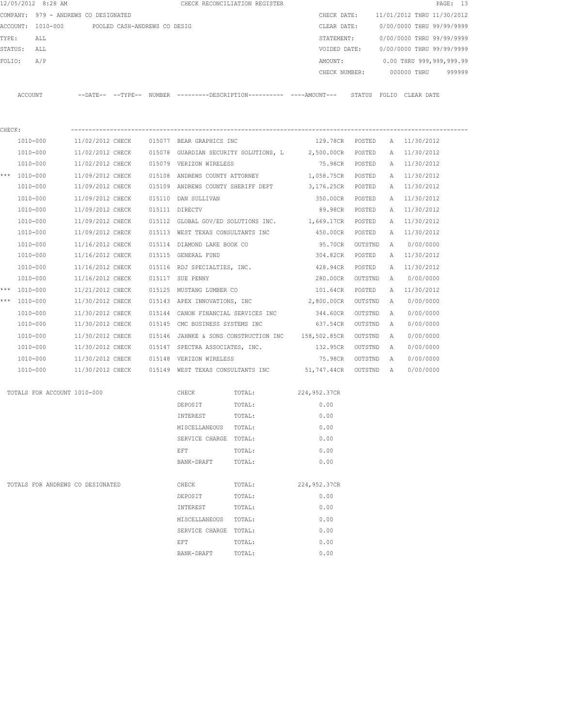| 12/05/2012 8:28 AM                   |                                      |                              |        |                                                                      | CHECK RECONCILIATION REGISTER               |                                                                                              |         |   |                              | PAGE: 13 |
|--------------------------------------|--------------------------------------|------------------------------|--------|----------------------------------------------------------------------|---------------------------------------------|----------------------------------------------------------------------------------------------|---------|---|------------------------------|----------|
| COMPANY: 979 - ANDREWS CO DESIGNATED |                                      |                              |        |                                                                      |                                             | CHECK DATE:                                                                                  |         |   | 11/01/2012 THRU 11/30/2012   |          |
| ACCOUNT: 1010-000                    |                                      | POOLED CASH-ANDREWS CO DESIG |        |                                                                      |                                             | CLEAR DATE:                                                                                  |         |   | 0/00/0000 THRU 99/99/9999    |          |
| TYPE:<br>ALL                         |                                      |                              |        |                                                                      |                                             | STATEMENT:                                                                                   |         |   | 0/00/0000 THRU 99/99/9999    |          |
| STATUS:<br>ALL                       |                                      |                              |        |                                                                      |                                             | VOIDED DATE:                                                                                 |         |   | 0/00/0000 THRU 99/99/9999    |          |
| A/P<br>FOLIO:                        |                                      |                              |        |                                                                      |                                             | AMOUNT:                                                                                      |         |   | 0.00 THRU 999,999,999.99     |          |
|                                      |                                      |                              |        |                                                                      |                                             | CHECK NUMBER:                                                                                |         |   | 000000 THRU                  | 999999   |
| ACCOUNT                              |                                      |                              |        |                                                                      |                                             | --DATE-- --TYPE-- NUMBER --------DESCRIPTION---------- ----AMOUNT--- STATUS FOLIO CLEAR DATE |         |   |                              |          |
|                                      |                                      |                              |        |                                                                      |                                             |                                                                                              |         |   |                              |          |
| CHECK:<br>1010-000                   | 11/02/2012 CHECK                     |                              |        | 015077 BEAR GRAPHICS INC                                             |                                             |                                                                                              |         |   |                              |          |
|                                      |                                      |                              |        |                                                                      |                                             | 129.78CR                                                                                     | POSTED  |   | A 11/30/2012                 |          |
| 1010-000                             | 11/02/2012 CHECK                     |                              |        | 015079 VERIZON WIRELESS                                              | 015078 GUARDIAN SECURITY SOLUTIONS, L       | 2,500.00CR                                                                                   | POSTED  | A | 11/30/2012                   |          |
| 1010-000                             | 11/02/2012 CHECK                     |                              |        |                                                                      |                                             | 75.98CR POSTED                                                                               |         |   | A 11/30/2012                 |          |
| *** 1010-000<br>1010-000             | 11/09/2012 CHECK<br>11/09/2012 CHECK |                              |        | 015108 ANDREWS COUNTY ATTORNEY<br>015109 ANDREWS COUNTY SHERIFF DEPT |                                             | 1,058.75CR POSTED                                                                            |         |   | A 11/30/2012<br>A 11/30/2012 |          |
|                                      |                                      |                              |        |                                                                      |                                             | 3,176.25CR POSTED                                                                            |         |   |                              |          |
| 1010-000<br>1010-000                 | 11/09/2012 CHECK<br>11/09/2012 CHECK |                              |        | 015110 DAN SULLIVAN<br>015111 DIRECTV                                |                                             | 350.00CR<br>89.98CR POSTED                                                                   | POSTED  |   | A 11/30/2012<br>A 11/30/2012 |          |
| 1010-000                             | 11/09/2012 CHECK                     |                              |        |                                                                      | 015112 GLOBAL GOV/ED SOLUTIONS INC.         |                                                                                              | POSTED  |   |                              |          |
| 1010-000                             | 11/09/2012 CHECK                     |                              |        |                                                                      | 015113 WEST TEXAS CONSULTANTS INC           | 1,669.17CR<br>450.00CR                                                                       | POSTED  | A | A 11/30/2012<br>11/30/2012   |          |
| 1010-000                             | 11/16/2012 CHECK                     |                              | 015114 | DIAMOND LAKE BOOK CO                                                 |                                             | 95.70CR                                                                                      | OUTSTND | A | 0/00/0000                    |          |
| 1010-000                             | 11/16/2012 CHECK                     |                              |        | 015115 GENERAL FUND                                                  |                                             | 304.82CR                                                                                     | POSTED  | A | 11/30/2012                   |          |
| 1010-000                             | 11/16/2012 CHECK                     |                              |        | 015116 RDJ SPECIALTIES, INC.                                         |                                             | 428.94CR                                                                                     | POSTED  | A | 11/30/2012                   |          |
| 1010-000                             | 11/16/2012 CHECK                     |                              |        | 015117 SUE PENNY                                                     |                                             | 280.00CR                                                                                     | OUTSTND | A | 0/00/0000                    |          |
| *** 1010-000                         | 11/21/2012 CHECK                     |                              | 015125 | MUSTANG LUMBER CO                                                    |                                             | 101.64CR                                                                                     | POSTED  | Α | 11/30/2012                   |          |
| *** 1010-000                         | 11/30/2012 CHECK                     |                              |        | 015143 APEX INNOVATIONS, INC                                         |                                             | 2,800.00CR                                                                                   | OUTSTND | Α | 0/00/0000                    |          |
| 1010-000                             | 11/30/2012 CHECK                     |                              | 015144 | CANON FINANCIAL SERVICES INC                                         |                                             | 344.60CR                                                                                     | OUTSTND | Α | 0/00/0000                    |          |
| 1010-000                             | 11/30/2012 CHECK                     |                              | 015145 | CMC BUSINESS SYSTEMS INC                                             |                                             | 637.54CR                                                                                     | OUTSTND | A | 0/00/0000                    |          |
| 1010-000                             | 11/30/2012 CHECK                     |                              | 015146 |                                                                      | JAHNKE & SONS CONSTRUCTION INC 158,502.85CR |                                                                                              | OUTSTND | Α | 0/00/0000                    |          |
| 1010-000                             | 11/30/2012 CHECK                     |                              | 015147 | SPECTRA ASSOCIATES, INC.                                             |                                             | 132.95CR                                                                                     | OUTSTND | A | 0/00/0000                    |          |
| 1010-000                             | 11/30/2012 CHECK                     |                              | 015148 | VERIZON WIRELESS                                                     |                                             | 75.98CR                                                                                      | OUTSTND | Α | 0/00/0000                    |          |
| 1010-000                             | 11/30/2012 CHECK                     |                              |        |                                                                      |                                             | 015149 WEST TEXAS CONSULTANTS INC 51,747.44CR                                                | OUTSTND | A | 0/00/0000                    |          |
| TOTALS FOR ACCOUNT 1010-000          |                                      |                              |        | CHECK                                                                | TOTAL:                                      | 224,952.37CR                                                                                 |         |   |                              |          |
|                                      |                                      |                              |        | DEPOSIT                                                              | TOTAL:                                      | 0.00                                                                                         |         |   |                              |          |
|                                      |                                      |                              |        | INTEREST                                                             | TOTAL:                                      | 0.00                                                                                         |         |   |                              |          |
|                                      |                                      |                              |        | MISCELLANEOUS                                                        | TOTAL:                                      | 0.00                                                                                         |         |   |                              |          |
|                                      |                                      |                              |        | SERVICE CHARGE TOTAL:                                                |                                             | 0.00                                                                                         |         |   |                              |          |
|                                      |                                      |                              |        | EFT                                                                  | TOTAL:                                      | 0.00                                                                                         |         |   |                              |          |
|                                      |                                      |                              |        | BANK-DRAFT                                                           | TOTAL:                                      | 0.00                                                                                         |         |   |                              |          |
|                                      | TOTALS FOR ANDREWS CO DESIGNATED     |                              |        | CHECK                                                                | TOTAL:                                      | 224,952.37CR                                                                                 |         |   |                              |          |
|                                      |                                      |                              |        | DEPOSIT                                                              | TOTAL:                                      | 0.00                                                                                         |         |   |                              |          |
|                                      |                                      |                              |        | INTEREST                                                             | TOTAL:                                      | 0.00                                                                                         |         |   |                              |          |
|                                      |                                      |                              |        | MISCELLANEOUS                                                        | TOTAL:                                      | 0.00                                                                                         |         |   |                              |          |
|                                      |                                      |                              |        | SERVICE CHARGE TOTAL:                                                |                                             | 0.00                                                                                         |         |   |                              |          |
|                                      |                                      |                              |        | EFT                                                                  | TOTAL:                                      | 0.00                                                                                         |         |   |                              |          |
|                                      |                                      |                              |        | BANK-DRAFT                                                           | TOTAL:                                      | 0.00                                                                                         |         |   |                              |          |
|                                      |                                      |                              |        |                                                                      |                                             |                                                                                              |         |   |                              |          |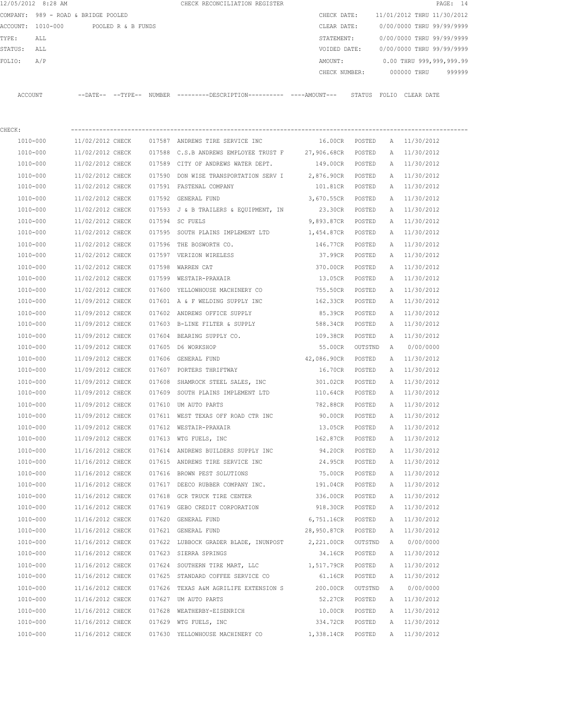|         | 12/05/2012 8:28 AM                  |                  |                    | CHECK RECONCILIATION REGISTER                                                                |                   |         |                |                            | PAGE: 14 |
|---------|-------------------------------------|------------------|--------------------|----------------------------------------------------------------------------------------------|-------------------|---------|----------------|----------------------------|----------|
|         | COMPANY: 989 - ROAD & BRIDGE POOLED |                  |                    |                                                                                              | CHECK DATE:       |         |                | 11/01/2012 THRU 11/30/2012 |          |
|         | ACCOUNT: 1010-000                   |                  | POOLED R & B FUNDS |                                                                                              | CLEAR DATE:       |         |                | 0/00/0000 THRU 99/99/9999  |          |
| TYPE:   | ALL                                 |                  |                    |                                                                                              | STATEMENT:        |         |                | 0/00/0000 THRU 99/99/9999  |          |
| STATUS: | ALL                                 |                  |                    |                                                                                              | VOIDED DATE:      |         |                | 0/00/0000 THRU 99/99/9999  |          |
| FOLIO:  | A/P                                 |                  |                    |                                                                                              | AMOUNT:           |         |                | 0.00 THRU 999,999,999.99   |          |
|         |                                     |                  |                    |                                                                                              | CHECK NUMBER:     |         |                | 000000 THRU                | 999999   |
| ACCOUNT |                                     |                  |                    | --DATE-- --TYPE-- NUMBER ---------DESCRIPTION---------- ----AMOUNT--- STATUS FOLIO CLEARDATE |                   |         |                |                            |          |
| CHECK:  |                                     |                  |                    |                                                                                              |                   |         |                |                            |          |
|         | 1010-000                            | 11/02/2012 CHECK |                    | 017587 ANDREWS TIRE SERVICE INC                                                              | 16.00CR POSTED    |         |                | A 11/30/2012               |          |
|         | 1010-000                            | 11/02/2012 CHECK |                    | 017588 C.S.B ANDREWS EMPLOYEE TRUST F 27,906.68CR POSTED                                     |                   |         | A              | 11/30/2012                 |          |
|         | 1010-000                            | 11/02/2012 CHECK |                    | 017589 CITY OF ANDREWS WATER DEPT.                                                           | 149.00CR POSTED   |         |                | A 11/30/2012               |          |
|         | 1010-000                            | 11/02/2012 CHECK |                    | 017590 DON WISE TRANSPORTATION SERV I 2,876.90CR POSTED                                      |                   |         |                | A 11/30/2012               |          |
|         | 1010-000                            | 11/02/2012 CHECK |                    | 017591 FASTENAL COMPANY                                                                      | 101.81CR POSTED   |         |                | A 11/30/2012               |          |
|         | 1010-000                            | 11/02/2012 CHECK |                    | 017592 GENERAL FUND                                                                          | 3,670.55CR POSTED |         |                | A 11/30/2012               |          |
|         | 1010-000                            | 11/02/2012 CHECK |                    | 017593 J & B TRAILERS & EQUIPMENT, IN                                                        | 23.30CR POSTED    |         |                | A 11/30/2012               |          |
|         | 1010-000                            | 11/02/2012 CHECK |                    | 017594 SC FUELS                                                                              | 9,893.87CR        | POSTED  | $\mathbb{A}$   | 11/30/2012                 |          |
|         | 1010-000                            | 11/02/2012 CHECK |                    | 017595 SOUTH PLAINS IMPLEMENT LTD                                                            | 1,454.87CR POSTED |         |                | A 11/30/2012               |          |
|         | 1010-000                            | 11/02/2012 CHECK |                    | 017596 THE BOSWORTH CO.                                                                      | 146.77CR POSTED   |         |                | A 11/30/2012               |          |
|         | 1010-000                            | 11/02/2012 CHECK |                    | 017597 VERIZON WIRELESS                                                                      | 37.99CR POSTED    |         | A              | 11/30/2012                 |          |
|         | 1010-000                            | 11/02/2012 CHECK |                    | 017598 WARREN CAT                                                                            | 370.00CR          | POSTED  | A              | 11/30/2012                 |          |
|         | 1010-000                            | 11/02/2012 CHECK |                    | 017599 WESTAIR-PRAXAIR                                                                       | 13.05CR           | POSTED  | $\mathbb{A}$   | 11/30/2012                 |          |
|         | 1010-000                            | 11/02/2012 CHECK |                    | 017600 YELLOWHOUSE MACHINERY CO                                                              | 755.50CR          | POSTED  | A              | 11/30/2012                 |          |
|         | 1010-000                            | 11/09/2012 CHECK |                    | 017601 A & F WELDING SUPPLY INC                                                              | 162.33CR          | POSTED  |                | A 11/30/2012               |          |
|         | 1010-000                            | 11/09/2012 CHECK |                    | 017602 ANDREWS OFFICE SUPPLY                                                                 | 85.39CR           | POSTED  |                | A 11/30/2012               |          |
|         | 1010-000                            | 11/09/2012 CHECK |                    | 017603 B-LINE FILTER & SUPPLY                                                                | 588.34CR          | POSTED  | A              | 11/30/2012                 |          |
|         | 1010-000                            | 11/09/2012 CHECK |                    | 017604 BEARING SUPPLY CO.                                                                    | 109.38CR          | POSTED  |                | A 11/30/2012               |          |
|         | 1010-000                            | 11/09/2012 CHECK |                    | 017605 D6 WORKSHOP                                                                           | 55.00CR           | OUTSTND | $\overline{A}$ | 0/00/0000                  |          |
|         | 1010-000                            | 11/09/2012 CHECK |                    | 017606 GENERAL FUND                                                                          | 42,086.90CR       | POSTED  |                | A 11/30/2012               |          |
|         | 1010-000                            | 11/09/2012 CHECK |                    | 017607 PORTERS THRIFTWAY                                                                     | 16.70CR           | POSTED  | A              | 11/30/2012                 |          |
|         | 1010-000                            | 11/09/2012 CHECK |                    | 017608 SHAMROCK STEEL SALES, INC                                                             | 301.02CR          | POSTED  | A              | 11/30/2012                 |          |
|         | 1010-000                            | 11/09/2012 CHECK |                    | 017609 SOUTH PLAINS IMPLEMENT LTD                                                            | 110.64CR          | POSTED  | A              | 11/30/2012                 |          |
|         | 1010-000                            | 11/09/2012 CHECK |                    | 017610 UM AUTO PARTS                                                                         | 782.88CR          | POSTED  |                | A 11/30/2012               |          |
|         | 1010-000                            | 11/09/2012 CHECK |                    | 017611 WEST TEXAS OFF ROAD CTR INC                                                           | 90.00CR           | POSTED  |                | A 11/30/2012               |          |
|         | 1010-000                            | 11/09/2012 CHECK |                    | 017612 WESTAIR-PRAXAIR                                                                       | 13.05CR           | POSTED  |                | A 11/30/2012               |          |
|         | $1010 - 000$                        | 11/09/2012 CHECK |                    | 017613 WTG FUELS, INC                                                                        | 162.87CR POSTED   |         |                | A 11/30/2012               |          |

| $1010 - 000$ | 11/09/2012 CHECK |        |                           | 42,086.90CR                                                                                                                                                                                                                                                                                                                                                                                                                                                                                                                                                                                    | POSTED                                | Α            | 11/30/2012 |
|--------------|------------------|--------|---------------------------|------------------------------------------------------------------------------------------------------------------------------------------------------------------------------------------------------------------------------------------------------------------------------------------------------------------------------------------------------------------------------------------------------------------------------------------------------------------------------------------------------------------------------------------------------------------------------------------------|---------------------------------------|--------------|------------|
| 1010-000     | 11/09/2012 CHECK |        |                           | 16.70CR                                                                                                                                                                                                                                                                                                                                                                                                                                                                                                                                                                                        | POSTED                                | Α            | 11/30/2012 |
| $1010 - 000$ | 11/09/2012 CHECK | 017608 |                           | 301.02CR                                                                                                                                                                                                                                                                                                                                                                                                                                                                                                                                                                                       | POSTED                                | $\mathbb{A}$ | 11/30/2012 |
| 1010-000     | 11/09/2012 CHECK |        |                           | 110.64CR                                                                                                                                                                                                                                                                                                                                                                                                                                                                                                                                                                                       | POSTED                                | Α            | 11/30/2012 |
| $1010 - 000$ | 11/09/2012 CHECK | 017610 | UM AUTO PARTS             | 782.88CR                                                                                                                                                                                                                                                                                                                                                                                                                                                                                                                                                                                       | POSTED                                | $\mathbb{A}$ | 11/30/2012 |
| 1010-000     | 11/09/2012 CHECK |        |                           | 90.00CR                                                                                                                                                                                                                                                                                                                                                                                                                                                                                                                                                                                        | POSTED                                | Α            | 11/30/2012 |
| 1010-000     | 11/09/2012 CHECK |        | WESTAIR-PRAXAIR           | 13.05CR                                                                                                                                                                                                                                                                                                                                                                                                                                                                                                                                                                                        | POSTED                                | Α            | 11/30/2012 |
| 1010-000     | 11/09/2012 CHECK |        |                           | 162.87CR                                                                                                                                                                                                                                                                                                                                                                                                                                                                                                                                                                                       | POSTED                                | Α            | 11/30/2012 |
| $1010 - 000$ | 11/16/2012 CHECK |        |                           | 94.20CR                                                                                                                                                                                                                                                                                                                                                                                                                                                                                                                                                                                        | POSTED                                | $\mathbb{A}$ | 11/30/2012 |
| 1010-000     | 11/16/2012 CHECK |        |                           | 24.95CR                                                                                                                                                                                                                                                                                                                                                                                                                                                                                                                                                                                        | POSTED                                | Α            | 11/30/2012 |
| 1010-000     | 11/16/2012 CHECK |        |                           | 75.00CR                                                                                                                                                                                                                                                                                                                                                                                                                                                                                                                                                                                        | POSTED                                | Α            | 11/30/2012 |
| 1010-000     | 11/16/2012 CHECK | 017617 | DEECO RUBBER COMPANY INC. | 191.04CR                                                                                                                                                                                                                                                                                                                                                                                                                                                                                                                                                                                       | POSTED                                | Α            | 11/30/2012 |
| $1010 - 000$ | 11/16/2012 CHECK | 017618 | GCR TRUCK TIRE CENTER     | 336.00CR                                                                                                                                                                                                                                                                                                                                                                                                                                                                                                                                                                                       | POSTED                                | Α            | 11/30/2012 |
| 1010-000     | 11/16/2012 CHECK |        |                           | 918.30CR                                                                                                                                                                                                                                                                                                                                                                                                                                                                                                                                                                                       | POSTED                                | А            | 11/30/2012 |
| $1010 - 000$ | 11/16/2012 CHECK | 017620 | GENERAL FUND              | 6,751.16CR                                                                                                                                                                                                                                                                                                                                                                                                                                                                                                                                                                                     | POSTED                                | Α            | 11/30/2012 |
| 1010-000     | 11/16/2012 CHECK |        |                           | 28,950.87CR                                                                                                                                                                                                                                                                                                                                                                                                                                                                                                                                                                                    | POSTED                                | A            | 11/30/2012 |
| 1010-000     | 11/16/2012 CHECK |        |                           | 2,221.00CR                                                                                                                                                                                                                                                                                                                                                                                                                                                                                                                                                                                     | OUTSTND                               | $\mathbb{A}$ | 0/00/0000  |
| 1010-000     | 11/16/2012 CHECK |        |                           | 34.16CR                                                                                                                                                                                                                                                                                                                                                                                                                                                                                                                                                                                        | POSTED                                | Α            | 11/30/2012 |
| $1010 - 000$ | 11/16/2012 CHECK |        |                           | 1,517.79CR                                                                                                                                                                                                                                                                                                                                                                                                                                                                                                                                                                                     | POSTED                                | Α            | 11/30/2012 |
| 1010-000     | 11/16/2012 CHECK |        |                           | 61.16CR                                                                                                                                                                                                                                                                                                                                                                                                                                                                                                                                                                                        | POSTED                                | $\mathbb{A}$ | 11/30/2012 |
| 1010-000     | 11/16/2012 CHECK |        |                           | 200.00CR                                                                                                                                                                                                                                                                                                                                                                                                                                                                                                                                                                                       | OUTSTND                               | $\mathbb{A}$ | 0/00/0000  |
| 1010-000     | 11/16/2012 CHECK |        |                           | 52.27CR                                                                                                                                                                                                                                                                                                                                                                                                                                                                                                                                                                                        | POSTED                                | Α            | 11/30/2012 |
| $1010 - 000$ | 11/16/2012 CHECK | 017628 | WEATHERBY-EISENRICH       | 10.00CR                                                                                                                                                                                                                                                                                                                                                                                                                                                                                                                                                                                        | POSTED                                | $\mathbb{A}$ | 11/30/2012 |
| 1010-000     | 11/16/2012 CHECK |        |                           | 334.72CR                                                                                                                                                                                                                                                                                                                                                                                                                                                                                                                                                                                       | POSTED                                | Α            | 11/30/2012 |
| 1010-000     | 11/16/2012 CHECK |        |                           | 1,338.14CR                                                                                                                                                                                                                                                                                                                                                                                                                                                                                                                                                                                     | POSTED                                | Α            | 11/30/2012 |
|              |                  |        |                           | 017606 GENERAL FUND<br>017607 PORTERS THRIFTWAY<br>SHAMROCK STEEL SALES, INC<br>017609 SOUTH PLAINS IMPLEMENT LTD<br>017611 WEST TEXAS OFF ROAD CTR INC<br>017612<br>017613 WTG FUELS, INC<br>017614 ANDREWS BUILDERS SUPPLY INC<br>017615 ANDREWS TIRE SERVICE INC<br>BROWN PEST SOLUTIONS<br>017616<br>017619 GEBO CREDIT CORPORATION<br>017621 GENERAL FUND<br>017623 SIERRA SPRINGS<br>017624 SOUTHERN TIRE MART, LLC<br>017625<br>STANDARD COFFEE SERVICE CO<br>017626 TEXAS A&M AGRILIFE EXTENSION S<br>017627 UM AUTO PARTS<br>017629 WTG FUELS, INC<br>017630 YELLOWHOUSE MACHINERY CO | 017622 LUBBOCK GRADER BLADE, INUNPOST |              |            |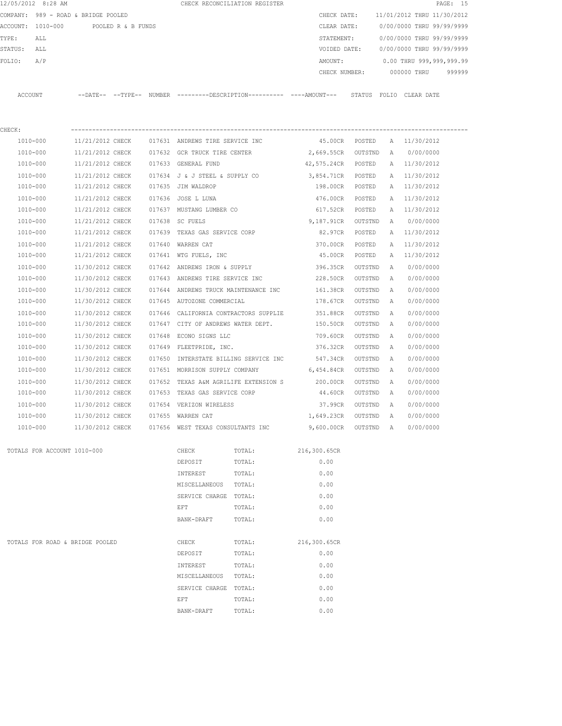|         | 12/05/2012 8:28 AM                                       |                  |                    |        |                                    | CHECK RECONCILIATION REGISTER                                                              |                            |           |   |                                                         | PAGE: 15 |
|---------|----------------------------------------------------------|------------------|--------------------|--------|------------------------------------|--------------------------------------------------------------------------------------------|----------------------------|-----------|---|---------------------------------------------------------|----------|
|         | COMPANY: 989 - ROAD & BRIDGE POOLED<br>ACCOUNT: 1010-000 |                  | POOLED R & B FUNDS |        |                                    |                                                                                            | CHECK DATE:<br>CLEAR DATE: |           |   | 11/01/2012 THRU 11/30/2012<br>0/00/0000 THRU 99/99/9999 |          |
| TYPE:   | ALL                                                      |                  |                    |        |                                    |                                                                                            | STATEMENT:                 |           |   | 0/00/0000 THRU 99/99/9999                               |          |
| STATUS: | ALL                                                      |                  |                    |        |                                    |                                                                                            | VOIDED DATE:               |           |   | 0/00/0000 THRU 99/99/9999                               |          |
| FOLIO:  | A/P                                                      |                  |                    |        |                                    |                                                                                            | AMOUNT:                    |           |   | 0.00 THRU 999,999,999.99                                |          |
|         |                                                          |                  |                    |        |                                    |                                                                                            | CHECK NUMBER:              |           |   | 000000 THRU                                             | 999999   |
| ACCOUNT |                                                          |                  |                    |        |                                    | --DATE-- --TYPE-- NUMBER --------DESCRIPTION--------- ----AMOUNT--- STATUS FOLIO CLEARDATE |                            |           |   |                                                         |          |
| CHECK:  |                                                          |                  |                    |        |                                    |                                                                                            |                            |           |   |                                                         |          |
|         | 1010-000                                                 | 11/21/2012 CHECK |                    |        | 017631 ANDREWS TIRE SERVICE INC    |                                                                                            | 45.00CR POSTED             |           |   | A 11/30/2012                                            |          |
|         | 1010-000                                                 | 11/21/2012 CHECK |                    |        | 017632 GCR TRUCK TIRE CENTER       |                                                                                            | 2,669.55CR                 | OUTSTND   | A | 0/00/0000                                               |          |
|         | 1010-000                                                 | 11/21/2012 CHECK |                    |        | 017633 GENERAL FUND                |                                                                                            | 42,575.24CR POSTED         |           |   | A 11/30/2012                                            |          |
|         | 1010-000                                                 | 11/21/2012 CHECK |                    |        | 017634 J & J STEEL & SUPPLY CO     |                                                                                            | 3,854.71CR POSTED          |           |   | A 11/30/2012                                            |          |
|         | 1010-000                                                 | 11/21/2012 CHECK |                    |        | 017635 JIM WALDROP                 |                                                                                            | 198.00CR POSTED            |           |   | A 11/30/2012                                            |          |
|         | 1010-000                                                 | 11/21/2012 CHECK |                    |        | 017636 JOSE L LUNA                 |                                                                                            | 476.00CR                   | POSTED    | A | 11/30/2012                                              |          |
|         | 1010-000                                                 | 11/21/2012 CHECK |                    |        | 017637 MUSTANG LUMBER CO           |                                                                                            | 617.52CR                   | POSTED    |   | A 11/30/2012                                            |          |
|         | 1010-000                                                 | 11/21/2012 CHECK |                    |        | 017638 SC FUELS                    |                                                                                            | 9,187.91CR                 | OUTSTND   | A | 0/00/0000                                               |          |
|         | 1010-000                                                 | 11/21/2012 CHECK |                    |        | 017639 TEXAS GAS SERVICE CORP      |                                                                                            | 82.97CR                    | POSTED    |   | A 11/30/2012                                            |          |
|         | 1010-000                                                 | 11/21/2012 CHECK |                    |        | 017640 WARREN CAT                  |                                                                                            | 370.00CR                   | POSTED    | Α | 11/30/2012                                              |          |
|         | 1010-000                                                 | 11/21/2012 CHECK |                    |        | 017641 WTG FUELS, INC              |                                                                                            | 45.00CR                    | POSTED    | A | 11/30/2012                                              |          |
|         | 1010-000                                                 | 11/30/2012 CHECK |                    |        | 017642 ANDREWS IRON & SUPPLY       |                                                                                            | 396.35CR                   | OUTSTND   | A | 0/00/0000                                               |          |
|         | 1010-000                                                 | 11/30/2012 CHECK |                    |        |                                    | 017643 ANDREWS TIRE SERVICE INC                                                            | 228.50CR                   | OUTSTND   | A | 0/00/0000                                               |          |
|         | 1010-000                                                 | 11/30/2012 CHECK |                    |        |                                    | 017644 ANDREWS TRUCK MAINTENANCE INC                                                       | 161.38CR                   | OUTSTND   | Α | 0/00/0000                                               |          |
|         | 1010-000                                                 | 11/30/2012 CHECK |                    |        | 017645 AUTOZONE COMMERCIAL         |                                                                                            | 178.67CR                   | OUTSTND   | Α | 0/00/0000                                               |          |
|         | 1010-000                                                 | 11/30/2012 CHECK |                    |        |                                    | 017646 CALIFORNIA CONTRACTORS SUPPLIE                                                      | 351.88CR                   | OUTSTND   | A | 0/00/0000                                               |          |
|         | 1010-000                                                 | 11/30/2012 CHECK |                    |        | 017647 CITY OF ANDREWS WATER DEPT. |                                                                                            | 150.50CR                   | OUTSTND   | A | 0/00/0000                                               |          |
|         | 1010-000                                                 | 11/30/2012 CHECK |                    | 017648 | ECONO SIGNS LLC                    |                                                                                            | 709.60CR                   | OUTSTND   | A | 0/00/0000                                               |          |
|         | 1010-000                                                 | 11/30/2012 CHECK |                    |        | 017649 FLEETPRIDE, INC.            |                                                                                            | 376.32CR                   | OUTSTND   | A | 0/00/0000                                               |          |
|         | 1010-000                                                 | 11/30/2012 CHECK |                    | 017650 |                                    | INTERSTATE BILLING SERVICE INC                                                             | 547.34CR                   | OUTSTND   | А | 0/00/0000                                               |          |
|         | 1010-000                                                 | 11/30/2012 CHECK |                    |        | 017651 MORRISON SUPPLY COMPANY     |                                                                                            | $6,454.84 \text{CR}$       | OUTSTND   | A | 0/00/0000                                               |          |
|         | 1010-000                                                 | 11/30/2012 CHECK |                    |        |                                    | 017652 TEXAS A&M AGRILIFE EXTENSION S 200.00CR                                             |                            | OUTSTND   | A | 0/00/0000                                               |          |
|         | 1010-000                                                 | 11/30/2012 CHECK |                    |        | 017653 TEXAS GAS SERVICE CORP      |                                                                                            | 44.60CR                    | OUTSTND   | A | 0/00/0000                                               |          |
|         | 1010-000                                                 | 11/30/2012 CHECK |                    |        | 017654 VERIZON WIRELESS            |                                                                                            | 37.99CR                    | OUTSTND   | A | 0/00/0000                                               |          |
|         | 1010-000                                                 | 11/30/2012 CHECK |                    |        | 017655 WARREN CAT                  |                                                                                            | 1,649.23CR OUTSTND A       |           |   | 0/00/0000                                               |          |
|         | 1010-000                                                 | 11/30/2012 CHECK |                    |        | 017656 WEST TEXAS CONSULTANTS INC  |                                                                                            | 9,600.00CR                 | OUTSTND A |   | 0/00/0000                                               |          |
|         | TOTALS FOR ACCOUNT 1010-000                              |                  |                    |        | CHECK                              | TOTAL:                                                                                     | 216,300.65CR               |           |   |                                                         |          |
|         |                                                          |                  |                    |        | DEPOSIT                            | TOTAL:                                                                                     | 0.00                       |           |   |                                                         |          |
|         |                                                          |                  |                    |        | INTEREST                           | TOTAL:                                                                                     | 0.00                       |           |   |                                                         |          |
|         |                                                          |                  |                    |        | MISCELLANEOUS TOTAL:               |                                                                                            | 0.00                       |           |   |                                                         |          |
|         |                                                          |                  |                    |        | SERVICE CHARGE TOTAL:              |                                                                                            | 0.00                       |           |   |                                                         |          |
|         |                                                          |                  |                    |        | EFT                                | TOTAL:                                                                                     | 0.00                       |           |   |                                                         |          |
|         |                                                          |                  |                    |        | BANK-DRAFT                         | TOTAL:                                                                                     | 0.00                       |           |   |                                                         |          |
|         | TOTALS FOR ROAD & BRIDGE POOLED                          |                  |                    |        | CHECK                              | TOTAL:                                                                                     | 216,300.65CR               |           |   |                                                         |          |
|         |                                                          |                  |                    |        | DEPOSIT                            | TOTAL:                                                                                     | 0.00                       |           |   |                                                         |          |
|         |                                                          |                  |                    |        | INTEREST                           | TOTAL:                                                                                     | 0.00                       |           |   |                                                         |          |
|         |                                                          |                  |                    |        | MISCELLANEOUS                      | TOTAL:                                                                                     | 0.00                       |           |   |                                                         |          |
|         |                                                          |                  |                    |        | SERVICE CHARGE TOTAL:              |                                                                                            | 0.00                       |           |   |                                                         |          |
|         |                                                          |                  |                    |        | EFT                                | TOTAL:                                                                                     | 0.00                       |           |   |                                                         |          |
|         |                                                          |                  |                    |        | BANK-DRAFT                         | TOTAL:                                                                                     | 0.00                       |           |   |                                                         |          |
|         |                                                          |                  |                    |        |                                    |                                                                                            |                            |           |   |                                                         |          |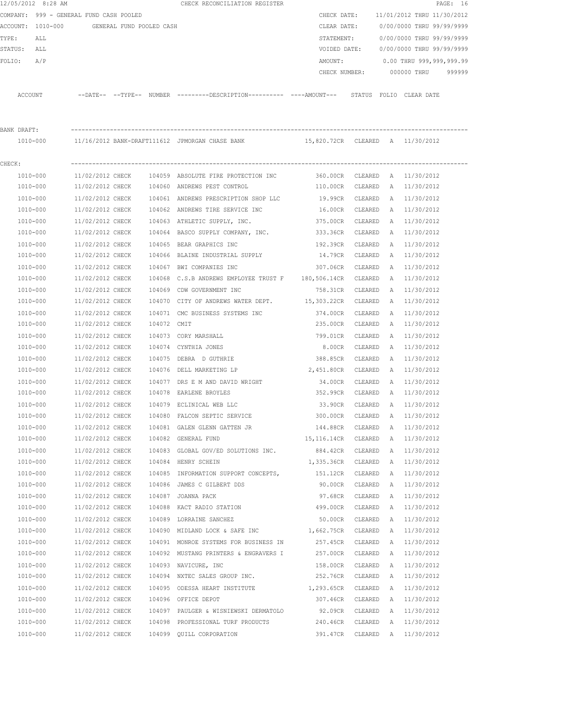|             | 12/05/2012 8:28 AM                      |                  |                          |             | CHECK RECONCILIATION REGISTER                                                                               |                    |         |              |                               | PAGE: 16 |
|-------------|-----------------------------------------|------------------|--------------------------|-------------|-------------------------------------------------------------------------------------------------------------|--------------------|---------|--------------|-------------------------------|----------|
|             | COMPANY: 999 - GENERAL FUND CASH POOLED |                  |                          |             |                                                                                                             | CHECK DATE:        |         |              | 11/01/2012 THRU 11/30/2012    |          |
|             | ACCOUNT: 1010-000                       |                  | GENERAL FUND POOLED CASH |             |                                                                                                             | CLEAR DATE:        |         |              | 0/00/0000 THRU 99/99/9999     |          |
| TYPE:       | ALL                                     |                  |                          |             |                                                                                                             | STATEMENT:         |         |              | 0/00/0000 THRU 99/99/9999     |          |
| STATUS: ALL |                                         |                  |                          |             |                                                                                                             | VOIDED DATE:       |         |              | 0/00/0000 THRU 99/99/9999     |          |
| FOLIO:      | A/P                                     |                  |                          |             |                                                                                                             | AMOUNT:            |         |              | 0.00 THRU 999,999,999.99      |          |
|             |                                         |                  |                          |             |                                                                                                             | CHECK NUMBER:      |         |              | 000000 THRU                   | 999999   |
|             | ACCOUNT                                 |                  |                          |             | --DATE-- --TYPE-- NUMBER --------DESCRIPTION---------- ----AMOUNT--- STATUS FOLIO CLEARDATE                 |                    |         |              |                               |          |
| BANK DRAFT: |                                         |                  |                          |             |                                                                                                             |                    |         |              |                               |          |
|             | 1010-000                                |                  |                          |             | 11/16/2012 BANK-DRAFT111612 JPMORGAN CHASE BANK                       15,820.72CR  CLEARED   A   11/30/2012 |                    |         |              |                               |          |
| CHECK:      |                                         |                  |                          |             |                                                                                                             |                    |         |              |                               |          |
|             | 1010-000                                | 11/02/2012 CHECK |                          |             | 104059 ABSOLUTE FIRE PROTECTION INC                                                                         |                    |         |              | 360.00CR CLEARED A 11/30/2012 |          |
|             | 1010-000                                | 11/02/2012 CHECK |                          |             | 104060 ANDREWS PEST CONTROL                                                                                 | 110.00CR CLEARED   |         |              | A 11/30/2012                  |          |
|             | 1010-000                                | 11/02/2012 CHECK |                          |             | 104061 ANDREWS PRESCRIPTION SHOP LLC                                                                        | 19.99CR            | CLEARED |              | A 11/30/2012                  |          |
|             | 1010-000                                | 11/02/2012 CHECK |                          |             | 104062 ANDREWS TIRE SERVICE INC                                                                             | 16.00CR CLEARED    |         |              | A 11/30/2012                  |          |
|             | 1010-000                                | 11/02/2012 CHECK |                          |             | 104063 ATHLETIC SUPPLY, INC.                                                                                | 375.00CR           | CLEARED | A            | 11/30/2012                    |          |
|             | 1010-000                                | 11/02/2012 CHECK |                          |             | 104064 BASCO SUPPLY COMPANY, INC.                                                                           | 333.36CR           | CLEARED | A            | 11/30/2012                    |          |
|             | 1010-000                                | 11/02/2012 CHECK |                          |             | 104065 BEAR GRAPHICS INC                                                                                    | 192.39CR           | CLEARED | A            | 11/30/2012                    |          |
|             | 1010-000                                | 11/02/2012 CHECK |                          |             | 104066 BLAINE INDUSTRIAL SUPPLY                                                                             | 14.79CR            | CLEARED |              | A 11/30/2012                  |          |
|             | 1010-000                                | 11/02/2012 CHECK |                          |             | 104067 BWI COMPANIES INC                                                                                    | 307.06CR           | CLEARED | A            | 11/30/2012                    |          |
|             | 1010-000                                | 11/02/2012 CHECK |                          |             | 104068 C.S.B ANDREWS EMPLOYEE TRUST F 180,506.14CR CLEARED                                                  |                    |         |              | A 11/30/2012                  |          |
|             | 1010-000                                | 11/02/2012 CHECK |                          |             | 104069 CDW GOVERNMENT INC                                                                                   | 758.31CR           | CLEARED | $\mathbb{A}$ | 11/30/2012                    |          |
|             | 1010-000                                | 11/02/2012 CHECK |                          |             | 104070 CITY OF ANDREWS WATER DEPT. 15,303.22CR                                                              |                    | CLEARED | A            | 11/30/2012                    |          |
|             | 1010-000                                | 11/02/2012 CHECK |                          |             | 104071 CMC BUSINESS SYSTEMS INC                                                                             | 374.00CR           | CLEARED | A            | 11/30/2012                    |          |
|             | 1010-000                                | 11/02/2012 CHECK |                          | 104072 CMIT |                                                                                                             | 235.00CR           | CLEARED | A            | 11/30/2012                    |          |
|             | 1010-000                                | 11/02/2012 CHECK |                          |             | 104073 CORY MARSHALL                                                                                        | 799.01CR           | CLEARED | A            | 11/30/2012                    |          |
|             | 1010-000                                | 11/02/2012 CHECK |                          |             | 104074 CYNTHIA JONES                                                                                        | 8.00CR             | CLEARED | A            | 11/30/2012                    |          |
|             | 1010-000                                | 11/02/2012 CHECK |                          | 104075      | DEBRA D GUTHRIE                                                                                             | 388.85CR           | CLEARED | A            | 11/30/2012                    |          |
|             | 1010-000                                | 11/02/2012 CHECK |                          | 104076      | DELL MARKETING LP                                                                                           | 2,451.80CR         | CLEARED | A            | 11/30/2012                    |          |
|             | 1010-000                                | 11/02/2012 CHECK |                          |             | 104077 DRS E M AND DAVID WRIGHT                                                                             | 34.00CR            | CLEARED |              | A 11/30/2012                  |          |
|             | 1010-000                                | 11/02/2012 CHECK |                          |             | 104078 EARLENE BROYLES                                                                                      | 352.99CR           | CLEARED |              | A 11/30/2012                  |          |
|             | 1010-000                                | 11/02/2012 CHECK |                          |             | 104079 ECLINICAL WEB LLC                                                                                    | 33.90CR            | CLEARED |              | A 11/30/2012                  |          |
|             | 1010-000                                | 11/02/2012 CHECK |                          |             | 104080 FALCON SEPTIC SERVICE                                                                                | 300.00CR           | CLEARED | Α            | 11/30/2012                    |          |
|             | 1010-000                                | 11/02/2012 CHECK |                          |             | 104081 GALEN GLENN GATTEN JR                                                                                | 144.88CR           | CLEARED | Α            | 11/30/2012                    |          |
|             | 1010-000                                | 11/02/2012 CHECK |                          |             | 104082 GENERAL FUND                                                                                         | 15,116.14CR        | CLEARED | Α            | 11/30/2012                    |          |
|             | 1010-000                                | 11/02/2012 CHECK |                          |             | 104083 GLOBAL GOV/ED SOLUTIONS INC.                                                                         | 884.42CR CLEARED   |         | А            | 11/30/2012                    |          |
|             | 1010-000                                | 11/02/2012 CHECK |                          |             | 104084 HENRY SCHEIN                                                                                         | 1,335.36CR CLEARED |         | A            | 11/30/2012                    |          |
|             | 1010-000                                | 11/02/2012 CHECK |                          |             | 104085 INFORMATION SUPPORT CONCEPTS,                                                                        | 151.12CR           | CLEARED | A            | 11/30/2012                    |          |
|             | 1010-000                                | 11/02/2012 CHECK |                          |             | 104086 JAMES C GILBERT DDS                                                                                  | 90.00CR            | CLEARED | А            | 11/30/2012                    |          |
|             | 1010-000                                | 11/02/2012 CHECK |                          |             | 104087 JOANNA PACK                                                                                          | 97.68CR            | CLEARED | Α            | 11/30/2012                    |          |
|             | 1010-000                                | 11/02/2012 CHECK |                          |             | 104088 KACT RADIO STATION                                                                                   | 499.00CR           | CLEARED | Α            | 11/30/2012                    |          |
|             | 1010-000                                | 11/02/2012 CHECK |                          |             | 104089 LORRAINE SANCHEZ                                                                                     | 50.00CR            | CLEARED | А            | 11/30/2012                    |          |
|             | 1010-000                                | 11/02/2012 CHECK |                          |             | 104090 MIDLAND LOCK & SAFE INC 1,662.75CR                                                                   |                    | CLEARED | A            | 11/30/2012                    |          |
|             | 1010-000                                | 11/02/2012 CHECK |                          |             | 104091 MONROE SYSTEMS FOR BUSINESS IN 257.45CR                                                              |                    | CLEARED | Α            | 11/30/2012                    |          |
|             | 1010-000                                | 11/02/2012 CHECK |                          |             | 104092 MUSTANG PRINTERS & ENGRAVERS I                                                                       | 257.00CR           | CLEARED | Α            | 11/30/2012                    |          |
|             | 1010-000                                | 11/02/2012 CHECK |                          |             | 104093 NAVICURE, INC                                                                                        | 158.00CR           | CLEARED | Α            | 11/30/2012                    |          |
|             | 1010-000                                | 11/02/2012 CHECK |                          |             | 104094 NXTEC SALES GROUP INC.                                                                               | 252.76CR           | CLEARED | Α            | 11/30/2012                    |          |
|             | 1010-000                                | 11/02/2012 CHECK |                          |             | 104095 ODESSA HEART INSTITUTE                                                                               | 1,293.65CR         | CLEARED | А            | 11/30/2012                    |          |
|             | 1010-000                                | 11/02/2012 CHECK |                          |             | 104096 OFFICE DEPOT                                                                                         | 307.46CR           | CLEARED | A            | 11/30/2012                    |          |
|             | 1010-000                                | 11/02/2012 CHECK |                          |             | 104097 PAULGER & WISNIEWSKI DERMATOLO                                                                       | 92.09CR            | CLEARED | A            | 11/30/2012                    |          |
|             | 1010-000                                | 11/02/2012 CHECK |                          |             | 104098 PROFESSIONAL TURF PRODUCTS                                                                           | 240.46CR           | CLEARED | A            | 11/30/2012                    |          |
|             | 1010-000                                | 11/02/2012 CHECK |                          |             | 104099 QUILL CORPORATION                                                                                    | 391.47CR           | CLEARED |              | A 11/30/2012                  |          |
|             |                                         |                  |                          |             |                                                                                                             |                    |         |              |                               |          |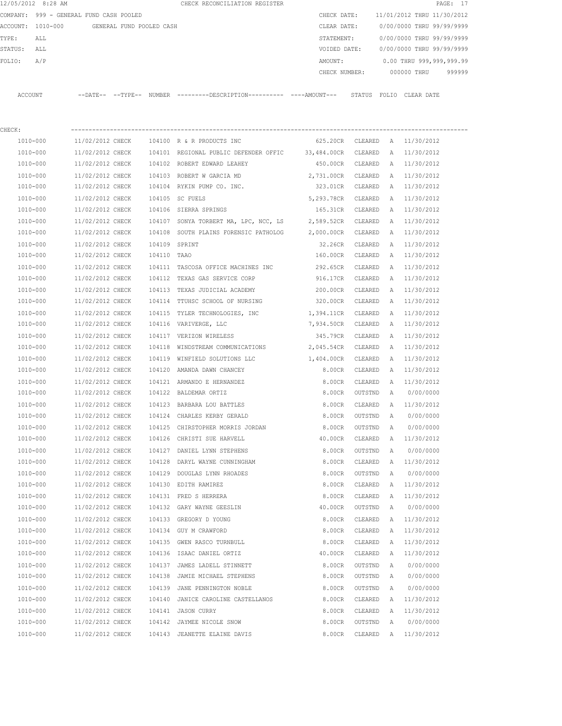|         | 12/05/2012 8:28 AM                      |                   |                          | CHECK RECONCILIATION REGISTER |  |               |        |                            |             | PAGE: 17 |        |
|---------|-----------------------------------------|-------------------|--------------------------|-------------------------------|--|---------------|--------|----------------------------|-------------|----------|--------|
|         | COMPANY: 999 - GENERAL FUND CASH POOLED |                   |                          |                               |  | CHECK DATE:   |        | 11/01/2012 THRU 11/30/2012 |             |          |        |
|         | ACCOUNT: 1010-000                       |                   | GENERAL FUND POOLED CASH |                               |  | CLEAR DATE:   |        | 0/00/0000 THRU 99/99/9999  |             |          |        |
| TYPE:   | ALL                                     |                   |                          |                               |  | STATEMENT:    |        | 0/00/0000 THRU 99/99/9999  |             |          |        |
| STATUS: | ALL                                     |                   |                          |                               |  | VOIDED DATE:  |        | 0/00/0000 THRU 99/99/9999  |             |          |        |
| FOLTO:  | A/P                                     |                   |                          |                               |  | AMOUNT:       |        | 0.00 THRU 999,999,999.99   |             |          |        |
|         |                                         |                   |                          |                               |  | CHECK NUMBER: |        |                            | 000000 THRU |          | 999999 |
|         |                                         |                   |                          |                               |  |               |        |                            |             |          |        |
| ACCOUNT |                                         | --DATE-- --TYPE-- | NUMBER                   |                               |  |               | STATUS | FOLIO                      | CLEAR DATE  |          |        |

| CHECK:       |                                        |               |                                                           |                               |         |   |              |
|--------------|----------------------------------------|---------------|-----------------------------------------------------------|-------------------------------|---------|---|--------------|
| 1010-000     |                                        |               | 11/02/2012 CHECK 104100 R & R PRODUCTS INC                | 625.20CR CLEARED A 11/30/2012 |         |   |              |
| 1010-000     | 11/02/2012 CHECK                       |               | 104101 REGIONAL PUBLIC DEFENDER OFFIC 33,484.00CR CLEARED |                               |         | A | 11/30/2012   |
| 1010-000     | 11/02/2012 CHECK                       |               | 104102 ROBERT EDWARD LEAHEY                               | 450.00CR                      | CLEARED | A | 11/30/2012   |
| $1010 - 000$ | 11/02/2012 CHECK                       |               | 104103 ROBERT W GARCIA MD                                 | 2,731.00CR CLEARED            |         | Α | 11/30/2012   |
| 1010-000     | 11/02/2012 CHECK                       |               | 104104 RYKIN PUMP CO. INC.                                | 323.01CR                      | CLEARED | A | 11/30/2012   |
| 1010-000     | 11/02/2012 CHECK                       |               | 104105 SC FUELS                                           | 5,293.78CR CLEARED            |         | Α | 11/30/2012   |
| 1010-000     | 11/02/2012 CHECK                       |               | 104106 SIERRA SPRINGS                                     | 165.31CR                      | CLEARED | Α | 11/30/2012   |
| 1010-000     | 11/02/2012 CHECK                       |               | 104107 SONYA TORBERT MA, LPC, NCC, LS 2,589.52CR          |                               | CLEARED | A | 11/30/2012   |
| 1010-000     | 11/02/2012 CHECK                       |               | 104108 SOUTH PLAINS FORENSIC PATHOLOG 2,000.00CR          |                               | CLEARED | A | 11/30/2012   |
| 1010-000     | 11/02/2012 CHECK                       | 104109 SPRINT |                                                           | 32.26CR                       | CLEARED | A | 11/30/2012   |
| 1010-000     | 11/02/2012 CHECK                       | 104110 TAAO   |                                                           | 160.00CR                      | CLEARED | A | 11/30/2012   |
| 1010-000     | 11/02/2012 CHECK                       |               | 104111 TASCOSA OFFICE MACHINES INC                        | 292.65CR                      | CLEARED | Α | 11/30/2012   |
| 1010-000     | 11/02/2012 CHECK                       |               | 104112 TEXAS GAS SERVICE CORP                             | 916.17CR                      | CLEARED | Α | 11/30/2012   |
| 1010-000     | 11/02/2012 CHECK                       |               | 104113 TEXAS JUDICIAL ACADEMY                             | 200.00CR                      | CLEARED | A | 11/30/2012   |
| 1010-000     | 11/02/2012 CHECK                       |               | 104114 TTUHSC SCHOOL OF NURSING                           | 320.00CR CLEARED              |         |   | A 11/30/2012 |
| 1010-000     | 11/02/2012 CHECK                       |               | 104115 TYLER TECHNOLOGIES, INC                            | 1,394.11CR CLEARED            |         | A | 11/30/2012   |
| 1010-000     | 11/02/2012 CHECK                       |               | 104116 VARIVERGE, LLC                                     | 7,934.50CR CLEARED            |         | A | 11/30/2012   |
| 1010-000     | 11/02/2012 CHECK                       |               | 104117 VERIZON WIRELESS                                   | 345.79CR CLEARED              |         | A | 11/30/2012   |
| 1010-000     | 11/02/2012 CHECK 104118                |               | WINDSTREAM COMMUNICATIONS 2,045.54CR CLEARED              |                               |         | A | 11/30/2012   |
| 1010-000     | 11/02/2012 CHECK                       | 104119        | WINFIELD SOLUTIONS LLC 1,404.00CR CLEARED                 |                               |         | Α | 11/30/2012   |
| 1010-000     |                                        |               | 11/02/2012 CHECK 104120 AMANDA DAWN CHANCEY               | 8.00CR                        | CLEARED | A | 11/30/2012   |
| $1010 - 000$ | 11/02/2012 CHECK                       |               | 104121 ARMANDO E HERNANDEZ                                | 8.00CR                        | CLEARED | A | 11/30/2012   |
| 1010-000     | 11/02/2012 CHECK 104122 BALDEMAR ORTIZ |               |                                                           | 8.00CR                        | OUTSTND | A | 0/00/0000    |
| 1010-000     | 11/02/2012 CHECK                       |               | 104123 BARBARA LOU BATTLES                                | 8.00CR                        | CLEARED | A | 11/30/2012   |
| 1010-000     | 11/02/2012 CHECK                       |               | 104124 CHARLES KERBY GERALD                               | 8.00CR                        | OUTSTND | Α | 0/00/0000    |
| 1010-000     | 11/02/2012 CHECK                       |               | 104125 CHIRSTOPHER MORRIS JORDAN                          | 8.00CR                        | OUTSTND | Α | 0/00/0000    |
| 1010-000     | 11/02/2012 CHECK                       |               | 104126 CHRISTI SUE HARVELL                                | 40.00CR                       | CLEARED |   | A 11/30/2012 |
| 1010-000     | 11/02/2012 CHECK                       | 104127        | DANIEL LYNN STEPHENS                                      | 8.00CR                        | OUTSTND | A | 0/00/0000    |
| 1010-000     | 11/02/2012 CHECK                       | 104128        | DARYL WAYNE CUNNINGHAM                                    | 8.00CR                        | CLEARED | A | 11/30/2012   |
| 1010-000     | 11/02/2012 CHECK                       | 104129        | DOUGLAS LYNN RHOADES                                      | 8.00CR                        | OUTSTND | Α | 0/00/0000    |
| 1010-000     | 11/02/2012 CHECK                       |               | 104130 EDITH RAMIREZ                                      | 8.00CR                        | CLEARED | Α | 11/30/2012   |
| 1010-000     | 11/02/2012 CHECK                       |               | 104131 FRED S HERRERA                                     | 8.00CR                        | CLEARED | Α | 11/30/2012   |
| 1010-000     | 11/02/2012 CHECK                       |               | 104132 GARY WAYNE GEESLIN                                 | 40.00CR                       | OUTSTND | Α | 0/00/0000    |
| 1010-000     | 11/02/2012 CHECK                       |               | 104133 GREGORY D YOUNG                                    | 8.00CR                        | CLEARED | A | 11/30/2012   |
| 1010-000     | 11/02/2012 CHECK                       |               | 104134 GUY M CRAWFORD                                     | 8.00CR                        | CLEARED |   | A 11/30/2012 |
| 1010-000     | 11/02/2012 CHECK                       |               | 104135 GWEN RASCO TURNBULL                                | 8.00CR                        | CLEARED | Α | 11/30/2012   |
| 1010-000     | 11/02/2012 CHECK                       |               | 104136 ISAAC DANIEL ORTIZ                                 | 40.00CR                       | CLEARED | Α | 11/30/2012   |
| 1010-000     | 11/02/2012 CHECK                       | 104137        | JAMES LADELL STINNETT                                     | 8.00CR                        | OUTSTND | Α | 0/00/0000    |
| 1010-000     | 11/02/2012 CHECK                       | 104138        | JAMIE MICHAEL STEPHENS                                    | 8.00CR                        | OUTSTND | Α | 0/00/0000    |
| 1010-000     | 11/02/2012 CHECK                       | 104139        | JANE PENNINGTON NOBLE                                     | 8.00CR                        | OUTSTND | Α | 0/00/0000    |
| 1010-000     | 11/02/2012 CHECK                       | 104140        | JANICE CAROLINE CASTELLANOS                               | 8.00CR                        | CLEARED | Α | 11/30/2012   |
| 1010-000     | 11/02/2012 CHECK                       | 104141        | JASON CURRY                                               | 8.00CR                        | CLEARED | Α | 11/30/2012   |
| 1010-000     | 11/02/2012 CHECK                       | 104142        | JAYMEE NICOLE SNOW                                        | 8.00CR                        | OUTSTND | Α | 0/00/0000    |
| $1010 - 000$ | 11/02/2012 CHECK                       |               | 104143 JEANETTE ELAINE DAVIS                              | 8.00CR                        | CLEARED | Α | 11/30/2012   |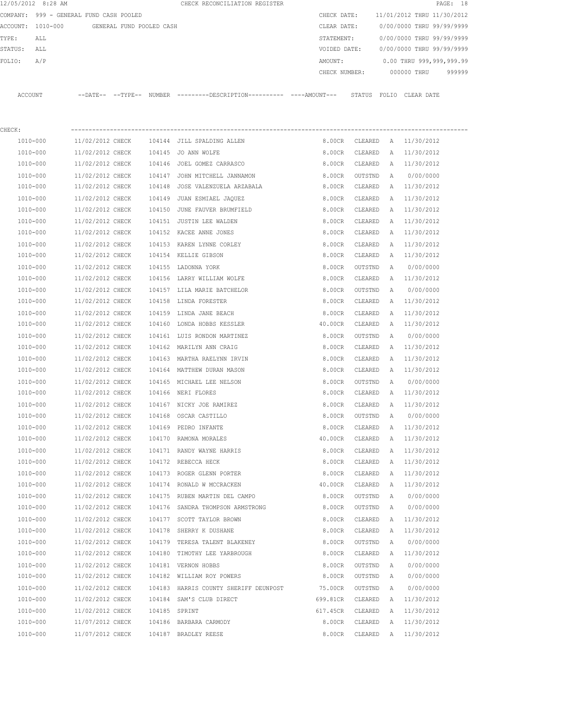|         | 12/05/2012 8:28 AM |                                         |                          |        | CHECK RECONCILIATION REGISTER                                                                |               |                |              |                            | PAGE: 18 |
|---------|--------------------|-----------------------------------------|--------------------------|--------|----------------------------------------------------------------------------------------------|---------------|----------------|--------------|----------------------------|----------|
|         |                    | COMPANY: 999 - GENERAL FUND CASH POOLED |                          |        |                                                                                              | CHECK DATE:   |                |              | 11/01/2012 THRU 11/30/2012 |          |
|         | ACCOUNT: 1010-000  |                                         | GENERAL FUND POOLED CASH |        |                                                                                              | CLEAR DATE:   |                |              | 0/00/0000 THRU 99/99/9999  |          |
| TYPE:   | ALL                |                                         |                          |        |                                                                                              | STATEMENT:    |                |              | 0/00/0000 THRU 99/99/9999  |          |
| STATUS: | ALL                |                                         |                          |        |                                                                                              | VOIDED DATE:  |                |              | 0/00/0000 THRU 99/99/9999  |          |
| FOLIO:  | A/P                |                                         |                          |        |                                                                                              | AMOUNT:       |                |              | 0.00 THRU 999,999,999.99   |          |
|         |                    |                                         |                          |        |                                                                                              | CHECK NUMBER: |                |              | 000000 THRU                | 999999   |
|         | ACCOUNT            |                                         |                          |        | --DATE-- --TYPE-- NUMBER ---------DESCRIPTION---------- ----AMOUNT--- STATUS FOLIO CLEARDATE |               |                |              |                            |          |
| CHECK:  |                    |                                         |                          |        |                                                                                              |               |                |              |                            |          |
|         | 1010-000           | 11/02/2012 CHECK                        |                          |        | 104144 JILL SPALDING ALLEN                                                                   |               | 8.00CR CLEARED |              | A 11/30/2012               |          |
|         | 1010-000           | 11/02/2012 CHECK                        |                          |        | 104145 JO ANN WOLFE                                                                          | 8.00CR        | CLEARED        | $\mathbb{A}$ | 11/30/2012                 |          |
|         | 1010-000           | 11/02/2012 CHECK                        |                          |        | 104146 JOEL GOMEZ CARRASCO                                                                   | 8.00CR        | CLEARED        |              | A 11/30/2012               |          |
|         | 1010-000           | 11/02/2012 CHECK                        |                          |        | 104147 JOHN MITCHELL JANNAMON                                                                | 8.00CR        | OUTSTND        | A            | 0/00/0000                  |          |
|         | 1010-000           | 11/02/2012 CHECK                        |                          | 104148 | JOSE VALENZUELA ARZABALA                                                                     | 8.00CR        | CLEARED        |              | A 11/30/2012               |          |
|         | 1010-000           | 11/02/2012 CHECK                        |                          |        | 104149 JUAN ESMIAEL JAQUEZ                                                                   | 8.00CR        | CLEARED        |              | A 11/30/2012               |          |
|         | 1010-000           | 11/02/2012 CHECK                        |                          |        | 104150 JUNE FAUVER BRUMFIELD                                                                 | 8.00CR        | CLEARED        |              | A 11/30/2012               |          |
|         | 1010-000           | 11/02/2012 CHECK                        |                          |        | 104151 JUSTIN LEE WALDEN                                                                     | 8.00CR        | CLEARED        | A            | 11/30/2012                 |          |
|         | 1010-000           | 11/02/2012 CHECK                        |                          |        | 104152 KACEE ANNE JONES                                                                      | 8.00CR        | CLEARED        |              | A 11/30/2012               |          |
|         | 1010-000           | 11/02/2012 CHECK                        |                          |        | 104153 KAREN LYNNE CORLEY                                                                    | 8.00CR        | CLEARED        | A            | 11/30/2012                 |          |
|         | 1010-000           | 11/02/2012 CHECK                        |                          |        | 104154 KELLIE GIBSON                                                                         | 8.00CR        | CLEARED        | A            | 11/30/2012                 |          |
|         | 1010-000           | 11/02/2012 CHECK                        |                          |        | 104155 LADONNA YORK                                                                          | 8.00CR        | OUTSTND        | Α            | 0/00/0000                  |          |
|         | 1010-000           | 11/02/2012 CHECK                        |                          |        | 104156 LARRY WILLIAM WOLFE                                                                   | 8.00CR        | CLEARED        |              | A 11/30/2012               |          |
|         | 1010-000           | 11/02/2012 CHECK                        |                          |        | 104157 LILA MARIE BATCHELOR                                                                  | 8.00CR        | OUTSTND        | Α            | 0/00/0000                  |          |
|         | 1010-000           | 11/02/2012 CHECK                        |                          |        | 104158 LINDA FORESTER                                                                        | 8.00CR        | CLEARED        | A            | 11/30/2012                 |          |
|         | 1010-000           | 11/02/2012 CHECK                        |                          |        | 104159 LINDA JANE BEACH                                                                      | 8.00CR        | CLEARED        | A            | 11/30/2012                 |          |
|         | 1010-000           | 11/02/2012 CHECK                        |                          |        | 104160 LONDA HOBBS KESSLER                                                                   | 40.00CR       | CLEARED        |              | A 11/30/2012               |          |
|         | 1010-000           | 11/02/2012 CHECK                        |                          |        | 104161 LUIS RONDON MARTINEZ                                                                  | 8.00CR        | OUTSTND        | A            | 0/00/0000                  |          |
|         | 1010-000           | 11/02/2012 CHECK                        |                          |        | 104162 MARILYN ANN CRAIG                                                                     | 8.00CR        | CLEARED        | A            | 11/30/2012                 |          |
|         | 1010-000           | 11/02/2012 CHECK                        |                          |        | 104163 MARTHA RAELYNN IRVIN                                                                  | 8.00CR        | CLEARED        | Α            | 11/30/2012                 |          |
|         | 1010-000           | 11/02/2012 CHECK                        |                          |        | 104164 MATTHEW DURAN MASON                                                                   | 8.00CR        | CLEARED        |              | A 11/30/2012               |          |
|         | 1010-000           | 11/02/2012 CHECK                        |                          |        | 104165 MICHAEL LEE NELSON                                                                    | 8.00CR        | OUTSTND        | A            | 0/00/0000                  |          |
|         | 1010-000           | 11/02/2012 CHECK                        |                          |        | 104166 NERI FLORES                                                                           | 8.00CR        | CLEARED        | A            | 11/30/2012                 |          |
|         | 1010-000           | 11/02/2012 CHECK                        |                          |        | 104167 NICKY JOE RAMIREZ                                                                     | 8.00CR        | CLEARED        | A            | 11/30/2012                 |          |
|         | 1010-000           | 11/02/2012 CHECK                        |                          |        | 104168 OSCAR CASTILLO                                                                        | 8.00CR        | OUTSTND        | Α            | 0/00/0000                  |          |
|         | 1010-000           | 11/02/2012 CHECK                        |                          |        | 104169 PEDRO INFANTE                                                                         | 8.00CR        | CLEARED        | Α            | 11/30/2012                 |          |
|         | 1010-000           | 11/02/2012 CHECK                        |                          |        | 104170 RAMONA MORALES                                                                        | 40.00CR       | CLEARED        | Α            | 11/30/2012                 |          |
|         | 1010-000           | 11/02/2012 CHECK                        |                          |        | 104171 RANDY WAYNE HARRIS                                                                    | 8.00CR        | CLEARED        | Α            | 11/30/2012                 |          |
|         | 1010-000           | 11/02/2012 CHECK                        |                          |        | 104172 REBECCA HECK                                                                          | 8.00CR        | CLEARED        | Α            | 11/30/2012                 |          |
|         | 1010-000           | 11/02/2012 CHECK                        |                          |        | 104173 ROGER GLENN PORTER                                                                    | 8.00CR        | CLEARED        | Α            | 11/30/2012                 |          |
|         | 1010-000           | 11/02/2012 CHECK                        |                          |        | 104174 RONALD W MCCRACKEN                                                                    | 40.00CR       | CLEARED        | Α            | 11/30/2012                 |          |
|         | 1010-000           | 11/02/2012 CHECK                        |                          |        | 104175 RUBEN MARTIN DEL CAMPO                                                                | 8.00CR        | OUTSTND        | Α            | 0/00/0000                  |          |
|         | 1010-000           | 11/02/2012 CHECK                        |                          |        | 104176 SANDRA THOMPSON ARMSTRONG                                                             | 8.00CR        | OUTSTND        | Α            | 0/00/0000                  |          |
|         | 1010-000           | 11/02/2012 CHECK                        |                          |        | 104177 SCOTT TAYLOR BROWN                                                                    | 8.00CR        | CLEARED        | Α            | 11/30/2012                 |          |
|         | 1010-000           | 11/02/2012 CHECK                        |                          |        | 104178 SHERRY K DUSHANE                                                                      | 8.00CR        | CLEARED        | Α            | 11/30/2012                 |          |
|         | 1010-000           | 11/02/2012 CHECK                        |                          |        | 104179 TERESA TALENT BLAKENEY                                                                | 8.00CR        | OUTSTND        | Α            | 0/00/0000                  |          |
|         | 1010-000           | 11/02/2012 CHECK                        |                          |        | 104180 TIMOTHY LEE YARBROUGH                                                                 | 8.00CR        | CLEARED        | Α            | 11/30/2012                 |          |
|         | 1010-000           | 11/02/2012 CHECK                        |                          |        | 104181 VERNON HOBBS                                                                          | 8.00CR        | OUTSTND        | Α            | 0/00/0000                  |          |
|         | 1010-000           | 11/02/2012 CHECK                        |                          |        | 104182 WILLIAM ROY POWERS                                                                    | 8.00CR        | OUTSTND        | Α            | 0/00/0000                  |          |
|         | 1010-000           | 11/02/2012 CHECK                        |                          |        | 104183 HARRIS COUNTY SHERIFF DEUNPOST                                                        | 75.00CR       | OUTSTND        | Α            | 0/00/0000                  |          |
|         | 1010-000           | 11/02/2012 CHECK                        |                          |        | 104184 SAM'S CLUB DIRECT                                                                     | 699.81CR      | CLEARED        | A            | 11/30/2012                 |          |
|         | 1010-000           | 11/02/2012 CHECK                        |                          |        | 104185 SPRINT                                                                                | 617.45CR      | CLEARED        | Α            | 11/30/2012                 |          |
|         | 1010-000           | 11/07/2012 CHECK                        |                          |        | 104186 BARBARA CARMODY                                                                       | 8.00CR        | CLEARED        | Α            | 11/30/2012                 |          |
|         | 1010-000           | 11/07/2012 CHECK                        |                          |        | 104187 BRADLEY REESE                                                                         | 8.00CR        | CLEARED        |              | A 11/30/2012               |          |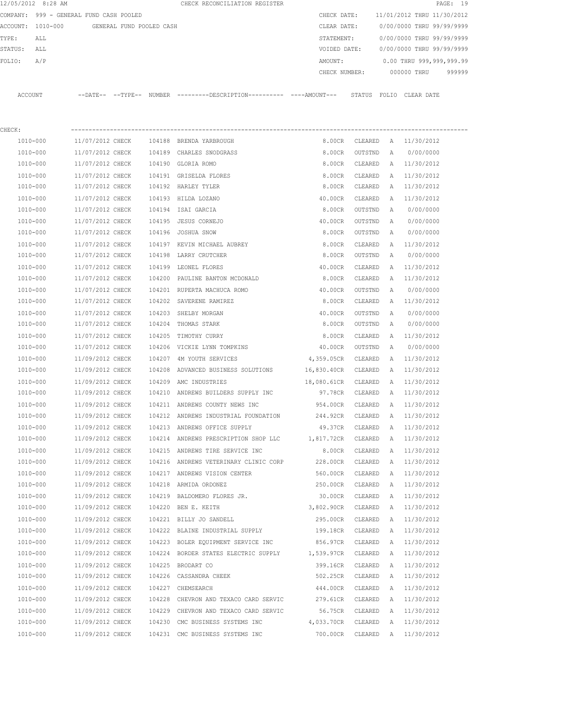|         | 12/05/2012 8:28 AM                      |                  |                          |        | CHECK RECONCILIATION REGISTER                                                                 |                        |                    |              |                            | PAGE: 19 |
|---------|-----------------------------------------|------------------|--------------------------|--------|-----------------------------------------------------------------------------------------------|------------------------|--------------------|--------------|----------------------------|----------|
|         | COMPANY: 999 - GENERAL FUND CASH POOLED |                  |                          |        |                                                                                               | CHECK DATE:            |                    |              | 11/01/2012 THRU 11/30/2012 |          |
|         | ACCOUNT: 1010-000                       |                  | GENERAL FUND POOLED CASH |        |                                                                                               | CLEAR DATE:            |                    |              | 0/00/0000 THRU 99/99/9999  |          |
| TYPE:   | ALL                                     |                  |                          |        |                                                                                               | STATEMENT:             |                    |              | 0/00/0000 THRU 99/99/9999  |          |
| STATUS: | ALL                                     |                  |                          |        |                                                                                               | VOIDED DATE:           |                    |              | 0/00/0000 THRU 99/99/9999  |          |
| FOLIO:  | A/P                                     |                  |                          |        |                                                                                               | AMOUNT:                |                    |              | 0.00 THRU 999,999,999.99   |          |
|         |                                         |                  |                          |        |                                                                                               | CHECK NUMBER:          |                    |              | 000000 THRU                | 999999   |
|         | ACCOUNT                                 |                  |                          |        | --DATE-- --TYPE-- NUMBER ---------DESCRIPTION---------- ----AMOUNT--- STATUS FOLIO CLEAR DATE |                        |                    |              |                            |          |
| CHECK:  |                                         |                  |                          |        |                                                                                               |                        |                    |              |                            |          |
|         | 1010-000                                | 11/07/2012 CHECK |                          |        | 104188 BRENDA YARBROUGH                                                                       | 8.00CR                 | CLEARED            |              | A 11/30/2012               |          |
|         | 1010-000                                | 11/07/2012 CHECK |                          |        | 104189 CHARLES SNODGRASS                                                                      | 8.00CR                 | OUTSTND            | A            | 0/00/0000                  |          |
|         | 1010-000                                | 11/07/2012 CHECK |                          |        | 104190 GLORIA ROMO                                                                            | 8.00CR                 | CLEARED            |              | A 11/30/2012               |          |
|         | 1010-000                                | 11/07/2012 CHECK |                          |        | 104191 GRISELDA FLORES                                                                        | 8.00CR                 | CLEARED            | A            | 11/30/2012                 |          |
|         | 1010-000                                | 11/07/2012 CHECK |                          |        | 104192 HARLEY TYLER                                                                           | 8.00CR                 | CLEARED            | A            | 11/30/2012                 |          |
|         | 1010-000                                | 11/07/2012 CHECK |                          |        | 104193 HILDA LOZANO                                                                           | 40.00CR                | CLEARED            | A            | 11/30/2012                 |          |
|         | 1010-000                                | 11/07/2012 CHECK |                          |        | 104194 ISAI GARCIA                                                                            | 8.00CR                 | OUTSTND            | A            | 0/00/0000                  |          |
|         | 1010-000                                | 11/07/2012 CHECK |                          | 104195 | JESUS CORNEJO                                                                                 | 40.00CR                | OUTSTND            | A            | 0/00/0000                  |          |
|         | 1010-000                                | 11/07/2012 CHECK |                          |        | 104196 JOSHUA SNOW                                                                            | 8.00CR                 | OUTSTND            | Α            | 0/00/0000                  |          |
|         | 1010-000                                | 11/07/2012 CHECK |                          |        | 104197 KEVIN MICHAEL AUBREY                                                                   | 8.00CR                 | CLEARED            | A            | 11/30/2012                 |          |
|         | 1010-000                                | 11/07/2012 CHECK |                          |        | 104198 LARRY CRUTCHER                                                                         | 8.00CR                 | OUTSTND            | Α            | 0/00/0000                  |          |
|         | 1010-000                                | 11/07/2012 CHECK |                          |        | 104199 LEONEL FLORES                                                                          | 40.00CR                | CLEARED            | Α            | 11/30/2012                 |          |
|         | 1010-000                                | 11/07/2012 CHECK |                          |        | 104200 PAULINE BANTON MCDONALD                                                                | 8.00CR                 | CLEARED            | Α            | 11/30/2012                 |          |
|         | 1010-000                                | 11/07/2012 CHECK |                          |        | 104201 RUPERTA MACHUCA ROMO                                                                   | 40.00CR                | OUTSTND            | Α            | 0/00/0000                  |          |
|         | 1010-000                                | 11/07/2012 CHECK |                          |        | 104202 SAVERENE RAMIREZ                                                                       | 8.00CR                 | CLEARED            | A            | 11/30/2012                 |          |
|         | 1010-000                                | 11/07/2012 CHECK |                          |        | 104203 SHELBY MORGAN                                                                          | 40.00CR                | OUTSTND            | Α            | 0/00/0000                  |          |
|         | 1010-000                                | 11/07/2012 CHECK |                          | 104204 | THOMAS STARK                                                                                  | 8.00CR                 | OUTSTND            | A            | 0/00/0000                  |          |
|         | 1010-000                                | 11/07/2012 CHECK |                          | 104205 | TIMOTHY CURRY                                                                                 | 8.00CR                 | CLEARED            | A            | 11/30/2012                 |          |
|         | 1010-000                                | 11/07/2012 CHECK |                          |        | 104206 VICKIE LYNN TOMPKINS                                                                   | 40.00CR                | OUTSTND            | A            | 0/00/0000                  |          |
|         | 1010-000                                | 11/09/2012 CHECK |                          | 104207 | 4M YOUTH SERVICES                                                                             | 4,359.05CR             | CLEARED            | Α            | 11/30/2012                 |          |
|         | 1010-000                                | 11/09/2012 CHECK |                          |        | 104208 ADVANCED BUSINESS SOLUTIONS                                                            | 16,830.40CR            | CLEARED            | Α            | 11/30/2012                 |          |
|         |                                         | 11/09/2012 CHECK |                          |        | AMC INDUSTRIES                                                                                |                        |                    |              |                            |          |
|         | 1010-000                                |                  |                          | 104209 | 104210 ANDREWS BUILDERS SUPPLY INC                                                            | 18,080.61CR<br>97.78CR | CLEARED<br>CLEARED | A            | 11/30/2012                 |          |
|         | 1010-000                                | 11/09/2012 CHECK |                          |        |                                                                                               |                        |                    | A            | 11/30/2012                 |          |
|         | 1010-000                                | 11/09/2012 CHECK |                          |        | 104211 ANDREWS COUNTY NEWS INC                                                                | 954.00CR               | CLEARED            | A            | 11/30/2012                 |          |
|         | 1010-000                                | 11/09/2012 CHECK |                          |        | 104212 ANDREWS INDUSTRIAL FOUNDATION                                                          | 244.92CR               | CLEARED            | A            | 11/30/2012                 |          |
|         | 1010-000                                | 11/09/2012 CHECK |                          |        | 104213 ANDREWS OFFICE SUPPLY                                                                  | 49.37CR                | CLEARED            | $\mathbb{A}$ | 11/30/2012                 |          |
|         | 1010-000                                | 11/09/2012 CHECK |                          |        | 104214 ANDREWS PRESCRIPTION SHOP LLC                                                          | 1,817.72CR             | CLEARED            | $\mathbb{A}$ | 11/30/2012                 |          |
|         | 1010-000                                | 11/09/2012 CHECK |                          |        | 104215 ANDREWS TIRE SERVICE INC                                                               | 8.00CR                 | CLEARED            | Α            | 11/30/2012                 |          |
|         | 1010-000                                | 11/09/2012 CHECK |                          |        | 104216 ANDREWS VETERINARY CLINIC CORP                                                         | 228.00CR               | CLEARED            | A            | 11/30/2012                 |          |
|         | $1010 - 000$                            | 11/09/2012 CHECK |                          |        | 104217 ANDREWS VISION CENTER                                                                  | 560.00CR               | CLEARED            | Α            | 11/30/2012                 |          |
|         | 1010-000                                | 11/09/2012 CHECK |                          |        | 104218 ARMIDA ORDONEZ                                                                         | 250.00CR               | CLEARED            | Α            | 11/30/2012                 |          |
|         | 1010-000                                | 11/09/2012 CHECK |                          |        | 104219 BALDOMERO FLORES JR.                                                                   | 30.00CR                | CLEARED            | Α            | 11/30/2012                 |          |
|         | 1010-000                                | 11/09/2012 CHECK |                          |        | 104220 BEN E. KEITH                                                                           | 3,802.90CR             | CLEARED            | Α            | 11/30/2012                 |          |
|         | 1010-000                                | 11/09/2012 CHECK |                          |        | 104221 BILLY JO SANDELL                                                                       | 295.00CR               | CLEARED            | Α            | 11/30/2012                 |          |
|         | 1010-000                                | 11/09/2012 CHECK |                          |        | 104222 BLAINE INDUSTRIAL SUPPLY                                                               | 199.18CR               | CLEARED            | Α            | 11/30/2012                 |          |
|         | 1010-000                                | 11/09/2012 CHECK |                          |        | 104223 BOLER EQUIPMENT SERVICE INC                                                            | 856.97CR               | CLEARED            | Α            | 11/30/2012                 |          |
|         | 1010-000                                | 11/09/2012 CHECK |                          |        | 104224 BORDER STATES ELECTRIC SUPPLY 1,539.97CR                                               |                        | CLEARED            | Α            | 11/30/2012                 |          |
|         | 1010-000                                | 11/09/2012 CHECK |                          |        | 104225 BRODART CO                                                                             | 399.16CR               | CLEARED            | A            | 11/30/2012                 |          |
|         | 1010-000                                | 11/09/2012 CHECK |                          |        | 104226 CASSANDRA CHEEK                                                                        | 502.25CR               | CLEARED            | Α            | 11/30/2012                 |          |
|         | 1010-000                                | 11/09/2012 CHECK |                          |        | 104227 CHEMSEARCH                                                                             | 444.00CR               | CLEARED            | A            | 11/30/2012                 |          |
|         | 1010-000                                | 11/09/2012 CHECK |                          |        | 104228 CHEVRON AND TEXACO CARD SERVIC                                                         | 279.61CR               | CLEARED            | A            | 11/30/2012                 |          |
|         | 1010-000                                | 11/09/2012 CHECK |                          |        | 104229 CHEVRON AND TEXACO CARD SERVIC                                                         | 56.75CR                | CLEARED            | Α            | 11/30/2012                 |          |
|         | 1010-000                                | 11/09/2012 CHECK |                          |        | 104230 CMC BUSINESS SYSTEMS INC                                                               | 4,033.70CR             | CLEARED            | A            | 11/30/2012                 |          |
|         | 1010-000                                | 11/09/2012 CHECK |                          |        | 104231 CMC BUSINESS SYSTEMS INC                                                               | 700.00CR               | CLEARED            | A            | 11/30/2012                 |          |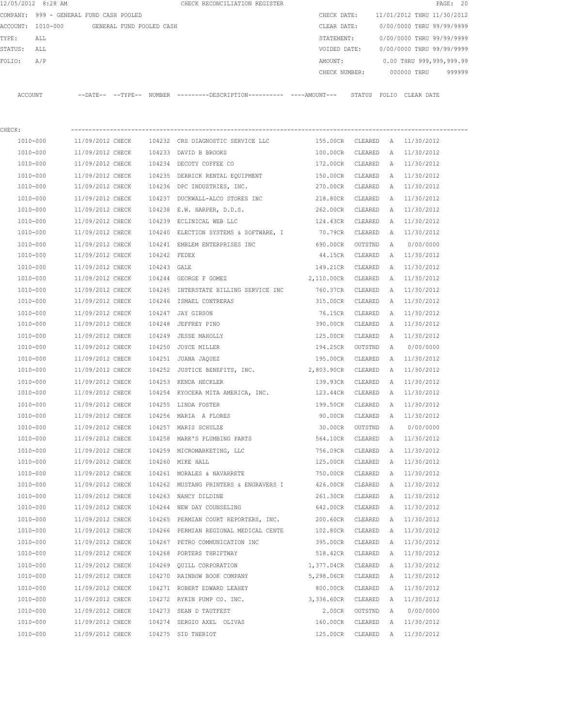|         | 12/05/2012 8:28 AM                      |                  |                          |              | CHECK RECONCILIATION REGISTER                                                               |                  |         |              |                               | PAGE: 20 |
|---------|-----------------------------------------|------------------|--------------------------|--------------|---------------------------------------------------------------------------------------------|------------------|---------|--------------|-------------------------------|----------|
|         | COMPANY: 999 - GENERAL FUND CASH POOLED |                  |                          |              |                                                                                             | CHECK DATE:      |         |              | 11/01/2012 THRU 11/30/2012    |          |
|         | ACCOUNT: 1010-000                       |                  | GENERAL FUND POOLED CASH |              |                                                                                             | CLEAR DATE:      |         |              | 0/00/0000 THRU 99/99/9999     |          |
| TYPE:   | ALL                                     |                  |                          |              |                                                                                             | STATEMENT:       |         |              | 0/00/0000 THRU 99/99/9999     |          |
| STATUS: | ALL                                     |                  |                          |              |                                                                                             | VOIDED DATE:     |         |              | 0/00/0000 THRU 99/99/9999     |          |
| FOLIO:  | A/P                                     |                  |                          |              |                                                                                             | AMOUNT:          |         |              | 0.00 THRU 999,999,999.99      |          |
|         |                                         |                  |                          |              |                                                                                             | CHECK NUMBER:    |         |              | 000000 THRU                   | 999999   |
|         | ACCOUNT                                 |                  |                          |              | --DATE-- --TYPE-- NUMBER --------DESCRIPTION---------- ----AMOUNT--- STATUS FOLIO CLEARDATE |                  |         |              |                               |          |
| CHECK:  |                                         |                  |                          |              |                                                                                             |                  |         |              |                               |          |
|         | 1010-000                                |                  |                          |              | 11/09/2012 CHECK 104232 CRS DIAGNOSTIC SERVICE LLC                                          |                  |         |              | 155.00CR CLEARED A 11/30/2012 |          |
|         | 1010-000                                | 11/09/2012 CHECK |                          |              | 104233 DAVID B BROOKS                                                                       | 100.00CR CLEARED |         | A            | 11/30/2012                    |          |
|         | 1010-000                                | 11/09/2012 CHECK |                          |              | 104234 DECOTY COFFEE CO                                                                     | 172.00CR CLEARED |         | A            | 11/30/2012                    |          |
|         | 1010-000                                | 11/09/2012 CHECK |                          |              | 104235 DERRICK RENTAL EQUIPMENT                                                             | 150.00CR CLEARED |         |              | A 11/30/2012                  |          |
|         | 1010-000                                | 11/09/2012 CHECK |                          |              | 104236 DPC INDUSTRIES, INC.                                                                 | 270.00CR CLEARED |         |              | A 11/30/2012                  |          |
|         | 1010-000                                | 11/09/2012 CHECK |                          |              | 104237 DUCKWALL-ALCO STORES INC                                                             | 218.80CR CLEARED |         |              | A 11/30/2012                  |          |
|         | 1010-000                                | 11/09/2012 CHECK |                          |              | 104238 E.W. HARPER, D.D.S.                                                                  | 262.00CR CLEARED |         |              | A 11/30/2012                  |          |
|         | 1010-000                                | 11/09/2012 CHECK |                          |              | 104239 ECLINICAL WEB LLC                                                                    | 124.43CR         | CLEARED |              | A 11/30/2012                  |          |
|         | 1010-000                                | 11/09/2012 CHECK |                          |              | 104240 ELECTION SYSTEMS & SOFTWARE, I                                                       | 70.79CR          | CLEARED |              | A 11/30/2012                  |          |
|         | 1010-000                                | 11/09/2012 CHECK |                          |              | 104241 EMBLEM ENTERPRISES INC                                                               | 690.00CR         | OUTSTND | A            | 0/00/0000                     |          |
|         | 1010-000                                | 11/09/2012 CHECK |                          | 104242 FEDEX |                                                                                             | 44.15CR          | CLEARED |              | A 11/30/2012                  |          |
|         | 1010-000                                | 11/09/2012 CHECK |                          | 104243 GALE  |                                                                                             | 149.21CR         | CLEARED | A            | 11/30/2012                    |          |
|         | 1010-000                                | 11/09/2012 CHECK |                          |              | 104244 GEORGE F GOMEZ                                                                       | 2,110.00CR       | CLEARED | A            | 11/30/2012                    |          |
|         | 1010-000                                | 11/09/2012 CHECK |                          |              | 104245 INTERSTATE BILLING SERVICE INC                                                       | 760.37CR         | CLEARED | $\mathbb{A}$ | 11/30/2012                    |          |
|         | 1010-000                                | 11/09/2012 CHECK |                          |              | 104246 ISMAEL CONTRERAS                                                                     | 315.00CR         | CLEARED | A            | 11/30/2012                    |          |
|         | 1010-000                                | 11/09/2012 CHECK |                          |              | 104247 JAY GIBSON                                                                           | 76.15CR CLEARED  |         | A            | 11/30/2012                    |          |
|         | 1010-000                                | 11/09/2012 CHECK |                          |              | 104248 JEFFREY PINO                                                                         | 390.00CR CLEARED |         | A            | 11/30/2012                    |          |
|         | 1010-000                                | 11/09/2012 CHECK |                          |              | 104249 JESSE MAHOLLY                                                                        | 125.00CR         | CLEARED |              | A 11/30/2012                  |          |
|         | 1010-000                                | 11/09/2012 CHECK |                          |              | 104250 JOYCE MILLER                                                                         | 194.25CR         | OUTSTND | A            | 0/00/0000                     |          |
|         | 1010-000                                | 11/09/2012 CHECK |                          |              | 104251 JUANA JAQUEZ                                                                         | 195.00CR         | CLEARED |              | A 11/30/2012                  |          |
|         | 1010-000                                | 11/09/2012 CHECK |                          |              | 104252 JUSTICE BENEFITS, INC. 2,803.90CR CLEARED                                            |                  |         | A            | 11/30/2012                    |          |
|         | 1010-000                                | 11/09/2012 CHECK |                          |              | 104253 KENDA HECKLER                                                                        | 139.93CR         | CLEARED |              | A 11/30/2012                  |          |
|         | 1010-000                                |                  |                          |              | $11/09/2012$ CHECK $104254$ KYOCERA MITA AMERICA, INC. $123.44$ CR                          |                  | CLEARED |              | A 11/30/2012                  |          |
|         | 1010-000                                | 11/09/2012 CHECK |                          |              | 104255 LINDA FOSTER                                                                         | 199.50CR         | CLEARED |              | A 11/30/2012                  |          |
|         | 1010-000                                | 11/09/2012 CHECK |                          |              | 104256 MARIA A FLORES                                                                       | 90.00CR          | CLEARED | A            | 11/30/2012                    |          |
|         | 1010-000                                | 11/09/2012 CHECK |                          |              | 104257 MARIS SCHULZE                                                                        | 30.00CR          | OUTSTND | Α            | 0/00/0000                     |          |
|         | 1010-000                                | 11/09/2012 CHECK |                          |              | 104258 MARK'S PLUMBING PARTS                                                                | 564.10CR         | CLEARED | $\mathbb{A}$ | 11/30/2012                    |          |
|         | 1010-000                                | 11/09/2012 CHECK |                          |              | 104259 MICROMARKETING, LLC                                                                  | 756.09CR         | CLEARED | Α            | 11/30/2012                    |          |
|         | 1010-000                                | 11/09/2012 CHECK |                          |              | 104260 MIKE HALL                                                                            | 125.00CR         | CLEARED | Α            | 11/30/2012                    |          |
|         | 1010-000                                | 11/09/2012 CHECK |                          |              | 104261 MORALES & NAVARRETE                                                                  | 750.00CR         | CLEARED | Α            | 11/30/2012                    |          |
|         | 1010-000                                | 11/09/2012 CHECK |                          |              | 104262 MUSTANG PRINTERS & ENGRAVERS I                                                       | 426.00CR         | CLEARED | Α            | 11/30/2012                    |          |
|         | 1010-000                                | 11/09/2012 CHECK |                          |              | 104263 NANCY DILDINE                                                                        | 261.30CR         | CLEARED | Α            | 11/30/2012                    |          |
|         | 1010-000                                | 11/09/2012 CHECK |                          |              | 104264 NEW DAY COUNSELING                                                                   | 642.00CR         | CLEARED | Α            | 11/30/2012                    |          |
|         | 1010-000                                | 11/09/2012 CHECK |                          |              | 104265 PERMIAN COURT REPORTERS, INC.                                                        | 200.60CR         | CLEARED | Α            | 11/30/2012                    |          |
|         | 1010-000                                | 11/09/2012 CHECK |                          |              | 104266 PERMIAN REGIONAL MEDICAL CENTE                                                       | 102.80CR         | CLEARED | Α            | 11/30/2012                    |          |
|         | 1010-000                                | 11/09/2012 CHECK |                          |              | 104267 PETRO COMMUNICATION INC                                                              | 395.00CR         | CLEARED | Α            | 11/30/2012                    |          |
|         | 1010-000                                | 11/09/2012 CHECK |                          |              | 104268 PORTERS THRIFTWAY                                                                    | 518.42CR         | CLEARED | A            | 11/30/2012                    |          |
|         | 1010-000                                | 11/09/2012 CHECK |                          |              | 104269 QUILL CORPORATION                                                                    | 1,377.04CR       | CLEARED | A            | 11/30/2012                    |          |
|         | 1010-000                                | 11/09/2012 CHECK |                          |              | 104270 RAINBOW BOOK COMPANY                                                                 | 5,298.06CR       | CLEARED | Α            | 11/30/2012                    |          |
|         | 1010-000                                | 11/09/2012 CHECK |                          |              | 104271 ROBERT EDWARD LEAHEY                                                                 | 800.00CR         | CLEARED | Α            | 11/30/2012                    |          |
|         | 1010-000                                | 11/09/2012 CHECK |                          |              | 104272 RYKIN PUMP CO. INC.                                                                  | 3,336.60CR       | CLEARED |              | A 11/30/2012                  |          |
|         | 1010-000                                | 11/09/2012 CHECK |                          |              | 104273 SEAN D TAUTFEST                                                                      | 2.00CR           | OUTSTND | A            | 0/00/0000                     |          |
|         | 1010-000                                | 11/09/2012 CHECK |                          |              | 104274 SERGIO AXEL OLIVAS                                                                   | 160.00CR         | CLEARED | Α            | 11/30/2012                    |          |
|         | 1010-000                                | 11/09/2012 CHECK |                          |              | 104275 SID THERIOT                                                                          | 125.00CR         | CLEARED | Α            | 11/30/2012                    |          |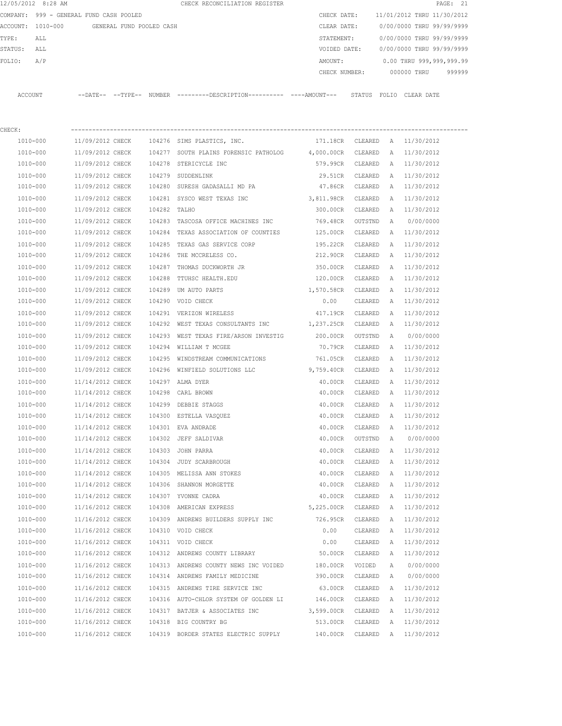|          | 12/05/2012 8:28 AM                      |                     |                          |               | CHECK RECONCILIATION REGISTER                |               |                            |             | PAGE: 21 |        |
|----------|-----------------------------------------|---------------------|--------------------------|---------------|----------------------------------------------|---------------|----------------------------|-------------|----------|--------|
|          | COMPANY: 999 - GENERAL FUND CASH POOLED |                     |                          |               |                                              | CHECK DATE:   | 11/01/2012 THRU 11/30/2012 |             |          |        |
| ACCOUNT: | 1010-000                                |                     | GENERAL FUND POOLED CASH |               |                                              | CLEAR DATE:   | 0/00/0000 THRU 99/99/9999  |             |          |        |
| TYPE:    | ALL                                     |                     |                          |               |                                              | STATEMENT:    | 0/00/0000 THRU 99/99/9999  |             |          |        |
| STATUS:  | ALL                                     |                     |                          |               |                                              | VOIDED DATE:  | 0/00/0000 THRU 99/99/9999  |             |          |        |
| FOLIO:   | A/P                                     |                     |                          |               |                                              | AMOUNT:       | 0.00 THRU 999,999,999.99   |             |          |        |
|          |                                         |                     |                          |               |                                              | CHECK NUMBER: |                            | 000000 THRU |          | 999999 |
|          |                                         |                     |                          |               |                                              |               |                            |             |          |        |
| ACCOUNT  |                                         | $---DATE---TYPE---$ |                          | <b>NUMBER</b> | ---------DESCRIPTION---------- ----AMOUNT--- | STATUS        | FOLIO                      | CLEAR DATE  |          |        |
|          |                                         |                     |                          |               |                                              |               |                            |             |          |        |

| CHECK:   |                  |        |                                                               |            |         |   |              |
|----------|------------------|--------|---------------------------------------------------------------|------------|---------|---|--------------|
| 1010-000 | 11/09/2012 CHECK |        | 104276 SIMS PLASTICS, INC.                                    | 171.18CR   | CLEARED | A | 11/30/2012   |
| 1010-000 | 11/09/2012 CHECK | 104277 | SOUTH PLAINS FORENSIC PATHOLOG 4,000.00CR                     |            | CLEARED | Α | 11/30/2012   |
| 1010-000 | 11/09/2012 CHECK | 104278 | STERICYCLE INC                                                | 579.99CR   | CLEARED | Α | 11/30/2012   |
| 1010-000 | 11/09/2012 CHECK | 104279 | SUDDENLINK                                                    | 29.51CR    | CLEARED | Α | 11/30/2012   |
| 1010-000 | 11/09/2012 CHECK | 104280 | SURESH GADASALLI MD PA                                        | 47.86CR    | CLEARED | Α | 11/30/2012   |
| 1010-000 | 11/09/2012 CHECK |        | 104281 SYSCO WEST TEXAS INC                                   | 3,811.98CR | CLEARED | Α | 11/30/2012   |
| 1010-000 | 11/09/2012 CHECK | 104282 | TALHO                                                         | 300.00CR   | CLEARED | A | 11/30/2012   |
| 1010-000 | 11/09/2012 CHECK | 104283 | TASCOSA OFFICE MACHINES INC                                   | 769.48CR   | OUTSTND | Α | 0/00/0000    |
| 1010-000 | 11/09/2012 CHECK | 104284 | TEXAS ASSOCIATION OF COUNTIES                                 | 125.00CR   | CLEARED | A | 11/30/2012   |
| 1010-000 | 11/09/2012 CHECK |        | 104285 TEXAS GAS SERVICE CORP                                 | 195.22CR   | CLEARED | A | 11/30/2012   |
| 1010-000 | 11/09/2012 CHECK |        | 104286 THE MCCRELESS CO.                                      | 212.90CR   | CLEARED | A | 11/30/2012   |
| 1010-000 | 11/09/2012 CHECK | 104287 | THOMAS DUCKWORTH JR                                           | 350.00CR   | CLEARED | A | 11/30/2012   |
| 1010-000 | 11/09/2012 CHECK | 104288 | TTUHSC HEALTH.EDU                                             | 120.00CR   | CLEARED | A | 11/30/2012   |
| 1010-000 | 11/09/2012 CHECK | 104289 | UM AUTO PARTS                                                 | 1,570.58CR | CLEARED | A | 11/30/2012   |
| 1010-000 | 11/09/2012 CHECK |        | 104290 VOID CHECK                                             | 0.00       | CLEARED | A | 11/30/2012   |
| 1010-000 | 11/09/2012 CHECK |        | 104291 VERIZON WIRELESS                                       | 417.19CR   | CLEARED | A | 11/30/2012   |
| 1010-000 |                  |        | 11/09/2012 CHECK 104292 WEST TEXAS CONSULTANTS INC 1,237.25CR |            | CLEARED | Α | 11/30/2012   |
| 1010-000 | 11/09/2012 CHECK |        | 104293 WEST TEXAS FIRE/ARSON INVESTIG                         | 200.00CR   | OUTSTND | Α | 0/00/0000    |
| 1010-000 | 11/09/2012 CHECK |        | 104294 WILLIAM T MCGEE                                        | 70.79CR    | CLEARED | A | 11/30/2012   |
| 1010-000 | 11/09/2012 CHECK | 104295 | WINDSTREAM COMMUNICATIONS                                     | 761.05CR   | CLEARED | Α | 11/30/2012   |
| 1010-000 | 11/09/2012 CHECK |        | 104296 WINFIELD SOLUTIONS LLC                                 | 9,759.40CR | CLEARED | Α | 11/30/2012   |
| 1010-000 | 11/14/2012 CHECK |        | 104297 ALMA DYER                                              | 40.00CR    | CLEARED | Α | 11/30/2012   |
| 1010-000 | 11/14/2012 CHECK | 104298 | CARL BROWN                                                    | 40.00CR    | CLEARED | A | 11/30/2012   |
| 1010-000 | 11/14/2012 CHECK | 104299 | DEBBIE STAGGS                                                 | 40.00CR    | CLEARED | A | 11/30/2012   |
| 1010-000 | 11/14/2012 CHECK | 104300 | ESTELLA VASQUEZ                                               | 40.00CR    | CLEARED | A | 11/30/2012   |
| 1010-000 | 11/14/2012 CHECK | 104301 | EVA ANDRADE                                                   | 40.00CR    | CLEARED | Α | 11/30/2012   |
| 1010-000 | 11/14/2012 CHECK | 104302 | JEFF SALDIVAR                                                 | 40.00CR    | OUTSTND | A | 0/00/0000    |
| 1010-000 | 11/14/2012 CHECK | 104303 | JOHN PARRA                                                    | 40.00CR    | CLEARED | Α | 11/30/2012   |
| 1010-000 | 11/14/2012 CHECK | 104304 | JUDY SCARBROUGH                                               | 40.00CR    | CLEARED | Α | 11/30/2012   |
| 1010-000 | 11/14/2012 CHECK |        | 104305 MELISSA ANN STOKES                                     | 40.00CR    | CLEARED | Α | 11/30/2012   |
| 1010-000 | 11/14/2012 CHECK |        | 104306 SHANNON MORGETTE                                       | 40.00CR    | CLEARED | Α | 11/30/2012   |
| 1010-000 | 11/14/2012 CHECK |        | 104307 YVONNE CADRA                                           | 40.00CR    | CLEARED | A | 11/30/2012   |
| 1010-000 | 11/16/2012 CHECK |        | 104308 AMERICAN EXPRESS                                       | 5,225.00CR | CLEARED | A | 11/30/2012   |
| 1010-000 | 11/16/2012 CHECK |        | 104309 ANDREWS BUILDERS SUPPLY INC                            | 726.95CR   | CLEARED | A | 11/30/2012   |
| 1010-000 | 11/16/2012 CHECK |        | 104310 VOID CHECK                                             | 0.00       | CLEARED |   | A 11/30/2012 |
| 1010-000 | 11/16/2012 CHECK |        | 104311 VOID CHECK                                             | 0.00       | CLEARED | Α | 11/30/2012   |
| 1010-000 | 11/16/2012 CHECK |        | 104312 ANDREWS COUNTY LIBRARY                                 | 50.00CR    | CLEARED | А | 11/30/2012   |
| 1010-000 | 11/16/2012 CHECK |        | 104313 ANDREWS COUNTY NEWS INC VOIDED                         | 180.00CR   | VOIDED  | Α | 0/00/0000    |
| 1010-000 | 11/16/2012 CHECK |        | 104314 ANDREWS FAMILY MEDICINE                                | 390.00CR   | CLEARED | Α | 0/00/0000    |
| 1010-000 | 11/16/2012 CHECK |        | 104315 ANDREWS TIRE SERVICE INC                               | 63.00CR    | CLEARED | A | 11/30/2012   |
| 1010-000 | 11/16/2012 CHECK |        | 104316 AUTO-CHLOR SYSTEM OF GOLDEN LI 146.00CR                |            | CLEARED | A | 11/30/2012   |
| 1010-000 | 11/16/2012 CHECK |        | 104317 BATJER & ASSOCIATES INC                                | 3,599.00CR | CLEARED | А | 11/30/2012   |
| 1010-000 | 11/16/2012 CHECK |        | 104318 BIG COUNTRY BG                                         | 513.00CR   | CLEARED | Α | 11/30/2012   |
| 1010-000 | 11/16/2012 CHECK |        | 104319 BORDER STATES ELECTRIC SUPPLY                          | 140.00CR   | CLEARED |   | A 11/30/2012 |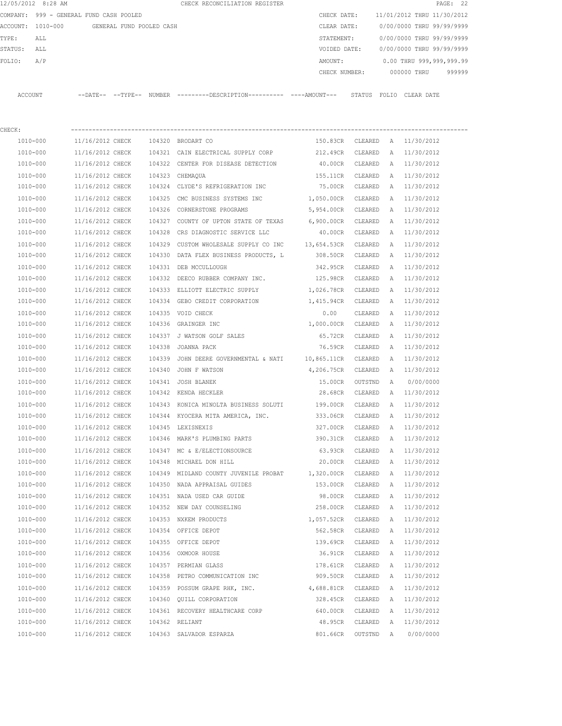|         | 12/05/2012 8:28 AM                      |                            |                          |        | CHECK RECONCILIATION REGISTER |  |               |        |                            |             | PAGE: 22 |  |
|---------|-----------------------------------------|----------------------------|--------------------------|--------|-------------------------------|--|---------------|--------|----------------------------|-------------|----------|--|
|         | COMPANY: 999 - GENERAL FUND CASH POOLED |                            |                          |        |                               |  | CHECK DATE:   |        | 11/01/2012 THRU 11/30/2012 |             |          |  |
|         | ACCOUNT: 1010-000                       |                            | GENERAL FUND POOLED CASH |        |                               |  | CLEAR DATE:   |        | 0/00/0000 THRU 99/99/9999  |             |          |  |
| TYPE:   | ALL                                     |                            |                          |        |                               |  | STATEMENT:    |        | 0/00/0000 THRU 99/99/9999  |             |          |  |
| STATUS: | ALL                                     |                            |                          |        |                               |  | VOIDED DATE:  |        | 0/00/0000 THRU 99/99/9999  |             |          |  |
| FOLTO:  | A/P                                     |                            |                          |        |                               |  | AMOUNT:       |        | 0.00 THRU 999,999,999.99   |             |          |  |
|         |                                         |                            |                          |        |                               |  | CHECK NUMBER: |        |                            | 000000 THRU | 999999   |  |
|         |                                         |                            |                          |        |                               |  |               |        |                            |             |          |  |
| ACCOUNT |                                         | $--$ DATE $- --$ TYPE $--$ |                          | NUMBER |                               |  |               | STATUS | FOLTO                      | CLEAR DATE  |          |  |

| CHECK:   |                  |        |                                                   |             |         |              |                               |
|----------|------------------|--------|---------------------------------------------------|-------------|---------|--------------|-------------------------------|
| 1010-000 | 11/16/2012 CHECK |        | 104320 BRODART CO                                 |             |         |              | 150.83CR CLEARED A 11/30/2012 |
| 1010-000 | 11/16/2012 CHECK |        | 104321 CAIN ELECTRICAL SUPPLY CORP                | 212.49CR    | CLEARED | A            | 11/30/2012                    |
| 1010-000 | 11/16/2012 CHECK |        | 104322 CENTER FOR DISEASE DETECTION               | 40.00CR     | CLEARED | A            | 11/30/2012                    |
| 1010-000 | 11/16/2012 CHECK |        | 104323 CHEMAQUA                                   | 155.11CR    | CLEARED | A            | 11/30/2012                    |
| 1010-000 | 11/16/2012 CHECK |        | 104324 CLYDE'S REFRIGERATION INC                  | 75.00CR     | CLEARED | A            | 11/30/2012                    |
| 1010-000 | 11/16/2012 CHECK |        | 104325 CMC BUSINESS SYSTEMS INC                   | 1,050.00CR  | CLEARED | A            | 11/30/2012                    |
| 1010-000 | 11/16/2012 CHECK |        | 104326 CORNERSTONE PROGRAMS                       | 5,954.00CR  | CLEARED | A            | 11/30/2012                    |
| 1010-000 | 11/16/2012 CHECK |        | 104327 COUNTY OF UPTON STATE OF TEXAS             | 6,900.00CR  | CLEARED | A            | 11/30/2012                    |
| 1010-000 | 11/16/2012 CHECK | 104328 | CRS DIAGNOSTIC SERVICE LLC                        | 40.00CR     | CLEARED | A            | 11/30/2012                    |
| 1010-000 | 11/16/2012 CHECK |        | 104329 CUSTOM WHOLESALE SUPPLY CO INC 13,654.53CR |             | CLEARED | Α            | 11/30/2012                    |
| 1010-000 | 11/16/2012 CHECK |        | 104330 DATA FLEX BUSINESS PRODUCTS, L             | 308.50CR    | CLEARED | Α            | 11/30/2012                    |
| 1010-000 | 11/16/2012 CHECK |        | 104331 DEB MCCULLOUGH                             | 342.95CR    | CLEARED | A            | 11/30/2012                    |
| 1010-000 | 11/16/2012 CHECK |        | 104332 DEECO RUBBER COMPANY INC. 125.98CR         |             | CLEARED | A            | 11/30/2012                    |
| 1010-000 | 11/16/2012 CHECK |        | 104333 ELLIOTT ELECTRIC SUPPLY 1,026.78CR         |             | CLEARED | A            | 11/30/2012                    |
| 1010-000 | 11/16/2012 CHECK |        | 104334 GEBO CREDIT CORPORATION                    | 1,415.94CR  | CLEARED | A            | 11/30/2012                    |
| 1010-000 | 11/16/2012 CHECK |        | 104335 VOID CHECK                                 | 0.00        | CLEARED | A            | 11/30/2012                    |
| 1010-000 | 11/16/2012 CHECK |        | 104336 GRAINGER INC                               | 1,000.00CR  | CLEARED | A            | 11/30/2012                    |
| 1010-000 | 11/16/2012 CHECK |        | 104337 J WATSON GOLF SALES                        | 65.72CR     | CLEARED | Α            | 11/30/2012                    |
| 1010-000 | 11/16/2012 CHECK |        | 104338 JOANNA PACK                                | 76.59CR     | CLEARED | Α            | 11/30/2012                    |
| 1010-000 | 11/16/2012 CHECK |        | 104339 JOHN DEERE GOVERNMENTAL & NATI             | 10,865.11CR | CLEARED | А            | 11/30/2012                    |
| 1010-000 | 11/16/2012 CHECK | 104340 | JOHN F WATSON                                     | 4,206.75CR  | CLEARED | A            | 11/30/2012                    |
| 1010-000 | 11/16/2012 CHECK |        | 104341 JOSH BLANEK                                | 15.00CR     | OUTSTND | A            | 0/00/0000                     |
| 1010-000 | 11/16/2012 CHECK |        | 104342 KENDA HECKLER                              | 28.68CR     | CLEARED | A            | 11/30/2012                    |
| 1010-000 | 11/16/2012 CHECK |        | 104343 KONICA MINOLTA BUSINESS SOLUTI             | 199.00CR    | CLEARED | A            | 11/30/2012                    |
| 1010-000 | 11/16/2012 CHECK |        | 104344 KYOCERA MITA AMERICA, INC.                 | 333.06CR    | CLEARED | Α            | 11/30/2012                    |
| 1010-000 | 11/16/2012 CHECK |        | 104345 LEXISNEXIS                                 | 327.00CR    | CLEARED | Α            | 11/30/2012                    |
| 1010-000 | 11/16/2012 CHECK |        | 104346 MARK'S PLUMBING PARTS                      | 390.31CR    | CLEARED | Α            | 11/30/2012                    |
| 1010-000 | 11/16/2012 CHECK |        | 104347 MC & E/ELECTIONSOURCE                      | 63.93CR     | CLEARED | Α            | 11/30/2012                    |
| 1010-000 | 11/16/2012 CHECK |        | 104348 MICHAEL DON HILL                           | 20.00CR     | CLEARED | A            | 11/30/2012                    |
| 1010-000 | 11/16/2012 CHECK |        | 104349 MIDLAND COUNTY JUVENILE PROBAT             | 1,320.00CR  | CLEARED | $\mathbb{A}$ | 11/30/2012                    |
| 1010-000 | 11/16/2012 CHECK |        | 104350 NADA APPRAISAL GUIDES                      | 153.00CR    | CLEARED | A            | 11/30/2012                    |
| 1010-000 | 11/16/2012 CHECK |        | 104351 NADA USED CAR GUIDE                        | 98.00CR     | CLEARED | A            | 11/30/2012                    |
| 1010-000 | 11/16/2012 CHECK |        | 104352 NEW DAY COUNSELING                         | 258.00CR    | CLEARED | A            | 11/30/2012                    |
| 1010-000 | 11/16/2012 CHECK |        | 104353 NXKEM PRODUCTS                             | 1,057.52CR  | CLEARED | A            | 11/30/2012                    |
| 1010-000 | 11/16/2012 CHECK |        | 104354 OFFICE DEPOT                               | 562.58CR    | CLEARED | А            | 11/30/2012                    |
| 1010-000 | 11/16/2012 CHECK |        | 104355 OFFICE DEPOT                               | 139.69CR    | CLEARED |              | A 11/30/2012                  |
| 1010-000 | 11/16/2012 CHECK |        | 104356 OXMOOR HOUSE                               | 36.91CR     | CLEARED | Α            | 11/30/2012                    |
| 1010-000 | 11/16/2012 CHECK |        | 104357 PERMIAN GLASS                              | 178.61CR    | CLEARED | Α            | 11/30/2012                    |
| 1010-000 | 11/16/2012 CHECK | 104358 | PETRO COMMUNICATION INC                           | 909.50CR    | CLEARED | Α            | 11/30/2012                    |
| 1010-000 | 11/16/2012 CHECK |        | 104359 POSSUM GRAPE RHK, INC.                     | 4,688.81CR  | CLEARED | Α            | 11/30/2012                    |
| 1010-000 | 11/16/2012 CHECK |        | 104360 QUILL CORPORATION                          | 328.45CR    | CLEARED | Α            | 11/30/2012                    |
| 1010-000 | 11/16/2012 CHECK |        | 104361 RECOVERY HEALTHCARE CORP                   | 640.00CR    | CLEARED | Α            | 11/30/2012                    |
| 1010-000 | 11/16/2012 CHECK |        | 104362 RELIANT                                    | 48.95CR     | CLEARED | A            | 11/30/2012                    |
| 1010-000 | 11/16/2012 CHECK |        | 104363 SALVADOR ESPARZA                           | 801.66CR    | OUTSTND | A            | 0/00/0000                     |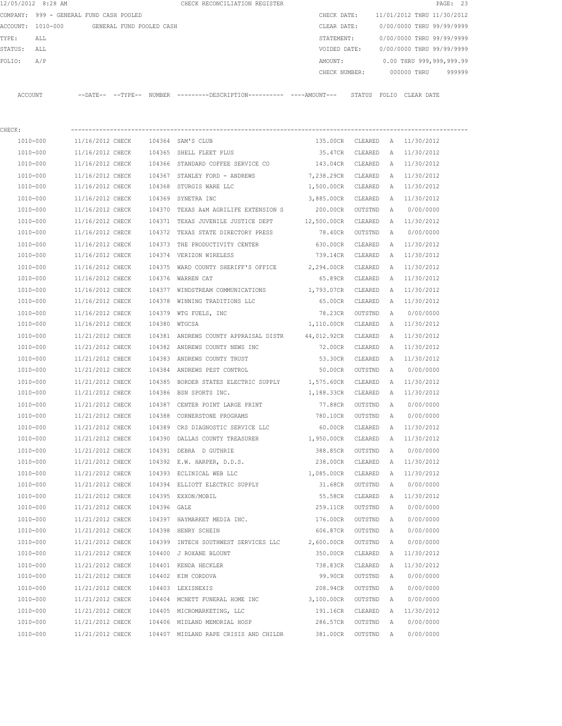| 12/05/2012 8:28 AM |                                         |                          | CHECK RECONCILIATION REGISTER                |               | PAGE: 23                   |
|--------------------|-----------------------------------------|--------------------------|----------------------------------------------|---------------|----------------------------|
|                    | COMPANY: 999 - GENERAL FUND CASH POOLED |                          |                                              | CHECK DATE:   | 11/01/2012 THRU 11/30/2012 |
| ACCOUNT: 1010-000  |                                         | GENERAL FUND POOLED CASH |                                              | CLEAR DATE:   | 0/00/0000 THRU 99/99/9999  |
| TYPE:<br>ALL       |                                         |                          |                                              | STATEMENT:    | 0/00/0000 THRU 99/99/9999  |
| STATUS:<br>ALL     |                                         |                          |                                              | VOIDED DATE:  | 0/00/0000 THRU 99/99/9999  |
| FOLIO:<br>A/P      |                                         |                          |                                              | AMOUNT:       | 0.00 THRU 999,999,999.99   |
|                    |                                         |                          |                                              | CHECK NUMBER: | 999999<br>000000 THRU      |
|                    |                                         |                          |                                              |               |                            |
| ACCOUNT            | $---DATE---TYPE---$                     | NUMBER                   | ---------DESCRIPTION---------- ----AMOUNT--- | STATUS        | FOLIO<br>CLEAR DATE        |

| CHECK:       |                  |             |                                                           |                    |         |   |              |
|--------------|------------------|-------------|-----------------------------------------------------------|--------------------|---------|---|--------------|
| 1010-000     | 11/16/2012 CHECK |             | 104364 SAM'S CLUB                                         | 135.00CR           | CLEARED | A | 11/30/2012   |
| 1010-000     | 11/16/2012 CHECK |             | 104365 SHELL FLEET PLUS                                   | 35.47CR            | CLEARED | Α | 11/30/2012   |
| 1010-000     | 11/16/2012 CHECK |             | 104366 STANDARD COFFEE SERVICE CO 143.04CR                |                    | CLEARED | A | 11/30/2012   |
| 1010-000     | 11/16/2012 CHECK |             | 104367 STANLEY FORD - ANDREWS                             | 7,238.29CR         | CLEARED | Α | 11/30/2012   |
| 1010-000     | 11/16/2012 CHECK |             | 104368 STURGIS WARE LLC                                   | 1,500.00CR         | CLEARED | Α | 11/30/2012   |
| 1010-000     | 11/16/2012 CHECK |             | 104369 SYNETRA INC                                        | 3,885.00CR         | CLEARED | A | 11/30/2012   |
| 1010-000     | 11/16/2012 CHECK |             | 104370 TEXAS A&M AGRILIFE EXTENSION S                     | 200.00CR           | OUTSTND | Α | 0/00/0000    |
| 1010-000     | 11/16/2012 CHECK |             | 104371 TEXAS JUVENILE JUSTICE DEPT                        | 12,500.00CR        | CLEARED |   | A 11/30/2012 |
| 1010-000     | 11/16/2012 CHECK |             | 104372 TEXAS STATE DIRECTORY PRESS                        | 78.40CR            | OUTSTND | Α | 0/00/0000    |
| 1010-000     | 11/16/2012 CHECK |             | 104373 THE PRODUCTIVITY CENTER                            | 630.00CR           | CLEARED | A | 11/30/2012   |
| 1010-000     | 11/16/2012 CHECK |             | 104374 VERIZON WIRELESS                                   | 739.14CR           | CLEARED | Α | 11/30/2012   |
| 1010-000     | 11/16/2012 CHECK | 104375      | WARD COUNTY SHERIFF'S OFFICE 2,294.00CR                   |                    | CLEARED | A | 11/30/2012   |
| 1010-000     | 11/16/2012 CHECK |             | 104376 WARREN CAT                                         | 65.89CR            | CLEARED | A | 11/30/2012   |
| 1010-000     | 11/16/2012 CHECK |             | 104377 WINDSTREAM COMMUNICATIONS 1,793.07CR               |                    | CLEARED | Α | 11/30/2012   |
| 1010-000     | 11/16/2012 CHECK | 104378      | WINNING TRADITIONS LLC                                    | 65.00CR            | CLEARED | Α | 11/30/2012   |
| 1010-000     | 11/16/2012 CHECK | 104379      | WTG FUELS, INC                                            | 78.23CR            | OUTSTND | A | 0/00/0000    |
| 1010-000     | 11/16/2012 CHECK |             | 104380 WTGCSA                                             | 1,110.00CR CLEARED |         | A | 11/30/2012   |
| 1010-000     | 11/21/2012 CHECK |             | 104381 ANDREWS COUNTY APPRAISAL DISTR 44,012.92CR CLEARED |                    |         | A | 11/30/2012   |
| 1010-000     | 11/21/2012 CHECK |             | 104382 ANDREWS COUNTY NEWS INC                            | 72.00CR            | CLEARED | A | 11/30/2012   |
| 1010-000     | 11/21/2012 CHECK |             | 104383 ANDREWS COUNTY TRUST                               | 53.30CR            | CLEARED | A | 11/30/2012   |
| 1010-000     | 11/21/2012 CHECK |             | 104384 ANDREWS PEST CONTROL                               | 50.00CR            | OUTSTND | Α | 0/00/0000    |
| 1010-000     | 11/21/2012 CHECK |             | 104385 BORDER STATES ELECTRIC SUPPLY                      | 1,575.60CR CLEARED |         | A | 11/30/2012   |
| 1010-000     | 11/21/2012 CHECK |             | 104386 BSN SPORTS INC.                                    | 1,188.33CR         | CLEARED | Α | 11/30/2012   |
| 1010-000     | 11/21/2012 CHECK | 104387      | CENTER POINT LARGE PRINT                                  | 77.88CR            | OUTSTND | A | 0/00/0000    |
| 1010-000     | 11/21/2012 CHECK | 104388      | CORNERSTONE PROGRAMS                                      | 780.10CR           | OUTSTND | Α | 0/00/0000    |
| 1010-000     | 11/21/2012 CHECK | 104389      | CRS DIAGNOSTIC SERVICE LLC                                | 60.00CR            | CLEARED | Α | 11/30/2012   |
| 1010-000     | 11/21/2012 CHECK | 104390      | DALLAS COUNTY TREASURER 1,950.00CR                        |                    | CLEARED | Α | 11/30/2012   |
| 1010-000     | 11/21/2012 CHECK | 104391      | DEBRA D GUTHRIE                                           | 388.85CR           | OUTSTND | Α | 0/00/0000    |
| 1010-000     | 11/21/2012 CHECK |             | 104392 E.W. HARPER, D.D.S.                                | 238.00CR           | CLEARED | Α | 11/30/2012   |
| 1010-000     | 11/21/2012 CHECK |             | 104393 ECLINICAL WEB LLC                                  | 1,085.00CR         | CLEARED | Α | 11/30/2012   |
| 1010-000     | 11/21/2012 CHECK |             | 104394 ELLIOTT ELECTRIC SUPPLY                            | 31.68CR            | OUTSTND | A | 0/00/0000    |
| 1010-000     | 11/21/2012 CHECK |             | 104395 EXXON/MOBIL                                        | 55.58CR            | CLEARED | A | 11/30/2012   |
| 1010-000     | 11/21/2012 CHECK | 104396 GALE |                                                           | 259.11CR OUTSTND   |         | A | 0/00/0000    |
| 1010-000     | 11/21/2012 CHECK |             | 104397 HAYMARKET MEDIA INC.                               | 176.00CR           | OUTSTND | A | 0/00/0000    |
| 1010-000     | 11/21/2012 CHECK |             | 104398 HENRY SCHEIN                                       | 606.87CR           | OUTSTND | A | 0/00/0000    |
| 1010-000     | 11/21/2012 CHECK |             | 104399 INTECH SOUTHWEST SERVICES LLC                      | 2,600.00CR         | OUTSTND | Α | 0/00/0000    |
| 1010-000     | 11/21/2012 CHECK |             | 104400 J ROXANE BLOUNT                                    | 350.00CR           | CLEARED | Α | 11/30/2012   |
| $1010 - 000$ | 11/21/2012 CHECK |             | 104401 KENDA HECKLER                                      | 738.83CR           | CLEARED | Α | 11/30/2012   |
| 1010-000     | 11/21/2012 CHECK |             | 104402 KIM CORDOVA                                        | 99.90CR            | OUTSTND | Α | 0/00/0000    |
| 1010-000     | 11/21/2012 CHECK |             | 104403 LEXISNEXIS                                         | 208.94CR           | OUTSTND | A | 0/00/0000    |
| 1010-000     | 11/21/2012 CHECK |             | 104404 MCNETT FUNERAL HOME INC                            | 3,100.00CR         | OUTSTND | Α | 0/00/0000    |
| 1010-000     | 11/21/2012 CHECK |             | 104405 MICROMARKETING, LLC                                | 191.16CR           | CLEARED | Α | 11/30/2012   |
| 1010-000     | 11/21/2012 CHECK |             | 104406 MIDLAND MEMORIAL HOSP                              | 286.57CR           | OUTSTND | Α | 0/00/0000    |
| $1010 - 000$ | 11/21/2012 CHECK |             | 104407 MIDLAND RAPE CRISIS AND CHILDR                     | 381.00CR           | OUTSTND | Α | 0/00/0000    |
|              |                  |             |                                                           |                    |         |   |              |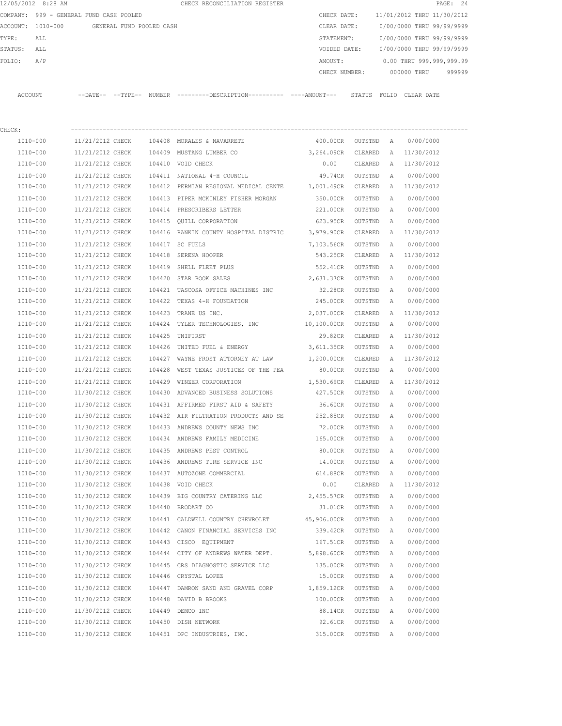|         |          | COMPANY: 999 - GENERAL FUND CASH POOLED    |  |                                                                                               |                    |                    |                | CHECK DATE: 11/01/2012 THRU 11/30/2012 |  |
|---------|----------|--------------------------------------------|--|-----------------------------------------------------------------------------------------------|--------------------|--------------------|----------------|----------------------------------------|--|
|         |          | ACCOUNT: 1010-000 GENERAL FUND POOLED CASH |  |                                                                                               |                    | CLEAR DATE:        |                | 0/00/0000 THRU 99/99/9999              |  |
| TYPE:   | ALL      |                                            |  |                                                                                               |                    | STATEMENT:         |                | 0/00/0000 THRU 99/99/9999              |  |
| STATUS: | ALL      |                                            |  |                                                                                               |                    | VOIDED DATE:       |                | 0/00/0000 THRU 99/99/9999              |  |
| FOLIO:  | A/P      |                                            |  |                                                                                               |                    |                    |                | AMOUNT: 0.00 THRU 999,999,999.99       |  |
|         |          |                                            |  |                                                                                               |                    |                    |                | CHECK NUMBER: 000000 THRU 999999       |  |
|         |          |                                            |  |                                                                                               |                    |                    |                |                                        |  |
|         | ACCOUNT  |                                            |  | --DATE-- --TYPE-- NUMBER ---------DESCRIPTION---------- ----AMOUNT--- STATUS FOLIO CLEAR-DATE |                    |                    |                |                                        |  |
|         |          |                                            |  |                                                                                               |                    |                    |                |                                        |  |
|         |          |                                            |  |                                                                                               |                    |                    |                |                                        |  |
| CHECK:  | 1010-000 |                                            |  | 11/21/2012 CHECK 104408 MORALES & NAVARRETE                                                   | 400.00CR OUTSTND A |                    |                | 0/00/0000                              |  |
|         |          |                                            |  |                                                                                               |                    |                    |                |                                        |  |
|         | 1010-000 |                                            |  | 11/21/2012 CHECK 104409 MUSTANG LUMBER CO 3,264.09CR CLEARED A 11/30/2012                     |                    |                    |                |                                        |  |
|         | 1010-000 | 11/21/2012 CHECK                           |  | 104410 VOID CHECK                                                                             | 0.00               |                    |                | CLEARED A 11/30/2012                   |  |
|         | 1010-000 | 11/21/2012 CHECK                           |  | 104411 NATIONAL 4-H COUNCIL                                                                   |                    | 49.74CR OUTSTND    | A              | 0/00/0000                              |  |
|         | 1010-000 | 11/21/2012 CHECK                           |  | 104412 PERMIAN REGIONAL MEDICAL CENTE 1,001.49CR CLEARED                                      |                    |                    |                | A 11/30/2012                           |  |
|         | 1010-000 | 11/21/2012 CHECK                           |  | 104413 PIPER MCKINLEY FISHER MORGAN 350.00CR                                                  |                    | OUTSTND            | $\overline{A}$ | 0/00/0000                              |  |
|         | 1010-000 | 11/21/2012 CHECK                           |  | 104414 PRESCRIBERS LETTER                                                                     | 221.00CR           | OUTSTND A          |                | 0/00/0000                              |  |
|         | 1010-000 | 11/21/2012 CHECK                           |  | 104415 OUILL CORPORATION                                                                      | 623.95CR           | OUTSTND            | A              | 0/00/0000                              |  |
|         | 1010-000 | 11/21/2012 CHECK                           |  | 104416 RANKIN COUNTY HOSPITAL DISTRIC 3,979.90CR CLEARED                                      |                    |                    |                | A 11/30/2012                           |  |
|         | 1010-000 | 11/21/2012 CHECK                           |  | 104417 SC FUELS                                                                               |                    | 7,103.56CR OUTSTND | $\mathbb{A}$   | 0/00/0000                              |  |
|         | 1010-000 | 11/21/2012 CHECK                           |  | 104418 SERENA HOOPER                                                                          | 543.25CR           | CLEARED A          |                | 11/30/2012                             |  |
|         | 1010-000 | 11/21/2012 CHECK                           |  | 104419 SHELL FLEET PLUS                                                                       | 552.41CR           | OUTSTND            | $\overline{A}$ | 0/00/0000                              |  |
|         | 1010-000 | 11/21/2012 CHECK                           |  | 104420 STAR BOOK SALES                                                                        | 2,631.37CR         | OUTSTND            | A              | 0/00/0000                              |  |
|         | 1010-000 | 11/21/2012 CHECK                           |  | 104421 TASCOSA OFFICE MACHINES INC                                                            | 32.28CR            | OUTSTND            | A              | 0/00/0000                              |  |
|         | 1010-000 |                                            |  | $11/21/2012$ CHECK $104422$ TEXAS 4-H FOUNDATION $245.00 \text{CR}$                           |                    | OUTSTND A          |                | 0/00/0000                              |  |
|         | 1010-000 | 11/21/2012 CHECK                           |  | 104423 TRANE US INC.                                                                          |                    |                    |                | 2,037.00CR CLEARED A 11/30/2012        |  |

 1010-000 11/21/2012 CHECK 104424 TYLER TECHNOLOGIES, INC 10,100.00CR OUTSTND A 0/00/0000 1010-000 11/21/2012 CHECK 104425 UNIFIRST 29.82CR CLEARED A 11/30/2012 1010-000 11/21/2012 CHECK 104426 UNITED FUEL & ENERGY 3,611.35CR OUTSTND A 0/00/0000 1010-000 11/21/2012 CHECK 104427 WAYNE FROST ATTORNEY AT LAW 1,200.00CR CLEARED A 11/30/2012 1010-000 11/21/2012 CHECK 104428 WEST TEXAS JUSTICES OF THE PEA 80.00CR OUTSTND A 0/00/0000 1010-000 11/21/2012 CHECK 104429 WINZER CORPORATION 1,530.69CR CLEARED A 11/30/2012 1010-000 11/30/2012 CHECK 104430 ADVANCED BUSINESS SOLUTIONS 427.50CR OUTSTND A 0/00/0000 1010-000 11/30/2012 CHECK 104431 AFFIRMED FIRST AID & SAFETY 36.60CR OUTSTND A 0/00/0000 1010-000 11/30/2012 CHECK 104432 AIR FILTRATION PRODUCTS AND SE 252.85CR OUTSTND A 0/00/0000 1010-000 11/30/2012 CHECK 104433 ANDREWS COUNTY NEWS INC 72.00CR OUTSTND A 0/00/0000 1010-000 11/30/2012 CHECK 104434 ANDREWS FAMILY MEDICINE 165.00CR OUTSTND A 0/00/0000 1010-000 11/30/2012 CHECK 104435 ANDREWS PEST CONTROL 80.00CR OUTSTND A 0/00/0000 1010-000 11/30/2012 CHECK 104436 ANDREWS TIRE SERVICE INC 14.00CR OUTSTND A 0/00/0000 1010-000 11/30/2012 CHECK 104437 AUTOZONE COMMERCIAL 614.88CR OUTSTND A 0/00/0000 1010-000 11/30/2012 CHECK 104438 VOID CHECK 0.00 CLEARED A 11/30/2012 1010-000 11/30/2012 CHECK 104439 BIG COUNTRY CATERING LLC 2,455.57CR OUTSTND A 0/00/0000 1010-000 11/30/2012 CHECK 104440 BRODART CO 31.01CR OUTSTND A 0/00/0000 1010-000 11/30/2012 CHECK 104441 CALDWELL COUNTRY CHEVROLET 45,906.00CR OUTSTND A 0/00/0000 1010-000 11/30/2012 CHECK 104442 CANON FINANCIAL SERVICES INC 339.42CR OUTSTND A 0/00/0000 1010-000 11/30/2012 CHECK 104443 CISCO EQUIPMENT 167.51CR OUTSTND A 0/00/0000 1010-000 11/30/2012 CHECK 104444 CITY OF ANDREWS WATER DEPT. 5,898.60CR OUTSTND A 0/00/0000 1010-000 11/30/2012 CHECK 104445 CRS DIAGNOSTIC SERVICE LLC 135.00CR OUTSTND A 0/00/0000 1010-000 11/30/2012 CHECK 104446 CRYSTAL LOPEZ 15.00CR OUTSTND A 0/00/0000 1010-000 11/30/2012 CHECK 104447 DAMRON SAND AND GRAVEL CORP 1,859.12CR OUTSTND A 0/00/0000 1010-000 11/30/2012 CHECK 104448 DAVID B BROOKS 100.00CR OUTSTND A 0/00/0000 1010-000 11/30/2012 CHECK 104449 DEMCO INC 88.14CR OUTSTND A 0/00/0000 1010-000 11/30/2012 CHECK 104450 DISH NETWORK 92.61CR OUTSTND A 0/00/0000 1010-000 11/30/2012 CHECK 104451 DPC INDUSTRIES, INC. 315.00CR OUTSTND A 0/00/0000

12/05/2012 8:28 AM CHECK RECONCILIATION REGISTER PAGE: 24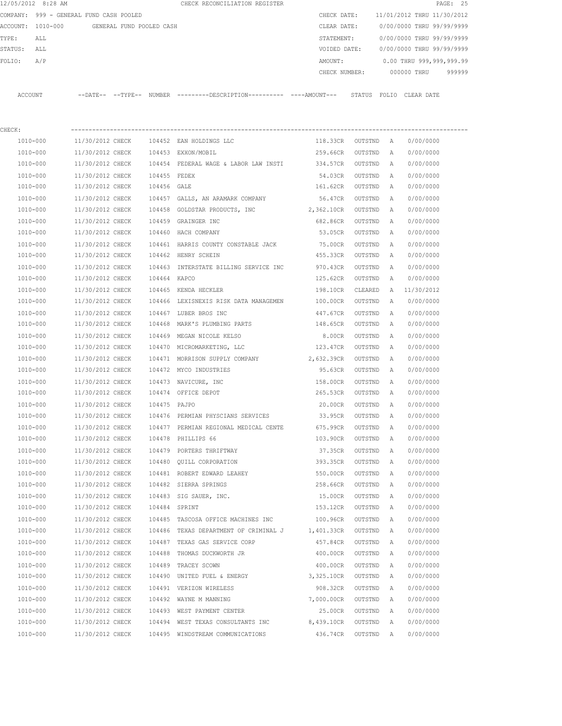|          | 12/05/2012 8:28 AM             |                            |                          | CHECK RECONCILIATION REGISTER                |               |                 |                            | PAGE: 25 |  |
|----------|--------------------------------|----------------------------|--------------------------|----------------------------------------------|---------------|-----------------|----------------------------|----------|--|
| COMPANY: | 999 - GENERAL FUND CASH POOLED |                            |                          |                                              | CHECK DATE:   |                 | 11/01/2012 THRU 11/30/2012 |          |  |
|          | ACCOUNT: 1010-000              |                            | GENERAL FUND POOLED CASH |                                              | CLEAR DATE:   |                 | 0/00/0000 THRU 99/99/9999  |          |  |
| TYPE:    | ALL                            |                            |                          |                                              | STATEMENT:    |                 | 0/00/0000 THRU 99/99/9999  |          |  |
| STATUS:  | ALL                            |                            |                          |                                              | VOIDED DATE:  |                 | 0/00/0000 THRU 99/99/9999  |          |  |
| FOLIO:   | A/P                            |                            |                          |                                              | AMOUNT:       |                 | 0.00 THRU 999,999,999.99   |          |  |
|          |                                |                            |                          |                                              | CHECK NUMBER: |                 | 000000 THRU                | 999999   |  |
|          |                                |                            |                          |                                              |               |                 |                            |          |  |
| ACCOUNT  |                                | $--$ DATE $- --$ TYPE $--$ | <b>NUMBER</b>            | ---------DESCRIPTION---------- ----AMOUNT--- |               | STATUS<br>FOLIO | CLEAR DATE                 |          |  |
|          |                                |                            |                          |                                              |               |                 |                            |          |  |

| CHECK:       |                  |              |                                       |            |         |   |            |  |
|--------------|------------------|--------------|---------------------------------------|------------|---------|---|------------|--|
| 1010-000     | 11/30/2012 CHECK |              | 104452 EAN HOLDINGS LLC               | 118.33CR   | OUTSTND | A | 0/00/0000  |  |
| 1010-000     | 11/30/2012 CHECK |              | 104453 EXXON/MOBIL                    | 259.66CR   | OUTSTND | Α | 0/00/0000  |  |
| 1010-000     | 11/30/2012 CHECK |              | 104454 FEDERAL WAGE & LABOR LAW INSTI | 334.57CR   | OUTSTND | Α | 0/00/0000  |  |
| 1010-000     | 11/30/2012 CHECK | 104455 FEDEX |                                       | 54.03CR    | OUTSTND | Α | 0/00/0000  |  |
| 1010-000     | 11/30/2012 CHECK | 104456 GALE  |                                       | 161.62CR   | OUTSTND | Α | 0/00/0000  |  |
| 1010-000     | 11/30/2012 CHECK |              | 104457 GALLS, AN ARAMARK COMPANY      | 56.47CR    | OUTSTND | Α | 0/00/0000  |  |
| 1010-000     | 11/30/2012 CHECK |              | 104458 GOLDSTAR PRODUCTS, INC         | 2,362.10CR | OUTSTND | Α | 0/00/0000  |  |
| 1010-000     | 11/30/2012 CHECK |              | 104459 GRAINGER INC                   | 682.86CR   | OUTSTND | Α | 0/00/0000  |  |
| 1010-000     | 11/30/2012 CHECK |              | 104460 HACH COMPANY                   | 53.05CR    | OUTSTND | Α | 0/00/0000  |  |
| 1010-000     | 11/30/2012 CHECK |              | 104461 HARRIS COUNTY CONSTABLE JACK   | 75.00CR    | OUTSTND | Α | 0/00/0000  |  |
| 1010-000     | 11/30/2012 CHECK |              | 104462 HENRY SCHEIN                   | 455.33CR   | OUTSTND | Α | 0/00/0000  |  |
| 1010-000     | 11/30/2012 CHECK |              | 104463 INTERSTATE BILLING SERVICE INC | 970.43CR   | OUTSTND | Α | 0/00/0000  |  |
| 1010-000     | 11/30/2012 CHECK | 104464 KAPCO |                                       | 125.62CR   | OUTSTND | Α | 0/00/0000  |  |
| 1010-000     | 11/30/2012 CHECK |              | 104465 KENDA HECKLER                  | 198.10CR   | CLEARED | Α | 11/30/2012 |  |
| 1010-000     | 11/30/2012 CHECK |              | 104466 LEXISNEXIS RISK DATA MANAGEMEN | 100.00CR   | OUTSTND | Α | 0/00/0000  |  |
| 1010-000     | 11/30/2012 CHECK |              | 104467 LUBER BROS INC                 | 447.67CR   | OUTSTND | Α | 0/00/0000  |  |
| 1010-000     | 11/30/2012 CHECK | 104468       | MARK'S PLUMBING PARTS                 | 148.65CR   | OUTSTND | Α | 0/00/0000  |  |
| 1010-000     | 11/30/2012 CHECK | 104469       | MEGAN NICOLE KELSO                    | 8.00CR     | OUTSTND | Α | 0/00/0000  |  |
| 1010-000     | 11/30/2012 CHECK |              | 104470 MICROMARKETING, LLC            | 123.47CR   | OUTSTND | Α | 0/00/0000  |  |
| 1010-000     | 11/30/2012 CHECK |              | 104471 MORRISON SUPPLY COMPANY        | 2,632.39CR | OUTSTND | Α | 0/00/0000  |  |
| 1010-000     | 11/30/2012 CHECK |              | 104472 MYCO INDUSTRIES                | 95.63CR    | OUTSTND | Α | 0/00/0000  |  |
| 1010-000     | 11/30/2012 CHECK |              | 104473 NAVICURE, INC                  | 158.00CR   | OUTSTND | Α | 0/00/0000  |  |
| 1010-000     | 11/30/2012 CHECK |              | 104474 OFFICE DEPOT                   | 265.53CR   | OUTSTND | Α | 0/00/0000  |  |
| 1010-000     | 11/30/2012 CHECK | 104475 PAJPO |                                       | 20.00CR    | OUTSTND | A | 0/00/0000  |  |
| 1010-000     | 11/30/2012 CHECK |              | 104476 PERMIAN PHYSCIANS SERVICES     | 33.95CR    | OUTSTND | Α | 0/00/0000  |  |
| 1010-000     | 11/30/2012 CHECK |              | 104477 PERMIAN REGIONAL MEDICAL CENTE | 675.99CR   | OUTSTND | Α | 0/00/0000  |  |
| 1010-000     | 11/30/2012 CHECK |              | 104478 PHILLIPS 66                    | 103.90CR   | OUTSTND | Α | 0/00/0000  |  |
| 1010-000     | 11/30/2012 CHECK | 104479       | PORTERS THRIFTWAY                     | 37.35CR    | OUTSTND | Α | 0/00/0000  |  |
| 1010-000     | 11/30/2012 CHECK |              | 104480 QUILL CORPORATION              | 393.35CR   | OUTSTND | Α | 0/00/0000  |  |
| 1010-000     | 11/30/2012 CHECK |              | 104481 ROBERT EDWARD LEAHEY           | 550.00CR   | OUTSTND | Α | 0/00/0000  |  |
| 1010-000     | 11/30/2012 CHECK |              | 104482 SIERRA SPRINGS                 | 258.66CR   | OUTSTND | Α | 0/00/0000  |  |
| 1010-000     | 11/30/2012 CHECK |              | 104483 SIG SAUER, INC.                | 15.00CR    | OUTSTND | Α | 0/00/0000  |  |
| 1010-000     | 11/30/2012 CHECK |              | 104484 SPRINT                         | 153.12CR   | OUTSTND | Α | 0/00/0000  |  |
| 1010-000     | 11/30/2012 CHECK |              | 104485 TASCOSA OFFICE MACHINES INC    | 100.96CR   | OUTSTND | A | 0/00/0000  |  |
| 1010-000     | 11/30/2012 CHECK |              | 104486 TEXAS DEPARTMENT OF CRIMINAL J | 1,401.33CR | OUTSTND | A | 0/00/0000  |  |
| 1010-000     | 11/30/2012 CHECK | 104487       | TEXAS GAS SERVICE CORP                | 457.84CR   | OUTSTND | Α | 0/00/0000  |  |
| 1010-000     | 11/30/2012 CHECK | 104488       | THOMAS DUCKWORTH JR                   | 400.00CR   | OUTSTND | Α | 0/00/0000  |  |
| $1010 - 000$ | 11/30/2012 CHECK | 104489       | TRACEY SCOWN                          | 400.00CR   | OUTSTND | Α | 0/00/0000  |  |
| 1010-000     | 11/30/2012 CHECK |              | 104490 UNITED FUEL & ENERGY           | 3,325.10CR | OUTSTND | Α | 0/00/0000  |  |
| 1010-000     | 11/30/2012 CHECK |              | 104491 VERIZON WIRELESS               | 908.32CR   | OUTSTND | Α | 0/00/0000  |  |
| 1010-000     | 11/30/2012 CHECK | 104492       | WAYNE M MANNING                       | 7,000.00CR | OUTSTND | Α | 0/00/0000  |  |
| 1010-000     | 11/30/2012 CHECK |              | 104493 WEST PAYMENT CENTER            | 25.00CR    | OUTSTND | Α | 0/00/0000  |  |
| 1010-000     | 11/30/2012 CHECK |              | 104494 WEST TEXAS CONSULTANTS INC     | 8,439.10CR | OUTSTND | Α | 0/00/0000  |  |
| $1010 - 000$ | 11/30/2012 CHECK |              | 104495 WINDSTREAM COMMUNICATIONS      | 436.74CR   | OUTSTND | Α | 0/00/0000  |  |
|              |                  |              |                                       |            |         |   |            |  |